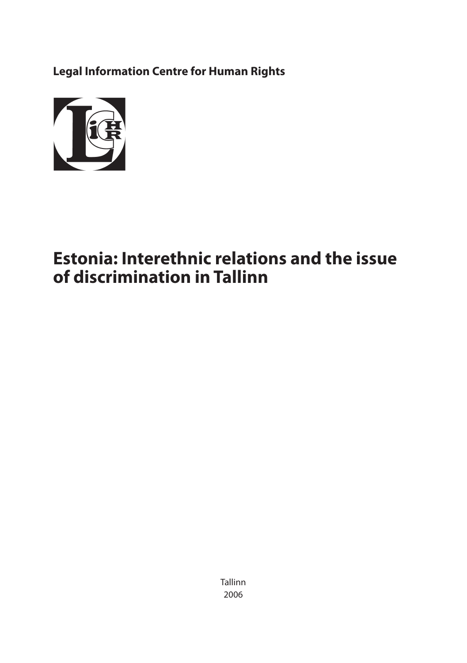**Legal Information Centre for Human Rights**



# **Estonia: Interethnic relations and the issue of discrimination in Tallinn**

Tallinn 2006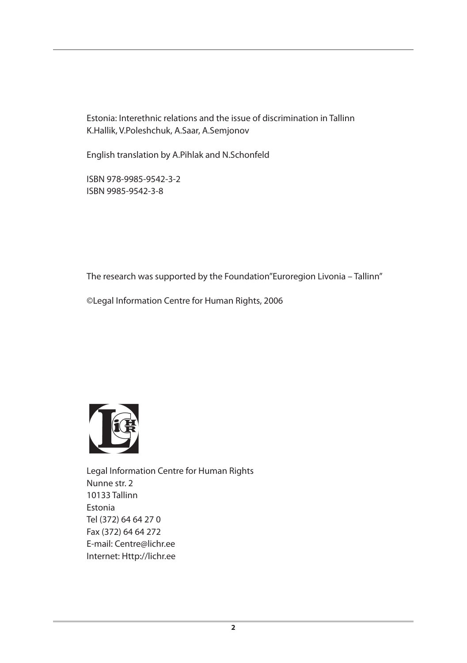Estonia: Interethnic relations and the issue of discrimination in Tallinn K.Hallik, V.Poleshchuk, A.Saar, A.Semjonov

English translation by A.Pihlak and N.Schonfeld

ISBN 978-9985-9542-3-2 ISBN 9985-9542-3-8

The research was supported by the Foundation"Euroregion Livonia – Tallinn"

©Legal Information Centre for Human Rights, 2006



Legal Information Centre for Human Rights Nunne str. 2 10133 Tallinn Estonia Tel (372) 64 64 27 0 Fax (372) 64 64 272 E-mail: Centre@lichr.ee Internet: Http://lichr.ee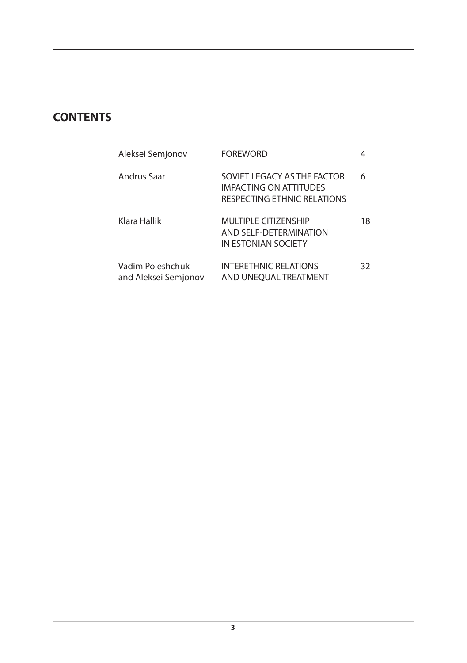# **CONTENTS**

| Aleksei Semjonov                         | FOREWORD                                                                             |    |
|------------------------------------------|--------------------------------------------------------------------------------------|----|
| Andrus Saar                              | SOVIET LEGACY AS THE FACTOR<br>IMPACTING ON ATTITUDES<br>RESPECTING ETHNIC RELATIONS | 6  |
| Klara Hallik                             | MULTIPLE CITIZENSHIP<br>AND SFI F-DFTFRMINATION<br>IN ESTONIAN SOCIETY               | 18 |
| Vadim Poleshchuk<br>and Aleksei Semjonov | <b>INTERETHNIC RELATIONS</b><br>AND UNEOUAL TREATMENT                                | 32 |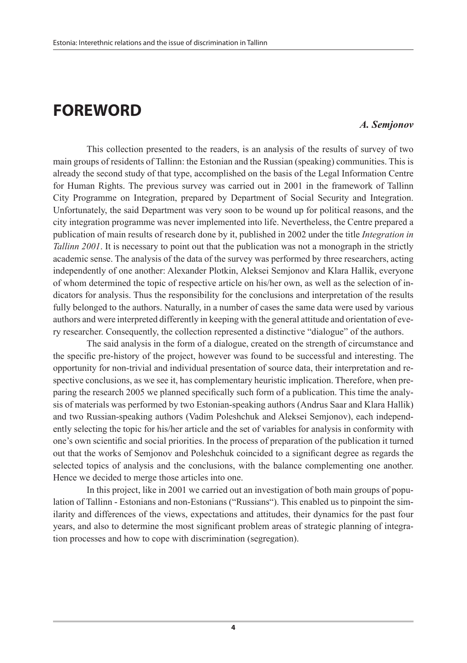# **FOREWORD**

#### *A. Semjonov*

This collection presented to the readers, is an analysis of the results of survey of two main groups of residents of Tallinn: the Estonian and the Russian (speaking) communities. This is already the second study of that type, accomplished on the basis of the Legal Information Centre for Human Rights. The previous survey was carried out in 2001 in the framework of Tallinn City Programme on Integration, prepared by Department of Social Security and Integration. Unfortunately, the said Department was very soon to be wound up for political reasons, and the city integration programme was never implemented into life. Nevertheless, the Centre prepared a publication of main results of research done by it, published in 2002 under the title *Integration in Tallinn 2001*. It is necessary to point out that the publication was not a monograph in the strictly academic sense. The analysis of the data of the survey was performed by three researchers, acting independently of one another: Alexander Plotkin, Aleksei Semjonov and Klara Hallik, everyone of whom determined the topic of respective article on his/her own, as well as the selection of indicators for analysis. Thus the responsibility for the conclusions and interpretation of the results fully belonged to the authors. Naturally, in a number of cases the same data were used by various authors and were interpreted differently in keeping with the general attitude and orientation of every researcher. Consequently, the collection represented a distinctive "dialogue" of the authors.

The said analysis in the form of a dialogue, created on the strength of circumstance and the specific pre-history of the project, however was found to be successful and interesting. The opportunity for non-trivial and individual presentation of source data, their interpretation and respective conclusions, as we see it, has complementary heuristic implication. Therefore, when preparing the research 2005 we planned specifically such form of a publication. This time the analysis of materials was performed by two Estonian-speaking authors (Andrus Saar and Klara Hallik) and two Russian-speaking authors (Vadim Poleshchuk and Aleksei Semjonov), each independently selecting the topic for his/her article and the set of variables for analysis in conformity with one's own scientific and social priorities. In the process of preparation of the publication it turned out that the works of Semjonov and Poleshchuk coincided to a significant degree as regards the selected topics of analysis and the conclusions, with the balance complementing one another. Hence we decided to merge those articles into one.

In this project, like in 2001 we carried out an investigation of both main groups of population of Tallinn - Estonians and non-Estonians ("Russians"). This enabled us to pinpoint the similarity and differences of the views, expectations and attitudes, their dynamics for the past four years, and also to determine the most significant problem areas of strategic planning of integration processes and how to cope with discrimination (segregation).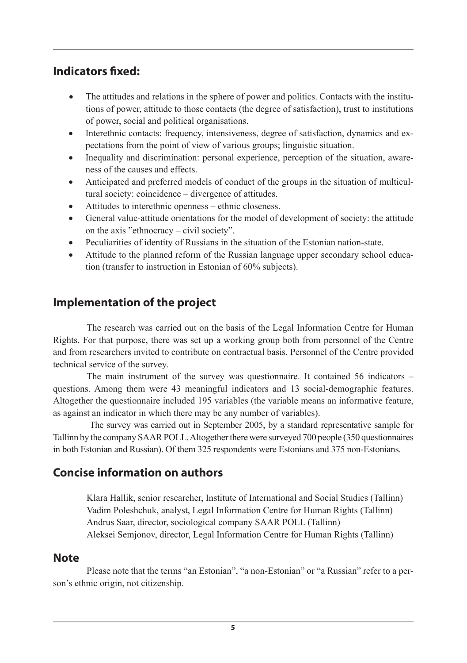# **Indicators fixed:**

- The attitudes and relations in the sphere of power and politics. Contacts with the institutions of power, attitude to those contacts (the degree of satisfaction), trust to institutions of power, social and political organisations.
- Interethnic contacts: frequency, intensiveness, degree of satisfaction, dynamics and expectations from the point of view of various groups; linguistic situation.
- Inequality and discrimination: personal experience, perception of the situation, awareness of the causes and effects.
- Anticipated and preferred models of conduct of the groups in the situation of multicultural society: coincidence – divergence of attitudes.
- Attitudes to interethnic openness ethnic closeness.
- • General value-attitude orientations for the model of development of society: the attitude on the axis "ethnocracy – civil society".
- Peculiarities of identity of Russians in the situation of the Estonian nation-state.
- Attitude to the planned reform of the Russian language upper secondary school education (transfer to instruction in Estonian of 60% subjects).

# **Implementation of the project**

The research was carried out on the basis of the Legal Information Centre for Human Rights. For that purpose, there was set up a working group both from personnel of the Centre and from researchers invited to contribute on contractual basis. Personnel of the Centre provided technical service of the survey.

The main instrument of the survey was questionnaire. It contained 56 indicators – questions. Among them were 43 meaningful indicators and 13 social-demographic features. Altogether the questionnaire included 195 variables (the variable means an informative feature, as against an indicator in which there may be any number of variables).

 The survey was carried out in September 2005, by a standard representative sample for Tallinn by the company SAAR POLL. Altogether there were surveyed 700 people (350 questionnaires in both Estonian and Russian). Of them 325 respondents were Estonians and 375 non-Estonians.

# **Concise information on authors**

Klara Hallik, senior researcher, Institute of International and Social Studies (Tallinn) Vadim Poleshchuk, analyst, Legal Information Centre for Human Rights (Tallinn) Andrus Saar, director, sociological company SAAR POLL (Tallinn) Aleksei Semjonov, director, Legal Information Centre for Human Rights (Tallinn)

### **Note**

Please note that the terms "an Estonian", "a non-Estonian" or "a Russian" refer to a person's ethnic origin, not citizenship.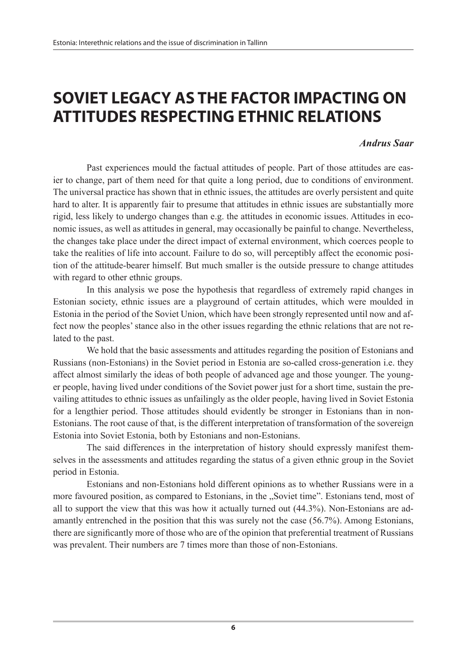# **SOVIET LEGACY AS THE FACTOR IMPACTING ON ATTITUDES RESPECTING ETHNIC RELATIONS**

### *Andrus Saar*

Past experiences mould the factual attitudes of people. Part of those attitudes are easier to change, part of them need for that quite a long period, due to conditions of environment. The universal practice has shown that in ethnic issues, the attitudes are overly persistent and quite hard to alter. It is apparently fair to presume that attitudes in ethnic issues are substantially more rigid, less likely to undergo changes than e.g. the attitudes in economic issues. Attitudes in economic issues, as well as attitudes in general, may occasionally be painful to change. Nevertheless, the changes take place under the direct impact of external environment, which coerces people to take the realities of life into account. Failure to do so, will perceptibly affect the economic position of the attitude-bearer himself. But much smaller is the outside pressure to change attitudes with regard to other ethnic groups.

In this analysis we pose the hypothesis that regardless of extremely rapid changes in Estonian society, ethnic issues are a playground of certain attitudes, which were moulded in Estonia in the period of the Soviet Union, which have been strongly represented until now and affect now the peoples' stance also in the other issues regarding the ethnic relations that are not related to the past.

We hold that the basic assessments and attitudes regarding the position of Estonians and Russians (non-Estonians) in the Soviet period in Estonia are so-called cross-generation i.e. they affect almost similarly the ideas of both people of advanced age and those younger. The younger people, having lived under conditions of the Soviet power just for a short time, sustain the prevailing attitudes to ethnic issues as unfailingly as the older people, having lived in Soviet Estonia for a lengthier period. Those attitudes should evidently be stronger in Estonians than in non-Estonians. The root cause of that, is the different interpretation of transformation of the sovereign Estonia into Soviet Estonia, both by Estonians and non-Estonians.

The said differences in the interpretation of history should expressly manifest themselves in the assessments and attitudes regarding the status of a given ethnic group in the Soviet period in Estonia.

Estonians and non-Estonians hold different opinions as to whether Russians were in a more favoured position, as compared to Estonians, in the "Soviet time". Estonians tend, most of all to support the view that this was how it actually turned out (44.3%). Non-Estonians are adamantly entrenched in the position that this was surely not the case (56.7%). Among Estonians, there are significantly more of those who are of the opinion that preferential treatment of Russians was prevalent. Their numbers are 7 times more than those of non-Estonians.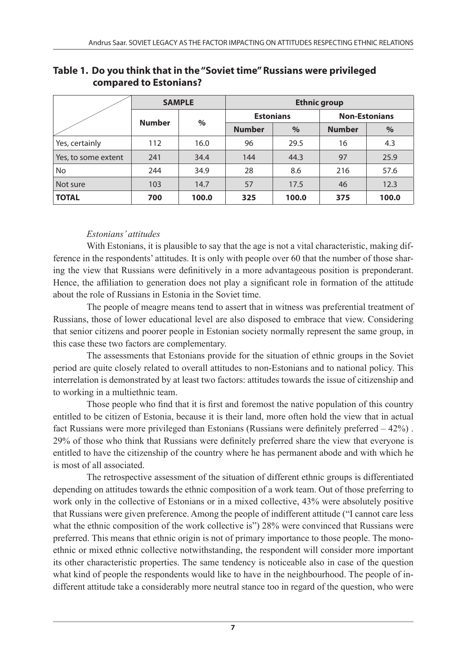|                     | <b>SAMPLE</b> |       | <b>Ethnic group</b> |       |                      |       |  |
|---------------------|---------------|-------|---------------------|-------|----------------------|-------|--|
|                     |               | $\%$  | <b>Estonians</b>    |       | <b>Non-Estonians</b> |       |  |
|                     | <b>Number</b> |       | <b>Number</b>       | $\%$  | <b>Number</b>        | %     |  |
| Yes, certainly      | 112           | 16.0  | 96                  | 29.5  | 16                   | 4.3   |  |
| Yes, to some extent | 241           | 34.4  | 144                 | 44.3  | 97                   | 25.9  |  |
| No                  | 244           | 34.9  | 28                  | 8.6   | 216                  | 57.6  |  |
| Not sure            | 103           | 14.7  | 57                  | 17.5  | 46                   | 12.3  |  |
| <b>TOTAL</b>        | 700           | 100.0 | 325                 | 100.0 | 375                  | 100.0 |  |

### **Table 1. Do you think that in the "Soviet time" Russians were privileged compared to Estonians?**

### *Estonians' attitudes*

With Estonians, it is plausible to say that the age is not a vital characteristic, making difference in the respondents' attitudes. It is only with people over 60 that the number of those sharing the view that Russians were definitively in a more advantageous position is preponderant. Hence, the affiliation to generation does not play a significant role in formation of the attitude about the role of Russians in Estonia in the Soviet time.

The people of meagre means tend to assert that in witness was preferential treatment of Russians, those of lower educational level are also disposed to embrace that view. Considering that senior citizens and poorer people in Estonian society normally represent the same group, in this case these two factors are complementary.

The assessments that Estonians provide for the situation of ethnic groups in the Soviet period are quite closely related to overall attitudes to non-Estonians and to national policy. This interrelation is demonstrated by at least two factors: attitudes towards the issue of citizenship and to working in a multiethnic team.

Those people who find that it is first and foremost the native population of this country entitled to be citizen of Estonia, because it is their land, more often hold the view that in actual fact Russians were more privileged than Estonians (Russians were definitely preferred – 42%) . 29% of those who think that Russians were definitely preferred share the view that everyone is entitled to have the citizenship of the country where he has permanent abode and with which he is most of all associated.

The retrospective assessment of the situation of different ethnic groups is differentiated depending on attitudes towards the ethnic composition of a work team. Out of those preferring to work only in the collective of Estonians or in a mixed collective, 43% were absolutely positive that Russians were given preference. Among the people of indifferent attitude ("I cannot care less what the ethnic composition of the work collective is") 28% were convinced that Russians were preferred. This means that ethnic origin is not of primary importance to those people. The monoethnic or mixed ethnic collective notwithstanding, the respondent will consider more important its other characteristic properties. The same tendency is noticeable also in case of the question what kind of people the respondents would like to have in the neighbourhood. The people of indifferent attitude take a considerably more neutral stance too in regard of the question, who were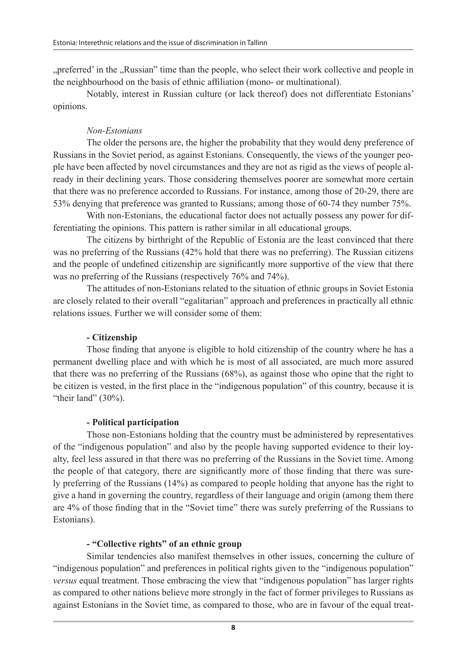"preferred' in the "Russian" time than the people, who select their work collective and people in the neighbourhood on the basis of ethnic affiliation (mono- or multinational).

Notably, interest in Russian culture (or lack thereof) does not differentiate Estonians' opinions.

### *Non-Estonians*

The older the persons are, the higher the probability that they would deny preference of Russians in the Soviet period, as against Estonians. Consequently, the views of the younger people have been affected by novel circumstances and they are not as rigid as the views of people already in their declining years. Those considering themselves poorer are somewhat more certain that there was no preference accorded to Russians. For instance, among those of 20-29, there are 53% denying that preference was granted to Russians; among those of 60-74 they number 75%.

With non-Estonians, the educational factor does not actually possess any power for differentiating the opinions. This pattern is rather similar in all educational groups.

The citizens by birthright of the Republic of Estonia are the least convinced that there was no preferring of the Russians (42% hold that there was no preferring). The Russian citizens and the people of undefined citizenship are significantly more supportive of the view that there was no preferring of the Russians (respectively 76% and 74%).

The attitudes of non-Estonians related to the situation of ethnic groups in Soviet Estonia are closely related to their overall "egalitarian" approach and preferences in practically all ethnic relations issues. Further we will consider some of them:

### **- Citizenship**

Those finding that anyone is eligible to hold citizenship of the country where he has a permanent dwelling place and with which he is most of all associated, are much more assured that there was no preferring of the Russians (68%), as against those who opine that the right to be citizen is vested, in the first place in the "indigenous population" of this country, because it is "their land"  $(30\%)$ .

### **- Political participation**

Those non-Estonians holding that the country must be administered by representatives of the "indigenous population" and also by the people having supported evidence to their loyalty, feel less assured in that there was no preferring of the Russians in the Soviet time. Among the people of that category, there are significantly more of those finding that there was surely preferring of the Russians (14%) as compared to people holding that anyone has the right to give a hand in governing the country, regardless of their language and origin (among them there are 4% of those finding that in the "Soviet time" there was surely preferring of the Russians to Estonians).

### **- "Collective rights" of an ethnic group**

Similar tendencies also manifest themselves in other issues, concerning the culture of "indigenous population" and preferences in political rights given to the "indigenous population" *versus* equal treatment. Those embracing the view that "indigenous population" has larger rights as compared to other nations believe more strongly in the fact of former privileges to Russians as against Estonians in the Soviet time, as compared to those, who are in favour of the equal treat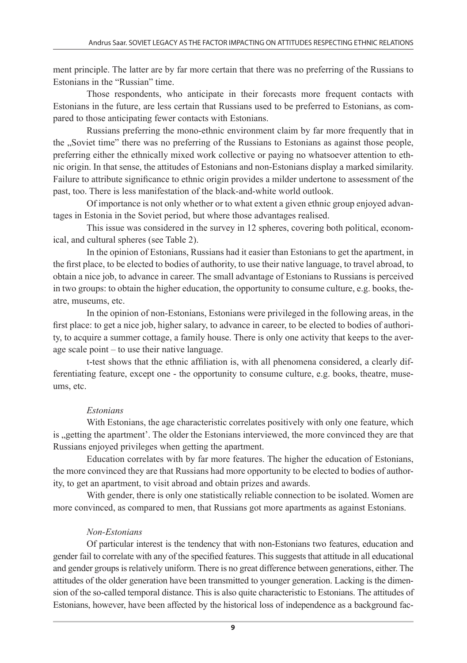ment principle. The latter are by far more certain that there was no preferring of the Russians to Estonians in the "Russian" time.

Those respondents, who anticipate in their forecasts more frequent contacts with Estonians in the future, are less certain that Russians used to be preferred to Estonians, as compared to those anticipating fewer contacts with Estonians.

Russians preferring the mono-ethnic environment claim by far more frequently that in the "Soviet time" there was no preferring of the Russians to Estonians as against those people, preferring either the ethnically mixed work collective or paying no whatsoever attention to ethnic origin. In that sense, the attitudes of Estonians and non-Estonians display a marked similarity. Failure to attribute significance to ethnic origin provides a milder undertone to assessment of the past, too. There is less manifestation of the black-and-white world outlook.

Of importance is not only whether or to what extent a given ethnic group enjoyed advantages in Estonia in the Soviet period, but where those advantages realised.

This issue was considered in the survey in 12 spheres, covering both political, economical, and cultural spheres (see Table 2).

In the opinion of Estonians, Russians had it easier than Estonians to get the apartment, in the first place, to be elected to bodies of authority, to use their native language, to travel abroad, to obtain a nice job, to advance in career. The small advantage of Estonians to Russians is perceived in two groups: to obtain the higher education, the opportunity to consume culture, e.g. books, theatre, museums, etc.

In the opinion of non-Estonians, Estonians were privileged in the following areas, in the first place: to get a nice job, higher salary, to advance in career, to be elected to bodies of authority, to acquire a summer cottage, a family house. There is only one activity that keeps to the average scale point – to use their native language.

t-test shows that the ethnic affiliation is, with all phenomena considered, a clearly differentiating feature, except one - the opportunity to consume culture, e.g. books, theatre, museums, etc.

### *Estonians*

With Estonians, the age characteristic correlates positively with only one feature, which is "getting the apartment'. The older the Estonians interviewed, the more convinced they are that Russians enjoyed privileges when getting the apartment.

Education correlates with by far more features. The higher the education of Estonians, the more convinced they are that Russians had more opportunity to be elected to bodies of authority, to get an apartment, to visit abroad and obtain prizes and awards.

With gender, there is only one statistically reliable connection to be isolated. Women are more convinced, as compared to men, that Russians got more apartments as against Estonians.

### *Non-Estonians*

Of particular interest is the tendency that with non-Estonians two features, education and gender fail to correlate with any of the specified features. This suggests that attitude in all educational and gender groups is relatively uniform. There is no great difference between generations, either. The attitudes of the older generation have been transmitted to younger generation. Lacking is the dimension of the so-called temporal distance. This is also quite characteristic to Estonians. The attitudes of Estonians, however, have been affected by the historical loss of independence as a background fac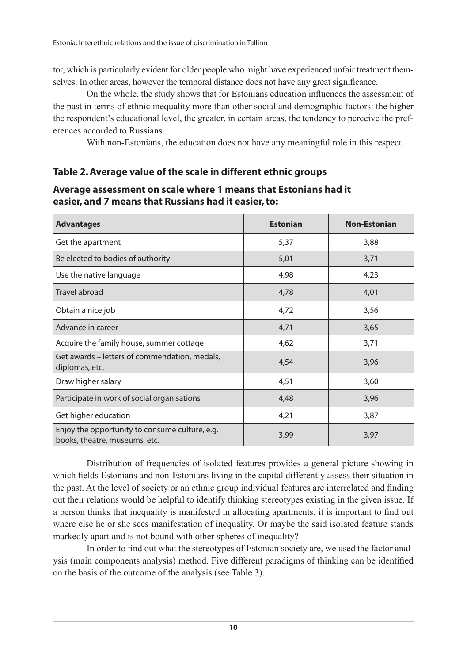tor, which is particularly evident for older people who might have experienced unfair treatment themselves. In other areas, however the temporal distance does not have any great significance.

On the whole, the study shows that for Estonians education influences the assessment of the past in terms of ethnic inequality more than other social and demographic factors: the higher the respondent's educational level, the greater, in certain areas, the tendency to perceive the preferences accorded to Russians.

With non-Estonians, the education does not have any meaningful role in this respect.

### **Table 2. Average value of the scale in different ethnic groups**

### **Average assessment on scale where 1 means that Estonians had it easier, and 7 means that Russians had it easier, to:**

| <b>Advantages</b>                                                               | <b>Estonian</b> | <b>Non-Estonian</b> |
|---------------------------------------------------------------------------------|-----------------|---------------------|
| Get the apartment                                                               | 5,37            | 3,88                |
| Be elected to bodies of authority                                               | 5,01            | 3,71                |
| Use the native language                                                         | 4,98            | 4,23                |
| Travel abroad                                                                   | 4,78            | 4,01                |
| Obtain a nice job                                                               | 4,72            | 3,56                |
| Advance in career                                                               | 4,71            | 3,65                |
| Acquire the family house, summer cottage                                        | 4,62            | 3,71                |
| Get awards – letters of commendation, medals,<br>diplomas, etc.                 | 4,54            | 3,96                |
| Draw higher salary                                                              | 4,51            | 3,60                |
| Participate in work of social organisations                                     | 4,48            | 3,96                |
| Get higher education                                                            | 4,21            | 3,87                |
| Enjoy the opportunity to consume culture, e.g.<br>books, theatre, museums, etc. | 3,99            | 3,97                |

Distribution of frequencies of isolated features provides a general picture showing in which fields Estonians and non-Estonians living in the capital differently assess their situation in the past. At the level of society or an ethnic group individual features are interrelated and finding out their relations would be helpful to identify thinking stereotypes existing in the given issue. If a person thinks that inequality is manifested in allocating apartments, it is important to find out where else he or she sees manifestation of inequality. Or maybe the said isolated feature stands markedly apart and is not bound with other spheres of inequality?

In order to find out what the stereotypes of Estonian society are, we used the factor analysis (main components analysis) method. Five different paradigms of thinking can be identified on the basis of the outcome of the analysis (see Table 3).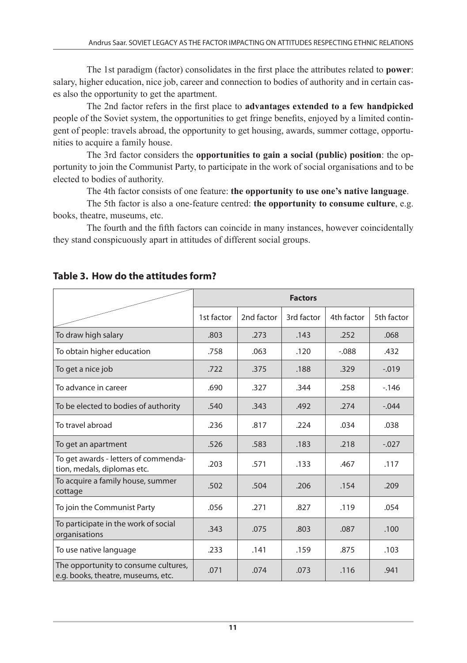The 1st paradigm (factor) consolidates in the first place the attributes related to **power**: salary, higher education, nice job, career and connection to bodies of authority and in certain cases also the opportunity to get the apartment.

The 2nd factor refers in the first place to **advantages extended to a few handpicked** people of the Soviet system, the opportunities to get fringe benefits, enjoyed by a limited contingent of people: travels abroad, the opportunity to get housing, awards, summer cottage, opportunities to acquire a family house.

The 3rd factor considers the **opportunities to gain a social (public) position**: the opportunity to join the Communist Party, to participate in the work of social organisations and to be elected to bodies of authority.

The 4th factor consists of one feature: **the opportunity to use one's native language**.

The 5th factor is also a one-feature centred: **the opportunity to consume culture**, e.g. books, theatre, museums, etc.

The fourth and the fifth factors can coincide in many instances, however coincidentally they stand conspicuously apart in attitudes of different social groups.

|                                                                            | <b>Factors</b> |            |            |            |            |
|----------------------------------------------------------------------------|----------------|------------|------------|------------|------------|
|                                                                            | 1st factor     | 2nd factor | 3rd factor | 4th factor | 5th factor |
| To draw high salary                                                        | .803           | .273       | .143       | .252       | .068       |
| To obtain higher education                                                 | .758           | .063       | .120       | $-.088$    | .432       |
| To get a nice job                                                          | .722           | .375       | .188       | .329       | $-.019$    |
| To advance in career                                                       | .690           | .327       | .344       | .258       | $-146$     |
| To be elected to bodies of authority                                       | .540           | .343       | .492       | .274       | $-.044$    |
| To travel abroad                                                           | .236           | .817       | .224       | .034       | .038       |
| To get an apartment                                                        | .526           | .583       | .183       | .218       | $-.027$    |
| To get awards - letters of commenda-<br>tion, medals, diplomas etc.        | .203           | .571       | .133       | .467       | .117       |
| To acquire a family house, summer<br>cottage                               | .502           | .504       | .206       | .154       | .209       |
| To join the Communist Party                                                | .056           | .271       | .827       | .119       | .054       |
| To participate in the work of social<br>organisations                      | .343           | .075       | .803       | .087       | .100       |
| To use native language                                                     | .233           | .141       | .159       | .875       | .103       |
| The opportunity to consume cultures,<br>e.g. books, theatre, museums, etc. | .071           | .074       | .073       | .116       | .941       |

### **Table 3. How do the attitudes form?**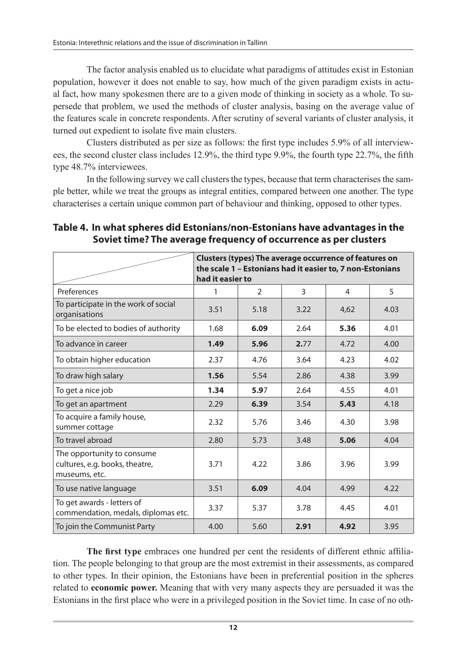The factor analysis enabled us to elucidate what paradigms of attitudes exist in Estonian population, however it does not enable to say, how much of the given paradigm exists in actual fact, how many spokesmen there are to a given mode of thinking in society as a whole. To supersede that problem, we used the methods of cluster analysis, basing on the average value of the features scale in concrete respondents. After scrutiny of several variants of cluster analysis, it turned out expedient to isolate five main clusters.

Clusters distributed as per size as follows: the first type includes 5.9% of all interviewees, the second cluster class includes 12.9%, the third type 9.9%, the fourth type 22.7%, the fifth type 48.7% interviewees.

In the following survey we call clusters the types, because that term characterises the sample better, while we treat the groups as integral entities, compared between one another. The type characterises a certain unique common part of behaviour and thinking, opposed to other types.

|                                                                               | Clusters (types) The average occurrence of features on<br>the scale 1 - Estonians had it easier to, 7 non-Estonians |               |      |      |      |
|-------------------------------------------------------------------------------|---------------------------------------------------------------------------------------------------------------------|---------------|------|------|------|
|                                                                               | had it easier to                                                                                                    |               |      |      |      |
| Preferences                                                                   | 1                                                                                                                   | $\mathcal{P}$ | 3    | 4    | 5    |
| To participate in the work of social<br>organisations                         | 3.51                                                                                                                | 5.18          | 3.22 | 4,62 | 4.03 |
| To be elected to bodies of authority                                          | 1.68                                                                                                                | 6.09          | 2.64 | 5.36 | 4.01 |
| To advance in career                                                          | 1.49                                                                                                                | 5.96          | 2.77 | 4.72 | 4.00 |
| To obtain higher education                                                    | 2.37                                                                                                                | 4.76          | 3.64 | 4.23 | 4.02 |
| To draw high salary                                                           | 1.56                                                                                                                | 5.54          | 2.86 | 4.38 | 3.99 |
| To get a nice job                                                             | 1.34                                                                                                                | 5.97          | 2.64 | 4.55 | 4.01 |
| To get an apartment                                                           | 2.29                                                                                                                | 6.39          | 3.54 | 5.43 | 4.18 |
| To acquire a family house,<br>summer cottage                                  | 2.32                                                                                                                | 5.76          | 3.46 | 4.30 | 3.98 |
| To travel abroad                                                              | 2.80                                                                                                                | 5.73          | 3.48 | 5.06 | 4.04 |
| The opportunity to consume<br>cultures, e.g. books, theatre,<br>museums, etc. | 3.71                                                                                                                | 4.22          | 3.86 | 3.96 | 3.99 |
| To use native language                                                        | 3.51                                                                                                                | 6.09          | 4.04 | 4.99 | 4.22 |
| To get awards - letters of<br>commendation, medals, diplomas etc.             | 3.37                                                                                                                | 5.37          | 3.78 | 4.45 | 4.01 |
| To join the Communist Party                                                   | 4.00                                                                                                                | 5.60          | 2.91 | 4.92 | 3.95 |

### **Table 4. In what spheres did Estonians/non-Estonians have advantages in the Soviet time? The average frequency of occurrence as per clusters**

**The first type** embraces one hundred per cent the residents of different ethnic affiliation. The people belonging to that group are the most extremist in their assessments, as compared to other types. In their opinion, the Estonians have been in preferential position in the spheres related to **economic power.** Meaning that with very many aspects they are persuaded it was the Estonians in the first place who were in a privileged position in the Soviet time. In case of no oth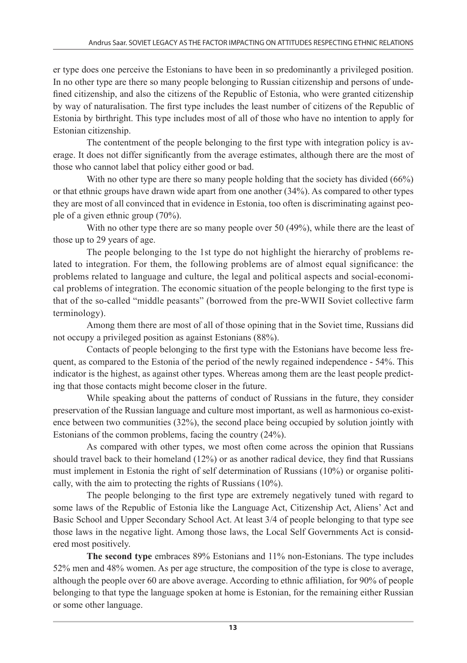er type does one perceive the Estonians to have been in so predominantly a privileged position. In no other type are there so many people belonging to Russian citizenship and persons of undefined citizenship, and also the citizens of the Republic of Estonia, who were granted citizenship by way of naturalisation. The first type includes the least number of citizens of the Republic of Estonia by birthright. This type includes most of all of those who have no intention to apply for Estonian citizenship.

The contentment of the people belonging to the first type with integration policy is average. It does not differ significantly from the average estimates, although there are the most of those who cannot label that policy either good or bad.

With no other type are there so many people holding that the society has divided (66%) or that ethnic groups have drawn wide apart from one another (34%). As compared to other types they are most of all convinced that in evidence in Estonia, too often is discriminating against people of a given ethnic group (70%).

With no other type there are so many people over 50 (49%), while there are the least of those up to 29 years of age.

The people belonging to the 1st type do not highlight the hierarchy of problems related to integration. For them, the following problems are of almost equal significance: the problems related to language and culture, the legal and political aspects and social-economical problems of integration. The economic situation of the people belonging to the first type is that of the so-called "middle peasants" (borrowed from the pre-WWII Soviet collective farm terminology).

Among them there are most of all of those opining that in the Soviet time, Russians did not occupy a privileged position as against Estonians (88%).

Contacts of people belonging to the first type with the Estonians have become less frequent, as compared to the Estonia of the period of the newly regained independence - 54%. This indicator is the highest, as against other types. Whereas among them are the least people predicting that those contacts might become closer in the future.

While speaking about the patterns of conduct of Russians in the future, they consider preservation of the Russian language and culture most important, as well as harmonious co-existence between two communities (32%), the second place being occupied by solution jointly with Estonians of the common problems, facing the country (24%).

As compared with other types, we most often come across the opinion that Russians should travel back to their homeland (12%) or as another radical device, they find that Russians must implement in Estonia the right of self determination of Russians (10%) or organise politically, with the aim to protecting the rights of Russians (10%).

The people belonging to the first type are extremely negatively tuned with regard to some laws of the Republic of Estonia like the Language Act, Citizenship Act, Aliens' Act and Basic School and Upper Secondary School Act. At least 3/4 of people belonging to that type see those laws in the negative light. Among those laws, the Local Self Governments Act is considered most positively.

**The second type** embraces 89% Estonians and 11% non-Estonians. The type includes 52% men and 48% women. As per age structure, the composition of the type is close to average, although the people over 60 are above average. According to ethnic affiliation, for 90% of people belonging to that type the language spoken at home is Estonian, for the remaining either Russian or some other language.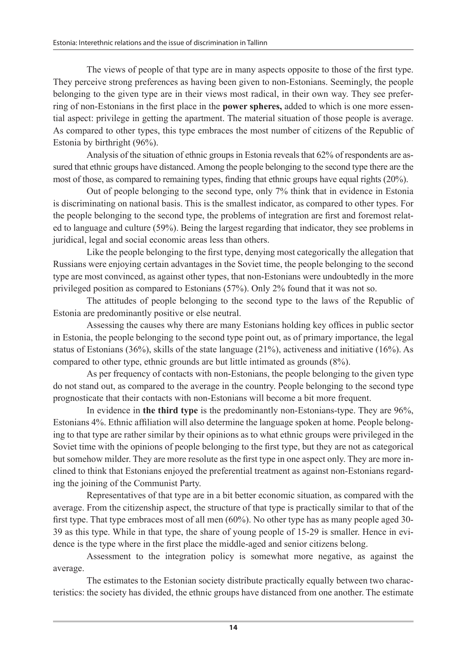The views of people of that type are in many aspects opposite to those of the first type. They perceive strong preferences as having been given to non-Estonians. Seemingly, the people belonging to the given type are in their views most radical, in their own way. They see preferring of non-Estonians in the first place in the **power spheres,** added to which is one more essential aspect: privilege in getting the apartment. The material situation of those people is average. As compared to other types, this type embraces the most number of citizens of the Republic of Estonia by birthright (96%).

Analysis of the situation of ethnic groups in Estonia reveals that 62% of respondents are assured that ethnic groups have distanced. Among the people belonging to the second type there are the most of those, as compared to remaining types, finding that ethnic groups have equal rights (20%).

Out of people belonging to the second type, only 7% think that in evidence in Estonia is discriminating on national basis. This is the smallest indicator, as compared to other types. For the people belonging to the second type, the problems of integration are first and foremost related to language and culture (59%). Being the largest regarding that indicator, they see problems in juridical, legal and social economic areas less than others.

Like the people belonging to the first type, denying most categorically the allegation that Russians were enjoying certain advantages in the Soviet time, the people belonging to the second type are most convinced, as against other types, that non-Estonians were undoubtedly in the more privileged position as compared to Estonians (57%). Only 2% found that it was not so.

The attitudes of people belonging to the second type to the laws of the Republic of Estonia are predominantly positive or else neutral.

Assessing the causes why there are many Estonians holding key offices in public sector in Estonia, the people belonging to the second type point out, as of primary importance, the legal status of Estonians (36%), skills of the state language (21%), activeness and initiative (16%). As compared to other type, ethnic grounds are but little intimated as grounds (8%).

As per frequency of contacts with non-Estonians, the people belonging to the given type do not stand out, as compared to the average in the country. People belonging to the second type prognosticate that their contacts with non-Estonians will become a bit more frequent.

In evidence in **the third type** is the predominantly non-Estonians-type. They are 96%, Estonians 4%. Ethnic affiliation will also determine the language spoken at home. People belonging to that type are rather similar by their opinions as to what ethnic groups were privileged in the Soviet time with the opinions of people belonging to the first type, but they are not as categorical but somehow milder. They are more resolute as the first type in one aspect only. They are more inclined to think that Estonians enjoyed the preferential treatment as against non-Estonians regarding the joining of the Communist Party.

Representatives of that type are in a bit better economic situation, as compared with the average. From the citizenship aspect, the structure of that type is practically similar to that of the first type. That type embraces most of all men (60%). No other type has as many people aged 30- 39 as this type. While in that type, the share of young people of 15-29 is smaller. Hence in evidence is the type where in the first place the middle-aged and senior citizens belong.

Assessment to the integration policy is somewhat more negative, as against the average.

The estimates to the Estonian society distribute practically equally between two characteristics: the society has divided, the ethnic groups have distanced from one another. The estimate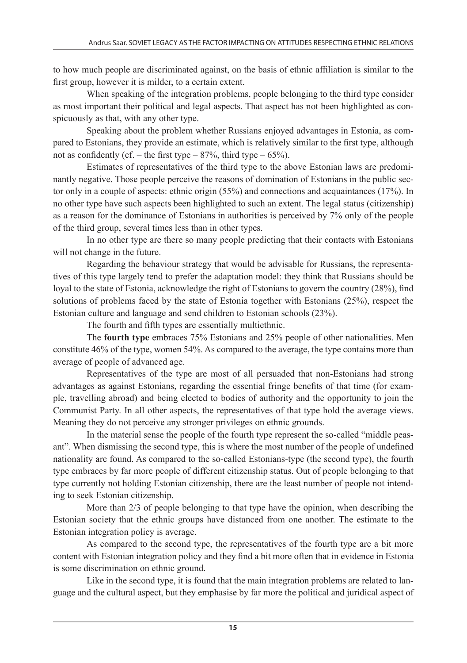to how much people are discriminated against, on the basis of ethnic affiliation is similar to the first group, however it is milder, to a certain extent.

When speaking of the integration problems, people belonging to the third type consider as most important their political and legal aspects. That aspect has not been highlighted as conspicuously as that, with any other type.

Speaking about the problem whether Russians enjoyed advantages in Estonia, as compared to Estonians, they provide an estimate, which is relatively similar to the first type, although not as confidently (cf. – the first type –  $87\%$ , third type –  $65\%$ ).

Estimates of representatives of the third type to the above Estonian laws are predominantly negative. Those people perceive the reasons of domination of Estonians in the public sector only in a couple of aspects: ethnic origin (55%) and connections and acquaintances (17%). In no other type have such aspects been highlighted to such an extent. The legal status (citizenship) as a reason for the dominance of Estonians in authorities is perceived by 7% only of the people of the third group, several times less than in other types.

In no other type are there so many people predicting that their contacts with Estonians will not change in the future.

Regarding the behaviour strategy that would be advisable for Russians, the representatives of this type largely tend to prefer the adaptation model: they think that Russians should be loyal to the state of Estonia, acknowledge the right of Estonians to govern the country (28%), find solutions of problems faced by the state of Estonia together with Estonians (25%), respect the Estonian culture and language and send children to Estonian schools (23%).

The fourth and fifth types are essentially multiethnic.

The **fourth type** embraces 75% Estonians and 25% people of other nationalities. Men constitute 46% of the type, women 54%. As compared to the average, the type contains more than average of people of advanced age.

Representatives of the type are most of all persuaded that non-Estonians had strong advantages as against Estonians, regarding the essential fringe benefits of that time (for example, travelling abroad) and being elected to bodies of authority and the opportunity to join the Communist Party. In all other aspects, the representatives of that type hold the average views. Meaning they do not perceive any stronger privileges on ethnic grounds.

In the material sense the people of the fourth type represent the so-called "middle peasant". When dismissing the second type, this is where the most number of the people of undefined nationality are found. As compared to the so-called Estonians-type (the second type), the fourth type embraces by far more people of different citizenship status. Out of people belonging to that type currently not holding Estonian citizenship, there are the least number of people not intending to seek Estonian citizenship.

More than 2/3 of people belonging to that type have the opinion, when describing the Estonian society that the ethnic groups have distanced from one another. The estimate to the Estonian integration policy is average.

As compared to the second type, the representatives of the fourth type are a bit more content with Estonian integration policy and they find a bit more often that in evidence in Estonia is some discrimination on ethnic ground.

Like in the second type, it is found that the main integration problems are related to language and the cultural aspect, but they emphasise by far more the political and juridical aspect of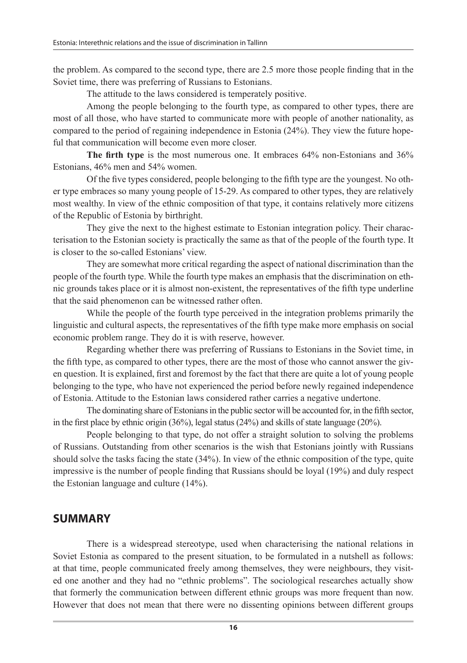the problem. As compared to the second type, there are 2.5 more those people finding that in the Soviet time, there was preferring of Russians to Estonians.

The attitude to the laws considered is temperately positive.

Among the people belonging to the fourth type, as compared to other types, there are most of all those, who have started to communicate more with people of another nationality, as compared to the period of regaining independence in Estonia (24%). They view the future hopeful that communication will become even more closer.

**The firth type** is the most numerous one. It embraces 64% non-Estonians and 36% Estonians, 46% men and 54% women.

Of the five types considered, people belonging to the fifth type are the youngest. No other type embraces so many young people of 15-29. As compared to other types, they are relatively most wealthy. In view of the ethnic composition of that type, it contains relatively more citizens of the Republic of Estonia by birthright.

They give the next to the highest estimate to Estonian integration policy. Their characterisation to the Estonian society is practically the same as that of the people of the fourth type. It is closer to the so-called Estonians' view.

They are somewhat more critical regarding the aspect of national discrimination than the people of the fourth type. While the fourth type makes an emphasis that the discrimination on ethnic grounds takes place or it is almost non-existent, the representatives of the fifth type underline that the said phenomenon can be witnessed rather often.

While the people of the fourth type perceived in the integration problems primarily the linguistic and cultural aspects, the representatives of the fifth type make more emphasis on social economic problem range. They do it is with reserve, however.

Regarding whether there was preferring of Russians to Estonians in the Soviet time, in the fifth type, as compared to other types, there are the most of those who cannot answer the given question. It is explained, first and foremost by the fact that there are quite a lot of young people belonging to the type, who have not experienced the period before newly regained independence of Estonia. Attitude to the Estonian laws considered rather carries a negative undertone.

The dominating share of Estonians in the public sector will be accounted for, in the fifth sector, in the first place by ethnic origin (36%), legal status (24%) and skills of state language (20%).

People belonging to that type, do not offer a straight solution to solving the problems of Russians. Outstanding from other scenarios is the wish that Estonians jointly with Russians should solve the tasks facing the state (34%). In view of the ethnic composition of the type, quite impressive is the number of people finding that Russians should be loyal (19%) and duly respect the Estonian language and culture (14%).

## **SUMMARY**

There is a widespread stereotype, used when characterising the national relations in Soviet Estonia as compared to the present situation, to be formulated in a nutshell as follows: at that time, people communicated freely among themselves, they were neighbours, they visited one another and they had no "ethnic problems". The sociological researches actually show that formerly the communication between different ethnic groups was more frequent than now. However that does not mean that there were no dissenting opinions between different groups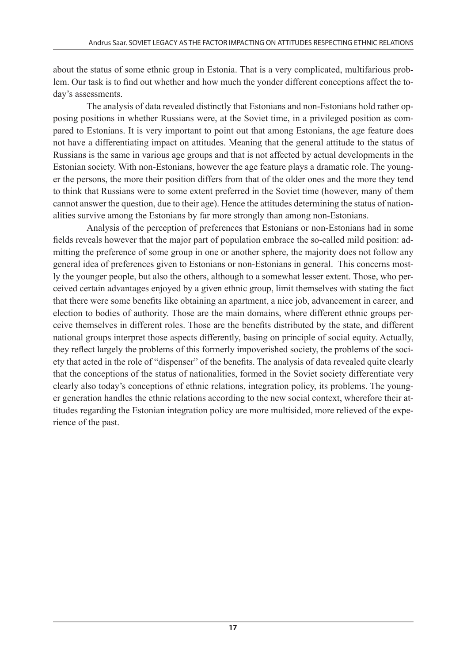about the status of some ethnic group in Estonia. That is a very complicated, multifarious problem. Our task is to find out whether and how much the yonder different conceptions affect the today's assessments.

The analysis of data revealed distinctly that Estonians and non-Estonians hold rather opposing positions in whether Russians were, at the Soviet time, in a privileged position as compared to Estonians. It is very important to point out that among Estonians, the age feature does not have a differentiating impact on attitudes. Meaning that the general attitude to the status of Russians is the same in various age groups and that is not affected by actual developments in the Estonian society. With non-Estonians, however the age feature plays a dramatic role. The younger the persons, the more their position differs from that of the older ones and the more they tend to think that Russians were to some extent preferred in the Soviet time (however, many of them cannot answer the question, due to their age). Hence the attitudes determining the status of nationalities survive among the Estonians by far more strongly than among non-Estonians.

Analysis of the perception of preferences that Estonians or non-Estonians had in some fields reveals however that the major part of population embrace the so-called mild position: admitting the preference of some group in one or another sphere, the majority does not follow any general idea of preferences given to Estonians or non-Estonians in general. This concerns mostly the younger people, but also the others, although to a somewhat lesser extent. Those, who perceived certain advantages enjoyed by a given ethnic group, limit themselves with stating the fact that there were some benefits like obtaining an apartment, a nice job, advancement in career, and election to bodies of authority. Those are the main domains, where different ethnic groups perceive themselves in different roles. Those are the benefits distributed by the state, and different national groups interpret those aspects differently, basing on principle of social equity. Actually, they reflect largely the problems of this formerly impoverished society, the problems of the society that acted in the role of "dispenser" of the benefits. The analysis of data revealed quite clearly that the conceptions of the status of nationalities, formed in the Soviet society differentiate very clearly also today's conceptions of ethnic relations, integration policy, its problems. The younger generation handles the ethnic relations according to the new social context, wherefore their attitudes regarding the Estonian integration policy are more multisided, more relieved of the experience of the past.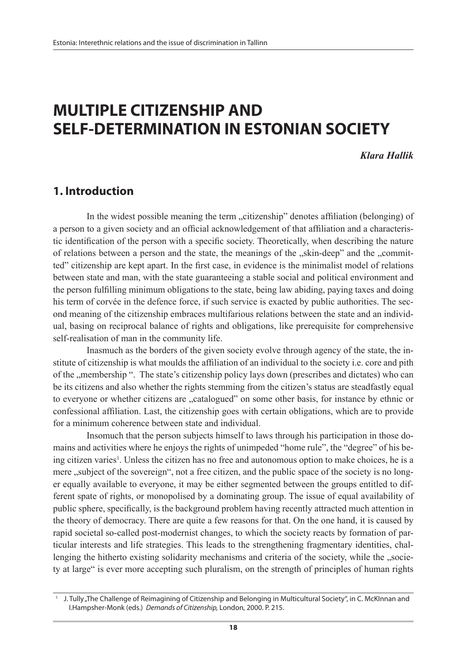# **MULTIPLE CITIZENSHIP AND SELF-DETERMINATION IN ESTONIAN SOCIETY**

*Klara Hallik*

## **1. Introduction**

In the widest possible meaning the term "citizenship" denotes affiliation (belonging) of a person to a given society and an official acknowledgement of that affiliation and a characteristic identification of the person with a specific society. Theoretically, when describing the nature of relations between a person and the state, the meanings of the "skin-deep" and the "committed" citizenship are kept apart. In the first case, in evidence is the minimalist model of relations between state and man, with the state guaranteeing a stable social and political environment and the person fulfilling minimum obligations to the state, being law abiding, paying taxes and doing his term of corvée in the defence force, if such service is exacted by public authorities. The second meaning of the citizenship embraces multifarious relations between the state and an individual, basing on reciprocal balance of rights and obligations, like prerequisite for comprehensive self-realisation of man in the community life.

Inasmuch as the borders of the given society evolve through agency of the state, the institute of citizenship is what moulds the affiliation of an individual to the society i.e. core and pith of the "membership ". The state's citizenship policy lays down (prescribes and dictates) who can be its citizens and also whether the rights stemming from the citizen's status are steadfastly equal to everyone or whether citizens are "catalogued" on some other basis, for instance by ethnic or confessional affiliation. Last, the citizenship goes with certain obligations, which are to provide for a minimum coherence between state and individual.

Insomuch that the person subjects himself to laws through his participation in those domains and activities where he enjoys the rights of unimpeded "home rule", the "degree" of his being citizen varies<sup>1</sup>. Unless the citizen has no free and autonomous option to make choices, he is a mere , subject of the sovereign", not a free citizen, and the public space of the society is no longer equally available to everyone, it may be either segmented between the groups entitled to different spate of rights, or monopolised by a dominating group. The issue of equal availability of public sphere, specifically, is the background problem having recently attracted much attention in the theory of democracy. There are quite a few reasons for that. On the one hand, it is caused by rapid societal so-called post-modernist changes, to which the society reacts by formation of particular interests and life strategies. This leads to the strengthening fragmentary identities, challenging the hitherto existing solidarity mechanisms and criteria of the society, while the "society at large" is ever more accepting such pluralism, on the strength of principles of human rights

<sup>1</sup> J. Tully "The Challenge of Reimagining of Citizenship and Belonging in Multicultural Society", in C. McKInnan and I.Hampsher-Monk (eds.) *Demands of Citizenship,* London, 2000. P. 215.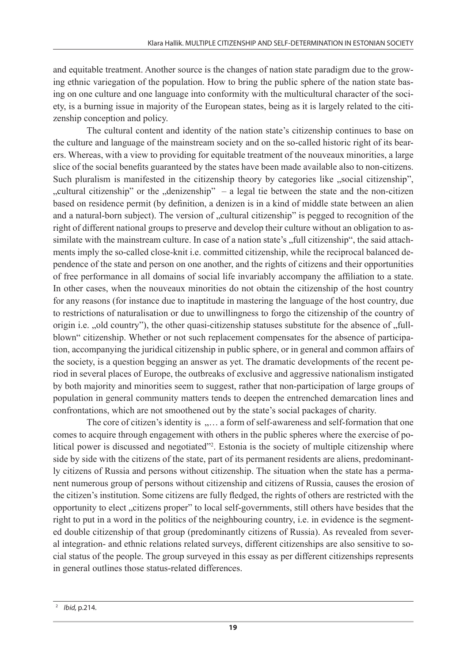and equitable treatment. Another source is the changes of nation state paradigm due to the growing ethnic variegation of the population. How to bring the public sphere of the nation state basing on one culture and one language into conformity with the multicultural character of the society, is a burning issue in majority of the European states, being as it is largely related to the citizenship conception and policy.

The cultural content and identity of the nation state's citizenship continues to base on the culture and language of the mainstream society and on the so-called historic right of its bearers. Whereas, with a view to providing for equitable treatment of the nouveaux minorities, a large slice of the social benefits guaranteed by the states have been made available also to non-citizens. Such pluralism is manifested in the citizenship theory by categories like "social citizenship", "cultural citizenship" or the  $\mu$  denizenship" – a legal tie between the state and the non-citizen based on residence permit (by definition, a denizen is in a kind of middle state between an alien and a natural-born subject). The version of "cultural citizenship" is pegged to recognition of the right of different national groups to preserve and develop their culture without an obligation to assimilate with the mainstream culture. In case of a nation state's "full citizenship", the said attachments imply the so-called close-knit i.e. committed citizenship, while the reciprocal balanced dependence of the state and person on one another, and the rights of citizens and their opportunities of free performance in all domains of social life invariably accompany the affiliation to a state. In other cases, when the nouveaux minorities do not obtain the citizenship of the host country for any reasons (for instance due to inaptitude in mastering the language of the host country, due to restrictions of naturalisation or due to unwillingness to forgo the citizenship of the country of origin i.e. "old country"), the other quasi-citizenship statuses substitute for the absence of "fullblown" citizenship. Whether or not such replacement compensates for the absence of participation, accompanying the juridical citizenship in public sphere, or in general and common affairs of the society, is a question begging an answer as yet. The dramatic developments of the recent period in several places of Europe, the outbreaks of exclusive and aggressive nationalism instigated by both majority and minorities seem to suggest, rather that non-participation of large groups of population in general community matters tends to deepen the entrenched demarcation lines and confrontations, which are not smoothened out by the state's social packages of charity.

The core of citizen's identity is  $\ldots$  a form of self-awareness and self-formation that one comes to acquire through engagement with others in the public spheres where the exercise of political power is discussed and negotiated"2 . Estonia is the society of multiple citizenship where side by side with the citizens of the state, part of its permanent residents are aliens, predominantly citizens of Russia and persons without citizenship. The situation when the state has a permanent numerous group of persons without citizenship and citizens of Russia, causes the erosion of the citizen's institution. Some citizens are fully fledged, the rights of others are restricted with the opportunity to elect "citizens proper" to local self-governments, still others have besides that the right to put in a word in the politics of the neighbouring country, i.e. in evidence is the segmented double citizenship of that group (predominantly citizens of Russia). As revealed from several integration- and ethnic relations related surveys, different citizenships are also sensitive to social status of the people. The group surveyed in this essay as per different citizenships represents in general outlines those status-related differences.

<sup>2</sup>*Ibid,* p.214.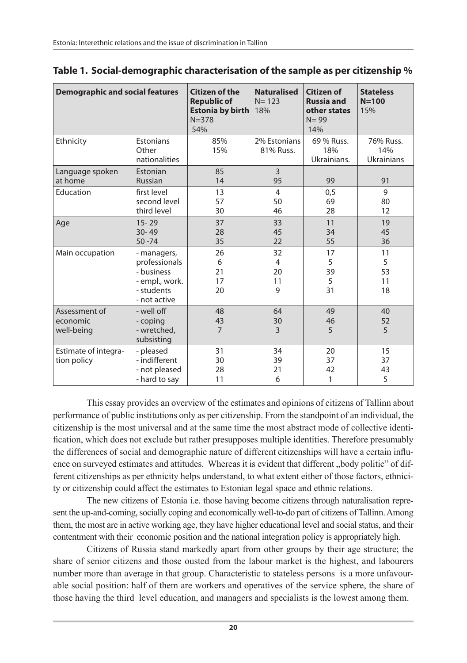| <b>Demographic and social features</b>  |                                                                                            | <b>Citizen of the</b><br><b>Republic of</b><br><b>Estonia by birth</b><br>$N = 378$<br>54% | <b>Naturalised</b><br>$N = 123$<br>18% | <b>Citizen of</b><br><b>Russia and</b><br>other states<br>$N = 99$<br>14% | <b>Stateless</b><br>$N = 100$<br>15%  |
|-----------------------------------------|--------------------------------------------------------------------------------------------|--------------------------------------------------------------------------------------------|----------------------------------------|---------------------------------------------------------------------------|---------------------------------------|
| Ethnicity                               | <b>Estonians</b><br>Other<br>nationalities                                                 | 85%<br>15%                                                                                 | 2% Estonians<br>81% Russ.              | 69 % Russ.<br>18%<br>Ukrainians.                                          | 76% Russ.<br>14%<br><b>Ukrainians</b> |
| Language spoken<br>at home              | Estonian<br><b>Russian</b>                                                                 | 85<br>14                                                                                   | $\overline{3}$<br>95                   | 99                                                                        | 91                                    |
| Education                               | first level<br>second level<br>third level                                                 | 13<br>57<br>30                                                                             | $\overline{4}$<br>50<br>46             | 0,5<br>69<br>28                                                           | 9<br>80<br>12                         |
| Age                                     | $15 - 29$<br>$30 - 49$<br>$50 - 74$                                                        | 37<br>28<br>35                                                                             | 33<br>45<br>22                         | 11<br>34<br>55                                                            | 19<br>45<br>36                        |
| Main occupation                         | - managers,<br>professionals<br>- business<br>- empl., work.<br>- students<br>- not active | 26<br>6<br>21<br>17<br>20                                                                  | 32<br>4<br>20<br>11<br>9               | 17<br>5<br>39<br>5<br>31                                                  | 11<br>5<br>53<br>11<br>18             |
| Assessment of<br>economic<br>well-being | - well off<br>- coping<br>- wretched,<br>subsisting                                        | 48<br>43<br>$\overline{7}$                                                                 | 64<br>30<br>3                          | 49<br>46<br>5                                                             | 40<br>52<br>5                         |
| Estimate of integra-<br>tion policy     | - pleased<br>- indifferent<br>- not pleased<br>- hard to say                               | 31<br>30<br>28<br>11                                                                       | 34<br>39<br>21<br>6                    | 20<br>37<br>42<br>1                                                       | 15<br>37<br>43<br>5                   |

| Table 1. Social-demographic characterisation of the sample as per citizenship $\%$ |  |
|------------------------------------------------------------------------------------|--|
|------------------------------------------------------------------------------------|--|

This essay provides an overview of the estimates and opinions of citizens of Tallinn about performance of public institutions only as per citizenship. From the standpoint of an individual, the citizenship is the most universal and at the same time the most abstract mode of collective identification, which does not exclude but rather presupposes multiple identities. Therefore presumably the differences of social and demographic nature of different citizenships will have a certain influence on surveyed estimates and attitudes. Whereas it is evident that different "body politic" of different citizenships as per ethnicity helps understand, to what extent either of those factors, ethnicity or citizenship could affect the estimates to Estonian legal space and ethnic relations.

The new citizens of Estonia i.e. those having become citizens through naturalisation represent the up-and-coming, socially coping and economically well-to-do part of citizens of Tallinn. Among them, the most are in active working age, they have higher educational level and social status, and their contentment with their economic position and the national integration policy is appropriately high.

Citizens of Russia stand markedly apart from other groups by their age structure; the share of senior citizens and those ousted from the labour market is the highest, and labourers number more than average in that group. Characteristic to stateless persons is a more unfavourable social position: half of them are workers and operatives of the service sphere, the share of those having the third level education, and managers and specialists is the lowest among them.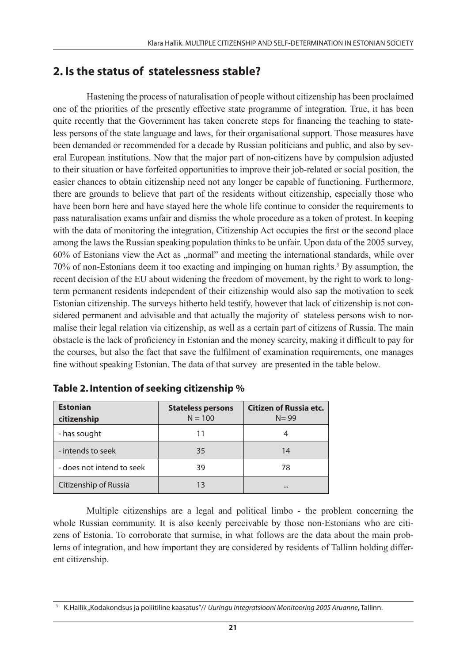## **2. Is the status of statelessness stable?**

Hastening the process of naturalisation of people without citizenship has been proclaimed one of the priorities of the presently effective state programme of integration. True, it has been quite recently that the Government has taken concrete steps for financing the teaching to stateless persons of the state language and laws, for their organisational support. Those measures have been demanded or recommended for a decade by Russian politicians and public, and also by several European institutions. Now that the major part of non-citizens have by compulsion adjusted to their situation or have forfeited opportunities to improve their job-related or social position, the easier chances to obtain citizenship need not any longer be capable of functioning. Furthermore, there are grounds to believe that part of the residents without citizenship, especially those who have been born here and have stayed here the whole life continue to consider the requirements to pass naturalisation exams unfair and dismiss the whole procedure as a token of protest. In keeping with the data of monitoring the integration, Citizenship Act occupies the first or the second place among the laws the Russian speaking population thinks to be unfair. Upon data of the 2005 survey, 60% of Estonians view the Act as "normal" and meeting the international standards, while over 70% of non-Estonians deem it too exacting and impinging on human rights.3 By assumption, the recent decision of the EU about widening the freedom of movement, by the right to work to longterm permanent residents independent of their citizenship would also sap the motivation to seek Estonian citizenship. The surveys hitherto held testify, however that lack of citizenship is not considered permanent and advisable and that actually the majority of stateless persons wish to normalise their legal relation via citizenship, as well as a certain part of citizens of Russia. The main obstacle is the lack of proficiency in Estonian and the money scarcity, making it difficult to pay for the courses, but also the fact that save the fulfilment of examination requirements, one manages fine without speaking Estonian. The data of that survey are presented in the table below.

| <b>Estonian</b><br>citizenship | <b>Stateless persons</b><br>$N = 100$ | Citizen of Russia etc.<br>$N = 99$ |
|--------------------------------|---------------------------------------|------------------------------------|
| - has sought                   | 11                                    |                                    |
| - intends to seek              | 35                                    | 14                                 |
| - does not intend to seek      | 39                                    | 78                                 |
| Citizenship of Russia          | 13                                    |                                    |

| Table 2. Intention of seeking citizenship % |  |  |  |
|---------------------------------------------|--|--|--|
|---------------------------------------------|--|--|--|

Multiple citizenships are a legal and political limbo - the problem concerning the whole Russian community. It is also keenly perceivable by those non-Estonians who are citizens of Estonia. To corroborate that surmise, in what follows are the data about the main problems of integration, and how important they are considered by residents of Tallinn holding different citizenship.

<sup>3</sup> K.Hallik "Kodakondsus ja poliitiline kaasatus"// *Uuringu Integratsiooni Monitooring 2005 Aruanne*, Tallinn.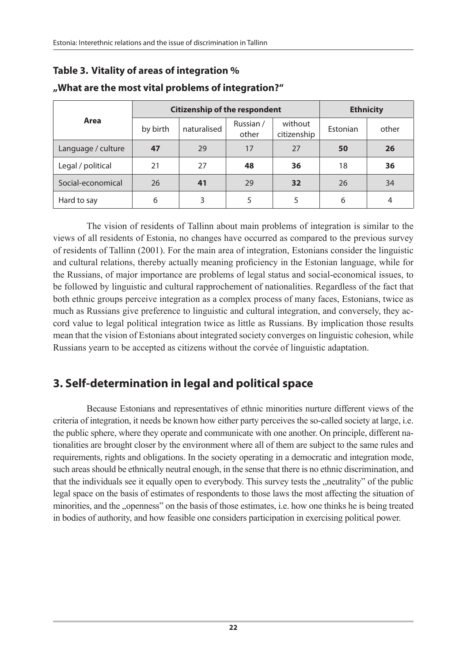## **Table 3. Vitality of areas of integration %**

|                    |          | <b>Citizenship of the respondent</b> | <b>Ethnicity</b>   |                        |          |       |
|--------------------|----------|--------------------------------------|--------------------|------------------------|----------|-------|
| Area               | by birth | naturalised                          | Russian /<br>other | without<br>citizenship | Estonian | other |
| Language / culture | 47       | 29                                   | 17                 | 27                     | 50       | 26    |
| Legal / political  | 21       | 27                                   | 48                 | 36                     | 18       | 36    |
| Social-economical  | 26       | 41                                   | 29                 | 32                     | 26       | 34    |
| Hard to say        | 6        | 3                                    | 5                  | 5                      | 6        | 4     |

### **"What are the most vital problems of integration?"**

The vision of residents of Tallinn about main problems of integration is similar to the views of all residents of Estonia, no changes have occurred as compared to the previous survey of residents of Tallinn (2001). For the main area of integration, Estonians consider the linguistic and cultural relations, thereby actually meaning proficiency in the Estonian language, while for the Russians, of major importance are problems of legal status and social-economical issues, to be followed by linguistic and cultural rapprochement of nationalities. Regardless of the fact that both ethnic groups perceive integration as a complex process of many faces, Estonians, twice as much as Russians give preference to linguistic and cultural integration, and conversely, they accord value to legal political integration twice as little as Russians. By implication those results mean that the vision of Estonians about integrated society converges on linguistic cohesion, while Russians yearn to be accepted as citizens without the corvée of linguistic adaptation.

# **3. Self-determination in legal and political space**

Because Estonians and representatives of ethnic minorities nurture different views of the criteria of integration, it needs be known how either party perceives the so-called society at large, i.e. the public sphere, where they operate and communicate with one another. On principle, different nationalities are brought closer by the environment where all of them are subject to the same rules and requirements, rights and obligations. In the society operating in a democratic and integration mode, such areas should be ethnically neutral enough, in the sense that there is no ethnic discrimination, and that the individuals see it equally open to everybody. This survey tests the "neutrality" of the public legal space on the basis of estimates of respondents to those laws the most affecting the situation of minorities, and the "openness" on the basis of those estimates, i.e. how one thinks he is being treated in bodies of authority, and how feasible one considers participation in exercising political power.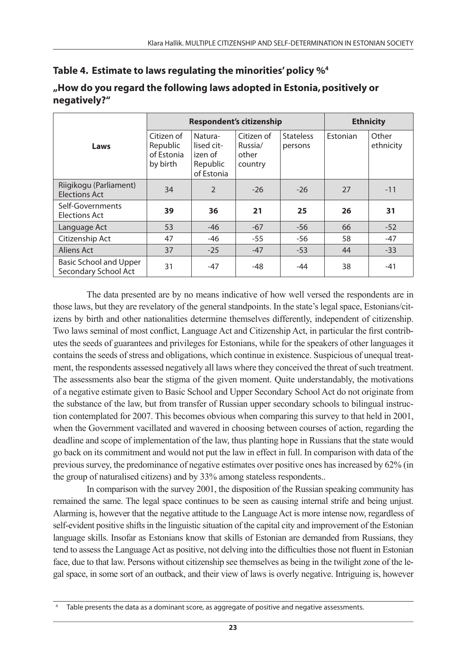|                                                | <b>Respondent's citizenship</b>                  |                                                            |                                           |                             | <b>Ethnicity</b> |                    |
|------------------------------------------------|--------------------------------------------------|------------------------------------------------------------|-------------------------------------------|-----------------------------|------------------|--------------------|
| Laws                                           | Citizen of<br>Republic<br>of Estonia<br>by birth | Natura-<br>lised cit-<br>izen of<br>Republic<br>of Estonia | Citizen of<br>Russia/<br>other<br>country | <b>Stateless</b><br>persons | Estonian         | Other<br>ethnicity |
| Riigikogu (Parliament)<br><b>Elections Act</b> | 34                                               | $\mathfrak{D}$                                             | $-26$                                     | $-26$                       | 27               | $-11$              |
| Self-Governments<br>Elections Act              | 39                                               | 36                                                         | 21                                        | 25                          | 26               | 31                 |
| Language Act                                   | 53                                               | $-46$                                                      | $-67$                                     | $-56$                       | 66               | $-52$              |
| Citizenship Act                                | 47                                               | $-46$                                                      | $-55$                                     | $-56$                       | 58               | $-47$              |
| Aliens Act                                     | 37                                               | $-25$                                                      | $-47$                                     | $-53$                       | 44               | $-33$              |
| Basic School and Upper<br>Secondary School Act | 31                                               | $-47$                                                      | -48                                       | -44                         | 38               | $-41$              |

### **"How do you regard the following laws adopted in Estonia, positively or negatively?"**

The data presented are by no means indicative of how well versed the respondents are in those laws, but they are revelatory of the general standpoints. In the state's legal space, Estonians/citizens by birth and other nationalities determine themselves differently, independent of citizenship. Two laws seminal of most conflict, Language Act and Citizenship Act, in particular the first contributes the seeds of guarantees and privileges for Estonians, while for the speakers of other languages it contains the seeds of stress and obligations, which continue in existence. Suspicious of unequal treatment, the respondents assessed negatively all laws where they conceived the threat of such treatment. The assessments also bear the stigma of the given moment. Quite understandably, the motivations of a negative estimate given to Basic School and Upper Secondary School Act do not originate from the substance of the law, but from transfer of Russian upper secondary schools to bilingual instruction contemplated for 2007. This becomes obvious when comparing this survey to that held in 2001, when the Government vacillated and wavered in choosing between courses of action, regarding the deadline and scope of implementation of the law, thus planting hope in Russians that the state would go back on its commitment and would not put the law in effect in full. In comparison with data of the previous survey, the predominance of negative estimates over positive ones has increased by 62% (in the group of naturalised citizens) and by 33% among stateless respondents..

In comparison with the survey 2001, the disposition of the Russian speaking community has remained the same. The legal space continues to be seen as causing internal strife and being unjust. Alarming is, however that the negative attitude to the Language Act is more intense now, regardless of self-evident positive shifts in the linguistic situation of the capital city and improvement of the Estonian language skills. Insofar as Estonians know that skills of Estonian are demanded from Russians, they tend to assess the Language Act as positive, not delving into the difficulties those not fluent in Estonian face, due to that law. Persons without citizenship see themselves as being in the twilight zone of the legal space, in some sort of an outback, and their view of laws is overly negative. Intriguing is, however

Table presents the data as a dominant score, as aggregate of positive and negative assessments.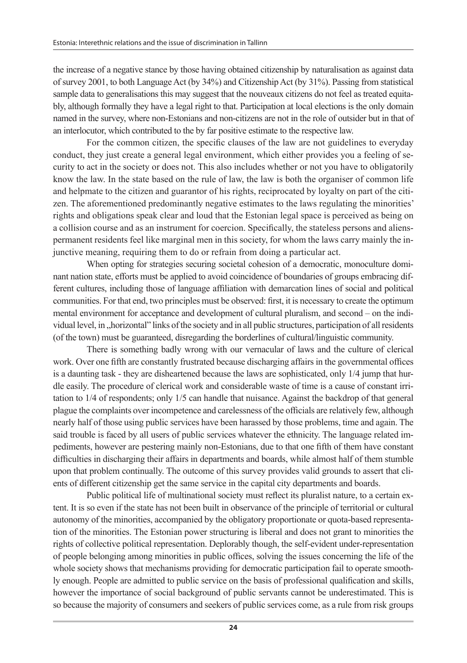the increase of a negative stance by those having obtained citizenship by naturalisation as against data of survey 2001, to both Language Act (by 34%) and Citizenship Act (by 31%). Passing from statistical sample data to generalisations this may suggest that the nouveaux citizens do not feel as treated equitably, although formally they have a legal right to that. Participation at local elections is the only domain named in the survey, where non-Estonians and non-citizens are not in the role of outsider but in that of an interlocutor, which contributed to the by far positive estimate to the respective law.

For the common citizen, the specific clauses of the law are not guidelines to everyday conduct, they just create a general legal environment, which either provides you a feeling of security to act in the society or does not. This also includes whether or not you have to obligatorily know the law. In the state based on the rule of law, the law is both the organiser of common life and helpmate to the citizen and guarantor of his rights, reciprocated by loyalty on part of the citizen. The aforementioned predominantly negative estimates to the laws regulating the minorities' rights and obligations speak clear and loud that the Estonian legal space is perceived as being on a collision course and as an instrument for coercion. Specifically, the stateless persons and alienspermanent residents feel like marginal men in this society, for whom the laws carry mainly the injunctive meaning, requiring them to do or refrain from doing a particular act.

When opting for strategies securing societal cohesion of a democratic, monoculture dominant nation state, efforts must be applied to avoid coincidence of boundaries of groups embracing different cultures, including those of language affiliation with demarcation lines of social and political communities. For that end, two principles must be observed: first, it is necessary to create the optimum mental environment for acceptance and development of cultural pluralism, and second – on the individual level, in "horizontal" links of the society and in all public structures, participation of all residents (of the town) must be guaranteed, disregarding the borderlines of cultural/linguistic community.

There is something badly wrong with our vernacular of laws and the culture of clerical work. Over one fifth are constantly frustrated because discharging affairs in the governmental offices is a daunting task - they are disheartened because the laws are sophisticated, only 1/4 jump that hurdle easily. The procedure of clerical work and considerable waste of time is a cause of constant irritation to 1/4 of respondents; only 1/5 can handle that nuisance. Against the backdrop of that general plague the complaints over incompetence and carelessness of the officials are relatively few, although nearly half of those using public services have been harassed by those problems, time and again. The said trouble is faced by all users of public services whatever the ethnicity. The language related impediments, however are pestering mainly non-Estonians, due to that one fifth of them have constant difficulties in discharging their affairs in departments and boards, while almost half of them stumble upon that problem continually. The outcome of this survey provides valid grounds to assert that clients of different citizenship get the same service in the capital city departments and boards.

Public political life of multinational society must reflect its pluralist nature, to a certain extent. It is so even if the state has not been built in observance of the principle of territorial or cultural autonomy of the minorities, accompanied by the obligatory proportionate or quota-based representation of the minorities. The Estonian power structuring is liberal and does not grant to minorities the rights of collective political representation. Deplorably though, the self-evident under-representation of people belonging among minorities in public offices, solving the issues concerning the life of the whole society shows that mechanisms providing for democratic participation fail to operate smoothly enough. People are admitted to public service on the basis of professional qualification and skills, however the importance of social background of public servants cannot be underestimated. This is so because the majority of consumers and seekers of public services come, as a rule from risk groups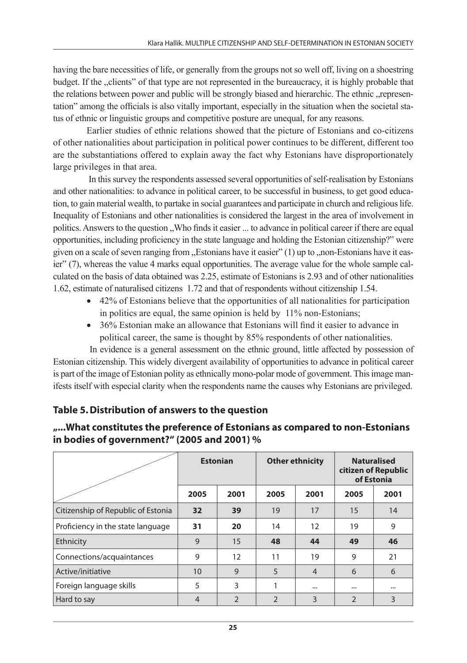having the bare necessities of life, or generally from the groups not so well off, living on a shoestring budget. If the "clients" of that type are not represented in the bureaucracy, it is highly probable that the relations between power and public will be strongly biased and hierarchic. The ethnic , representation" among the officials is also vitally important, especially in the situation when the societal status of ethnic or linguistic groups and competitive posture are unequal, for any reasons.

Earlier studies of ethnic relations showed that the picture of Estonians and co-citizens of other nationalities about participation in political power continues to be different, different too are the substantiations offered to explain away the fact why Estonians have disproportionately large privileges in that area.

 In this survey the respondents assessed several opportunities of self-realisation by Estonians and other nationalities: to advance in political career, to be successful in business, to get good education, to gain material wealth, to partake in social guarantees and participate in church and religious life. Inequality of Estonians and other nationalities is considered the largest in the area of involvement in politics. Answers to the question . Who finds it easier ... to advance in political career if there are equal opportunities, including proficiency in the state language and holding the Estonian citizenship?" were given on a scale of seven ranging from  $\alpha$ . Estonians have it easier" (1) up to  $\alpha$ , non-Estonians have it easier" (7), whereas the value 4 marks equal opportunities. The average value for the whole sample calculated on the basis of data obtained was 2.25, estimate of Estonians is 2.93 and of other nationalities 1.62, estimate of naturalised citizens 1.72 and that of respondents without citizenship 1.54.

- $\bullet$  42% of Estonians believe that the opportunities of all nationalities for participation in politics are equal, the same opinion is held by 11% non-Estonians;
- 36% Estonian make an allowance that Estonians will find it easier to advance in political career, the same is thought by 85% respondents of other nationalities.

 In evidence is a general assessment on the ethnic ground, little affected by possession of Estonian citizenship. This widely divergent availability of opportunities to advance in political career is part of the image of Estonian polity as ethnically mono-polar mode of government. This image manifests itself with especial clarity when the respondents name the causes why Estonians are privileged.

## **Table 5. Distribution of answers to the question**

|                                    | <b>Estonian</b><br>2001<br>2005 |                |                | <b>Other ethnicity</b> | <b>Naturalised</b><br>citizen of Republic<br>of Estonia |          |
|------------------------------------|---------------------------------|----------------|----------------|------------------------|---------------------------------------------------------|----------|
|                                    |                                 |                | 2005           | 2001                   | 2005                                                    | 2001     |
| Citizenship of Republic of Estonia | 32                              | 39             | 19             | 17                     | 15                                                      | 14       |
| Proficiency in the state language  | 31                              | 20             | 14             | 12                     | 19                                                      | 9        |
| Ethnicity                          | 9                               | 15             | 48             | 44                     | 49                                                      | 46       |
| Connections/acquaintances          | 9                               | 12             | 11             | 19                     | 9                                                       | 21       |
| Active/initiative                  | 10                              | 9              | 5              | $\overline{4}$         | 6                                                       | 6        |
| Foreign language skills            | 5                               | 3              |                | $\cdots$               | $\cdots$                                                | $\cdots$ |
| Hard to say                        | $\overline{4}$                  | $\overline{2}$ | $\overline{2}$ | 3                      | $\overline{2}$                                          | 3        |

### **"...What constitutes the preference of Estonians as compared to non-Estonians in bodies of government?" (2005 and 2001) %**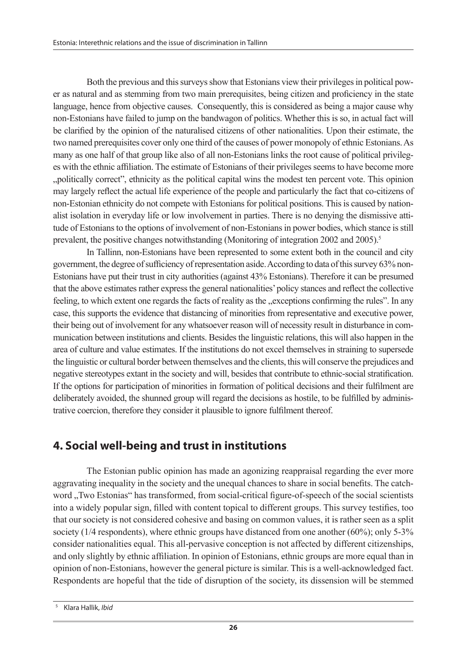Both the previous and this surveys show that Estonians view their privileges in political power as natural and as stemming from two main prerequisites, being citizen and proficiency in the state language, hence from objective causes. Consequently, this is considered as being a major cause why non-Estonians have failed to jump on the bandwagon of politics. Whether this is so, in actual fact will be clarified by the opinion of the naturalised citizens of other nationalities. Upon their estimate, the two named prerequisites cover only one third of the causes of power monopoly of ethnic Estonians. As many as one half of that group like also of all non-Estonians links the root cause of political privileges with the ethnic affiliation. The estimate of Estonians of their privileges seems to have become more "politically correct", ethnicity as the political capital wins the modest ten percent vote. This opinion may largely reflect the actual life experience of the people and particularly the fact that co-citizens of non-Estonian ethnicity do not compete with Estonians for political positions. This is caused by nationalist isolation in everyday life or low involvement in parties. There is no denying the dismissive attitude of Estonians to the options of involvement of non-Estonians in power bodies, which stance is still prevalent, the positive changes notwithstanding (Monitoring of integration 2002 and 2005).<sup>5</sup>

In Tallinn, non-Estonians have been represented to some extent both in the council and city government, the degree of sufficiency of representation aside. According to data of this survey 63% non-Estonians have put their trust in city authorities (against 43% Estonians). Therefore it can be presumed that the above estimates rather express the general nationalities' policy stances and reflect the collective feeling, to which extent one regards the facts of reality as the "exceptions confirming the rules". In any case, this supports the evidence that distancing of minorities from representative and executive power, their being out of involvement for any whatsoever reason will of necessity result in disturbance in communication between institutions and clients. Besides the linguistic relations, this will also happen in the area of culture and value estimates. If the institutions do not excel themselves in straining to supersede the linguistic or cultural border between themselves and the clients, this will conserve the prejudices and negative stereotypes extant in the society and will, besides that contribute to ethnic-social stratification. If the options for participation of minorities in formation of political decisions and their fulfilment are deliberately avoided, the shunned group will regard the decisions as hostile, to be fulfilled by administrative coercion, therefore they consider it plausible to ignore fulfilment thereof.

## **4. Social well-being and trust in institutions**

The Estonian public opinion has made an agonizing reappraisal regarding the ever more aggravating inequality in the society and the unequal chances to share in social benefits. The catchword "Two Estonias" has transformed, from social-critical figure-of-speech of the social scientists into a widely popular sign, filled with content topical to different groups. This survey testifies, too that our society is not considered cohesive and basing on common values, it is rather seen as a split society (1/4 respondents), where ethnic groups have distanced from one another (60%); only 5-3% consider nationalities equal. This all-pervasive conception is not affected by different citizenships, and only slightly by ethnic affiliation. In opinion of Estonians, ethnic groups are more equal than in opinion of non-Estonians, however the general picture is similar. This is a well-acknowledged fact. Respondents are hopeful that the tide of disruption of the society, its dissension will be stemmed

<sup>5</sup> Klara Hallik, *Ibid*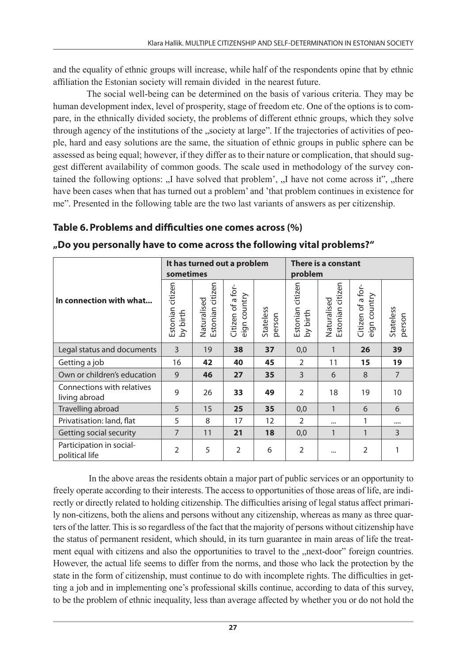and the equality of ethnic groups will increase, while half of the respondents opine that by ethnic affiliation the Estonian society will remain divided in the nearest future.

The social well-being can be determined on the basis of various criteria. They may be human development index, level of prosperity, stage of freedom etc. One of the options is to compare, in the ethnically divided society, the problems of different ethnic groups, which they solve through agency of the institutions of the "society at large". If the trajectories of activities of people, hard and easy solutions are the same, the situation of ethnic groups in public sphere can be assessed as being equal; however, if they differ as to their nature or complication, that should suggest different availability of common goods. The scale used in methodology of the survey contained the following options: "I have solved that problem', "I have not come across it", "there have been cases when that has turned out a problem' and 'that problem continues in existence for me". Presented in the following table are the two last variants of answers as per citizenship.

### **Table 6. Problems and difficulties one comes across (%)**

|                                             | sometimes                       |                                 | It has turned out a problem          |                     | There is a constant<br>problem |                                 |                                      |                     |
|---------------------------------------------|---------------------------------|---------------------------------|--------------------------------------|---------------------|--------------------------------|---------------------------------|--------------------------------------|---------------------|
| In connection with what                     | citizen<br>Estonian<br>by birth | Estonian citizen<br>Naturalised | Citizen of a for-<br>country<br>eign | Stateless<br>oerson | Estonian citizen<br>by birth   | Estonian citizen<br>Naturalised | Citizen of a for-<br>country<br>eign | Stateless<br>person |
| Legal status and documents                  | 3                               | 19                              | 38                                   | 37                  | 0,0                            | 1                               | 26                                   | 39                  |
| Getting a job                               | 16                              | 42                              | 40                                   | 45                  | $\overline{2}$                 | 11                              | 15                                   | 19                  |
| Own or children's education                 | 9                               | 46                              | 27                                   | 35                  | 3                              | 6                               | 8                                    | $\overline{7}$      |
| Connections with relatives<br>living abroad | 9                               | 26                              | 33                                   | 49                  | $\overline{2}$                 | 18                              | 19                                   | 10                  |
| Travelling abroad                           | 5                               | 15                              | 25                                   | 35                  | 0,0                            | $\mathbf{1}$                    | 6                                    | 6                   |
| Privatisation: land, flat                   | 5                               | 8                               | 17                                   | 12                  | $\overline{2}$                 |                                 | 1                                    |                     |
| Getting social security                     | $\overline{7}$                  | 11                              | 21                                   | 18                  | 0,0                            | 1                               | 1                                    | 3                   |
| Participation in social-<br>political life  | $\overline{2}$                  | 5                               | $\overline{2}$                       | 6                   | $\overline{2}$                 | $\cdots$                        | $\overline{2}$                       | 1                   |

**"Do you personally have to come across the following vital problems?"** 

 In the above areas the residents obtain a major part of public services or an opportunity to freely operate according to their interests. The access to opportunities of those areas of life, are indirectly or directly related to holding citizenship. The difficulties arising of legal status affect primarily non-citizens, both the aliens and persons without any citizenship, whereas as many as three quarters of the latter. This is so regardless of the fact that the majority of persons without citizenship have the status of permanent resident, which should, in its turn guarantee in main areas of life the treatment equal with citizens and also the opportunities to travel to the "next-door" foreign countries. However, the actual life seems to differ from the norms, and those who lack the protection by the state in the form of citizenship, must continue to do with incomplete rights. The difficulties in getting a job and in implementing one's professional skills continue, according to data of this survey, to be the problem of ethnic inequality, less than average affected by whether you or do not hold the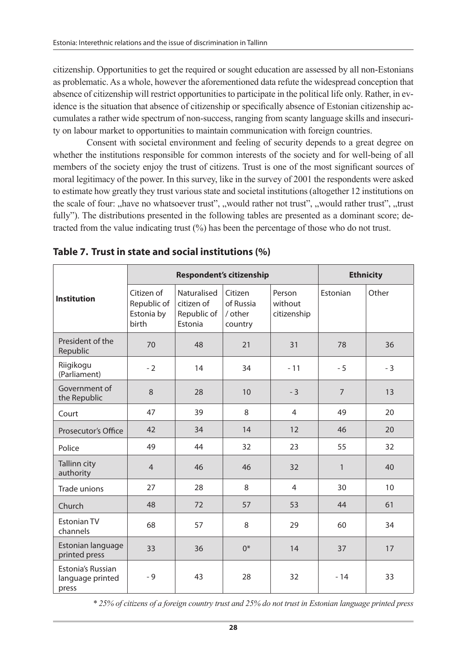citizenship. Opportunities to get the required or sought education are assessed by all non-Estonians as problematic. As a whole, however the aforementioned data refute the widespread conception that absence of citizenship will restrict opportunities to participate in the political life only. Rather, in evidence is the situation that absence of citizenship or specifically absence of Estonian citizenship accumulates a rather wide spectrum of non-success, ranging from scanty language skills and insecurity on labour market to opportunities to maintain communication with foreign countries.

Consent with societal environment and feeling of security depends to a great degree on whether the institutions responsible for common interests of the society and for well-being of all members of the society enjoy the trust of citizens. Trust is one of the most significant sources of moral legitimacy of the power. In this survey, like in the survey of 2001 the respondents were asked to estimate how greatly they trust various state and societal institutions (altogether 12 institutions on the scale of four: "have no whatsoever trust", "would rather not trust", "would rather trust", "trust fully"). The distributions presented in the following tables are presented as a dominant score; detracted from the value indicating trust (%) has been the percentage of those who do not trust.

|                                                |                                                         |                                                     | <b>Respondent's citizenship</b>            |                                  | <b>Ethnicity</b> |       |  |
|------------------------------------------------|---------------------------------------------------------|-----------------------------------------------------|--------------------------------------------|----------------------------------|------------------|-------|--|
| <b>Institution</b>                             | Citizen of<br>Republic of<br>Estonia by<br><b>birth</b> | Naturalised<br>citizen of<br>Republic of<br>Estonia | Citizen<br>of Russia<br>/ other<br>country | Person<br>without<br>citizenship | <b>Fstonian</b>  | Other |  |
| President of the<br>Republic                   | 70                                                      | 48                                                  | 21                                         | 31                               | 78               | 36    |  |
| Riigikogu<br>(Parliament)                      | $-2$                                                    | 14                                                  | 34                                         | $-11$                            | $-5$             | $-3$  |  |
| Government of<br>the Republic                  | 8                                                       | 28                                                  | 10                                         | $-3$                             | $\overline{7}$   | 13    |  |
| Court                                          | 47                                                      | 39                                                  | 8                                          | $\overline{4}$                   | 49               | 20    |  |
| Prosecutor's Office                            | 42                                                      | 34                                                  | 14                                         | 12                               | 46               | 20    |  |
| Police                                         | 49                                                      | 44                                                  | 32                                         | 23                               | 55               | 32    |  |
| Tallinn city<br>authority                      | $\overline{4}$                                          | 46                                                  | 46                                         | 32                               | $\mathbf{1}$     | 40    |  |
| Trade unions                                   | 27                                                      | 28                                                  | 8                                          | $\overline{4}$                   | 30               | 10    |  |
| Church                                         | 48                                                      | 72                                                  | 57                                         | 53                               | 44               | 61    |  |
| <b>Fstonian TV</b><br>channels                 | 68                                                      | 57                                                  | 8                                          | 29                               | 60               | 34    |  |
| Estonian language<br>printed press             | 33                                                      | 36                                                  | $0^*$                                      | 14                               | 37               | 17    |  |
| Estonia's Russian<br>language printed<br>press | $-9$                                                    | 43                                                  | 28                                         | 32                               | $-14$            | 33    |  |

**Table 7. Trust in state and social institutions (%)**

*\* 25% of citizens of a foreign country trust and 25% do not trust in Estonian language printed press*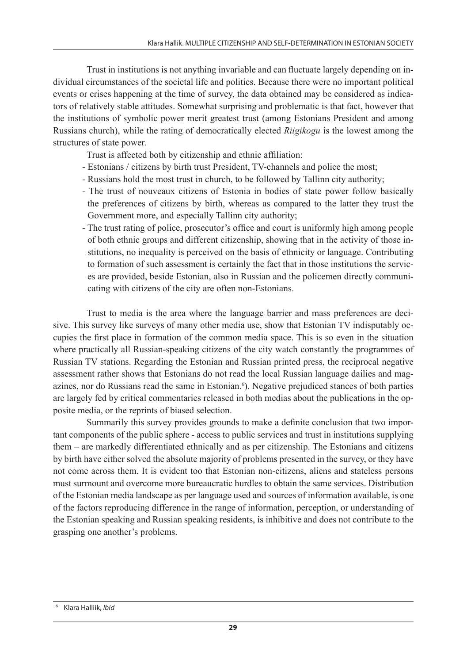Trust in institutions is not anything invariable and can fluctuate largely depending on individual circumstances of the societal life and politics. Because there were no important political events or crises happening at the time of survey, the data obtained may be considered as indicators of relatively stable attitudes. Somewhat surprising and problematic is that fact, however that the institutions of symbolic power merit greatest trust (among Estonians President and among Russians church), while the rating of democratically elected *Riigikogu* is the lowest among the structures of state power.

Trust is affected both by citizenship and ethnic affiliation:

- Estonians / citizens by birth trust President, TV-channels and police the most;
- Russians hold the most trust in church, to be followed by Tallinn city authority;
- The trust of nouveaux citizens of Estonia in bodies of state power follow basically the preferences of citizens by birth, whereas as compared to the latter they trust the Government more, and especially Tallinn city authority;
- The trust rating of police, prosecutor's office and court is uniformly high among people of both ethnic groups and different citizenship, showing that in the activity of those institutions, no inequality is perceived on the basis of ethnicity or language. Contributing to formation of such assessment is certainly the fact that in those institutions the services are provided, beside Estonian, also in Russian and the policemen directly communicating with citizens of the city are often non-Estonians.

Trust to media is the area where the language barrier and mass preferences are decisive. This survey like surveys of many other media use, show that Estonian TV indisputably occupies the first place in formation of the common media space. This is so even in the situation where practically all Russian-speaking citizens of the city watch constantly the programmes of Russian TV stations. Regarding the Estonian and Russian printed press, the reciprocal negative assessment rather shows that Estonians do not read the local Russian language dailies and magazines, nor do Russians read the same in Estonian.<sup>6</sup>). Negative prejudiced stances of both parties are largely fed by critical commentaries released in both medias about the publications in the opposite media, or the reprints of biased selection.

Summarily this survey provides grounds to make a definite conclusion that two important components of the public sphere - access to public services and trust in institutions supplying them – are markedly differentiated ethnically and as per citizenship. The Estonians and citizens by birth have either solved the absolute majority of problems presented in the survey, or they have not come across them. It is evident too that Estonian non-citizens, aliens and stateless persons must surmount and overcome more bureaucratic hurdles to obtain the same services. Distribution of the Estonian media landscape as per language used and sources of information available, is one of the factors reproducing difference in the range of information, perception, or understanding of the Estonian speaking and Russian speaking residents, is inhibitive and does not contribute to the grasping one another's problems.

<sup>6</sup> Klara Halliik, *Ibid*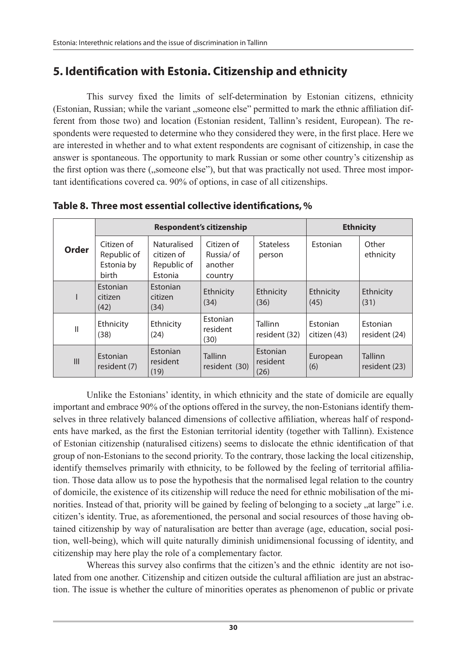# **5. Identification with Estonia. Citizenship and ethnicity**

This survey fixed the limits of self-determination by Estonian citizens, ethnicity (Estonian, Russian; while the variant "someone else" permitted to mark the ethnic affiliation different from those two) and location (Estonian resident, Tallinn's resident, European). The respondents were requested to determine who they considered they were, in the first place. Here we are interested in whether and to what extent respondents are cognisant of citizenship, in case the answer is spontaneous. The opportunity to mark Russian or some other country's citizenship as the first option was there ("someone else"), but that was practically not used. Three most important identifications covered ca. 90% of options, in case of all citizenships.

|              |                                                  | <b>Respondent's citizenship</b>                     | <b>Ethnicity</b>                               |                              |                                 |                                  |
|--------------|--------------------------------------------------|-----------------------------------------------------|------------------------------------------------|------------------------------|---------------------------------|----------------------------------|
| Order        | Citizen of<br>Republic of<br>Estonia by<br>birth | Naturalised<br>citizen of<br>Republic of<br>Estonia | Citizen of<br>Russia/ of<br>another<br>country | <b>Stateless</b><br>person   | Estonian                        | Other<br>ethnicity               |
| ı            | Estonian<br>citizen<br>(42)                      | Estonian<br>citizen<br>(34)                         | Ethnicity<br>(34)                              | Ethnicity<br>(36)            | Ethnicity<br>(45)               | Ethnicity<br>(31)                |
| $\mathsf{I}$ | Ethnicity<br>(38)                                | Ethnicity<br>(24)                                   | Estonian<br>resident<br>(30)                   | Tallinn<br>resident (32)     | <b>Estonian</b><br>citizen (43) | <b>Fstonian</b><br>resident (24) |
| III          | Estonian<br>resident (7)                         | Estonian<br>resident<br>(19)                        | Tallinn<br>resident (30)                       | Estonian<br>resident<br>(26) | European<br>(6)                 | <b>Tallinn</b><br>resident (23)  |

**Table 8. Three most essential collective identifications, %**

Unlike the Estonians' identity, in which ethnicity and the state of domicile are equally important and embrace 90% of the options offered in the survey, the non-Estonians identify themselves in three relatively balanced dimensions of collective affiliation, whereas half of respondents have marked, as the first the Estonian territorial identity (together with Tallinn). Existence of Estonian citizenship (naturalised citizens) seems to dislocate the ethnic identification of that group of non-Estonians to the second priority. To the contrary, those lacking the local citizenship, identify themselves primarily with ethnicity, to be followed by the feeling of territorial affiliation. Those data allow us to pose the hypothesis that the normalised legal relation to the country of domicile, the existence of its citizenship will reduce the need for ethnic mobilisation of the minorities. Instead of that, priority will be gained by feeling of belonging to a society "at large" i.e. citizen's identity. True, as aforementioned, the personal and social resources of those having obtained citizenship by way of naturalisation are better than average (age, education, social position, well-being), which will quite naturally diminish unidimensional focussing of identity, and citizenship may here play the role of a complementary factor.

Whereas this survey also confirms that the citizen's and the ethnic identity are not isolated from one another. Citizenship and citizen outside the cultural affiliation are just an abstraction. The issue is whether the culture of minorities operates as phenomenon of public or private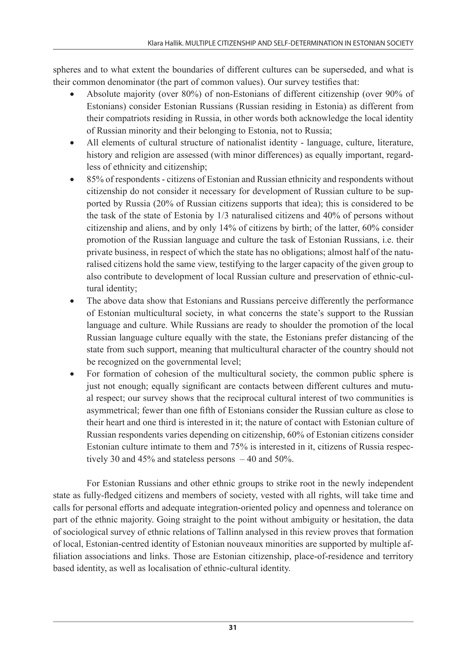spheres and to what extent the boundaries of different cultures can be superseded, and what is their common denominator (the part of common values). Our survey testifies that:

- Absolute majority (over  $80\%$ ) of non-Estonians of different citizenship (over  $90\%$  of Estonians) consider Estonian Russians (Russian residing in Estonia) as different from their compatriots residing in Russia, in other words both acknowledge the local identity of Russian minority and their belonging to Estonia, not to Russia;
- All elements of cultural structure of nationalist identity language, culture, literature, history and religion are assessed (with minor differences) as equally important, regardless of ethnicity and citizenship;
- 85% of respondents citizens of Estonian and Russian ethnicity and respondents without citizenship do not consider it necessary for development of Russian culture to be supported by Russia (20% of Russian citizens supports that idea); this is considered to be the task of the state of Estonia by 1/3 naturalised citizens and 40% of persons without citizenship and aliens, and by only 14% of citizens by birth; of the latter, 60% consider promotion of the Russian language and culture the task of Estonian Russians, i.e. their private business, in respect of which the state has no obligations; almost half of the naturalised citizens hold the same view, testifying to the larger capacity of the given group to also contribute to development of local Russian culture and preservation of ethnic-cultural identity;
- The above data show that Estonians and Russians perceive differently the performance of Estonian multicultural society, in what concerns the state's support to the Russian language and culture. While Russians are ready to shoulder the promotion of the local Russian language culture equally with the state, the Estonians prefer distancing of the state from such support, meaning that multicultural character of the country should not be recognized on the governmental level;
- For formation of cohesion of the multicultural society, the common public sphere is just not enough; equally significant are contacts between different cultures and mutual respect; our survey shows that the reciprocal cultural interest of two communities is asymmetrical; fewer than one fifth of Estonians consider the Russian culture as close to their heart and one third is interested in it; the nature of contact with Estonian culture of Russian respondents varies depending on citizenship, 60% of Estonian citizens consider Estonian culture intimate to them and 75% is interested in it, citizens of Russia respectively 30 and 45% and stateless persons  $-40$  and 50%.

For Estonian Russians and other ethnic groups to strike root in the newly independent state as fully-fledged citizens and members of society, vested with all rights, will take time and calls for personal efforts and adequate integration-oriented policy and openness and tolerance on part of the ethnic majority. Going straight to the point without ambiguity or hesitation, the data of sociological survey of ethnic relations of Tallinn analysed in this review proves that formation of local, Estonian-centred identity of Estonian nouveaux minorities are supported by multiple affiliation associations and links. Those are Estonian citizenship, place-of-residence and territory based identity, as well as localisation of ethnic-cultural identity.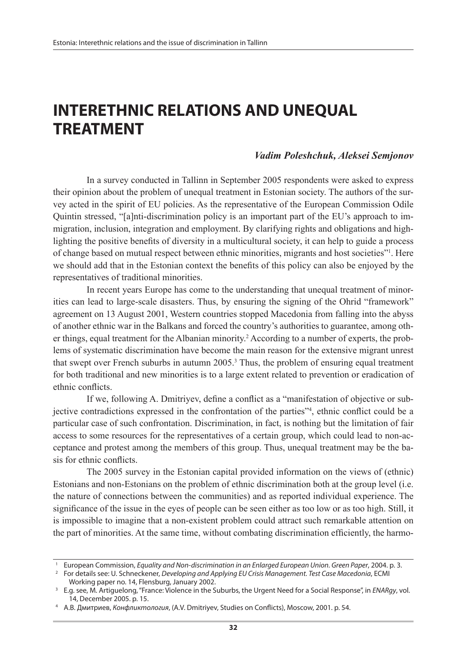# **INTERETHNIC RELATIONS AND UNEQUAL TREATMENT**

#### *Vadim Poleshchuk, Aleksei Semjonov*

In a survey conducted in Tallinn in September 2005 respondents were asked to express their opinion about the problem of unequal treatment in Estonian society. The authors of the survey acted in the spirit of EU policies. As the representative of the European Commission Odile Quintin stressed, "[a]nti-discrimination policy is an important part of the EU's approach to immigration, inclusion, integration and employment. By clarifying rights and obligations and highlighting the positive benefits of diversity in a multicultural society, it can help to guide a process of change based on mutual respect between ethnic minorities, migrants and host societies"1 . Here we should add that in the Estonian context the benefits of this policy can also be enjoyed by the representatives of traditional minorities.

In recent years Europe has come to the understanding that unequal treatment of minorities can lead to large-scale disasters. Thus, by ensuring the signing of the Ohrid "framework" agreement on 13 August 2001, Western countries stopped Macedonia from falling into the abyss of another ethnic war in the Balkans and forced the country's authorities to guarantee, among other things, equal treatment for the Albanian minority.<sup>2</sup> According to a number of experts, the problems of systematic discrimination have become the main reason for the extensive migrant unrest that swept over French suburbs in autumn  $2005$ .<sup>3</sup> Thus, the problem of ensuring equal treatment for both traditional and new minorities is to a large extent related to prevention or eradication of ethnic conflicts.

If we, following A. Dmitriyev, define a conflict as a "manifestation of objective or subjective contradictions expressed in the confrontation of the parties"4 , ethnic conflict could be a particular case of such confrontation. Discrimination, in fact, is nothing but the limitation of fair access to some resources for the representatives of a certain group, which could lead to non-acceptance and protest among the members of this group. Thus, unequal treatment may be the basis for ethnic conflicts.

The 2005 survey in the Estonian capital provided information on the views of (ethnic) Estonians and non-Estonians on the problem of ethnic discrimination both at the group level (i.e. the nature of connections between the communities) and as reported individual experience. The significance of the issue in the eyes of people can be seen either as too low or as too high. Still, it is impossible to imagine that a non-existent problem could attract such remarkable attention on the part of minorities. At the same time, without combating discrimination efficiently, the harmo-

<sup>1</sup> European Commission, *Equality and Non-discrimination in an Enlarged European Union. Green Paper*, 2004. p. 3.

<sup>2</sup> For details see: U. Schneckener, *Developing and Applying EU Crisis Management. Test Case Macedonia*, ECMI Working paper no. 14, Flensburg, January 2002.

<sup>3</sup> E.g. see, M. Artiguelong, "France: Violence in the Suburbs, the Urgent Need for a Social Response", in *ENARgy*, vol. 14, December 2005. p. 15.

<sup>4</sup> А.В. Дмитриев, *Конфликтология*, (A.V. Dmitriyev, Studies on Conflicts), Мoscow, 2001. p. 54.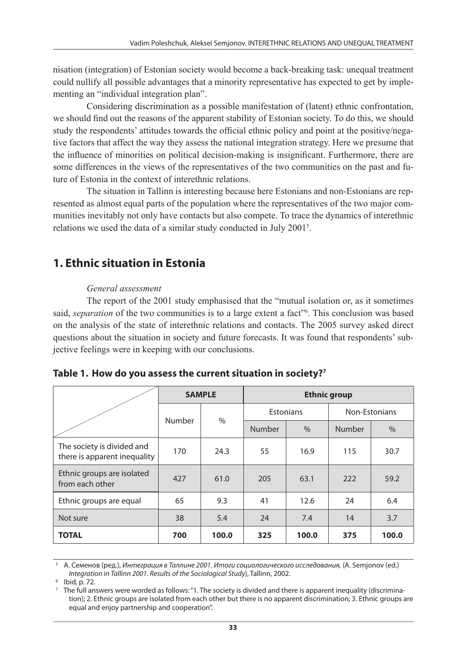nisation (integration) of Estonian society would become a back-breaking task: unequal treatment could nullify all possible advantages that a minority representative has expected to get by implementing an "individual integration plan".

Considering discrimination as a possible manifestation of (latent) ethnic confrontation, we should find out the reasons of the apparent stability of Estonian society. To do this, we should study the respondents' attitudes towards the official ethnic policy and point at the positive/negative factors that affect the way they assess the national integration strategy. Here we presume that the influence of minorities on political decision-making is insignificant. Furthermore, there are some differences in the views of the representatives of the two communities on the past and future of Estonia in the context of interethnic relations.

The situation in Tallinn is interesting because here Estonians and non-Estonians are represented as almost equal parts of the population where the representatives of the two major communities inevitably not only have contacts but also compete. To trace the dynamics of interethnic relations we used the data of a similar study conducted in July 20015 .

# **1. Ethnic situation in Estonia**

### *General assessment*

The report of the 2001 study emphasised that the "mutual isolation or, as it sometimes said, *separation* of the two communities is to a large extent a fact<sup>36</sup>. This conclusion was based on the analysis of the state of interethnic relations and contacts. The 2005 survey asked direct questions about the situation in society and future forecasts. It was found that respondents' subjective feelings were in keeping with our conclusions.

|                                                            | <b>SAMPLE</b> |       | <b>Ethnic group</b> |           |        |               |  |
|------------------------------------------------------------|---------------|-------|---------------------|-----------|--------|---------------|--|
|                                                            | Number        | $\%$  |                     | Estonians |        | Non-Estonians |  |
|                                                            |               |       | Number              | $\%$      | Number | $\%$          |  |
| The society is divided and<br>there is apparent inequality | 170           | 24.3  | 55                  | 16.9      | 115    | 30.7          |  |
| Ethnic groups are isolated<br>from each other              | 427           | 61.0  | 205                 | 63.1      | 222    | 59.2          |  |
| Ethnic groups are equal                                    | 65            | 9.3   | 41                  | 12.6      | 24     | 6.4           |  |
| Not sure                                                   | 38            | 5.4   | 24                  | 7.4       | 14     | 3.7           |  |
| <b>TOTAL</b>                                               | 700           | 100.0 | 325                 | 100.0     | 375    | 100.0         |  |

| Table 1. How do you assess the current situation in society?7 |  |
|---------------------------------------------------------------|--|
|---------------------------------------------------------------|--|

<sup>5</sup> А. Семенов (ред.), *Интеграция в Таллине 2001. Итоги социологического исследования,* (A. Semjonov (ed.) *Integration in Tallinn 2001. Results of the Sociological Study*), Tallinn, 2002.

<sup>6</sup> Ibid, p. 72.

 $^7$  The full answers were worded as follows: "1. The society is divided and there is apparent inequality (discrimination); 2. Ethnic groups are isolated from each other but there is no apparent discrimination; 3. Ethnic groups are equal and enjoy partnership and cooperation".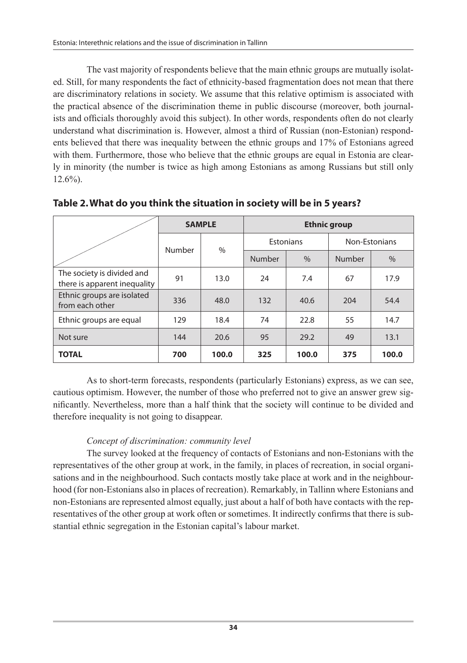The vast majority of respondents believe that the main ethnic groups are mutually isolated. Still, for many respondents the fact of ethnicity-based fragmentation does not mean that there are discriminatory relations in society. We assume that this relative optimism is associated with the practical absence of the discrimination theme in public discourse (moreover, both journalists and officials thoroughly avoid this subject). In other words, respondents often do not clearly understand what discrimination is. However, almost a third of Russian (non-Estonian) respondents believed that there was inequality between the ethnic groups and 17% of Estonians agreed with them. Furthermore, those who believe that the ethnic groups are equal in Estonia are clearly in minority (the number is twice as high among Estonians as among Russians but still only 12.6%).

|                                                            |        | <b>SAMPLE</b> | <b>Ethnic group</b> |               |               |       |  |
|------------------------------------------------------------|--------|---------------|---------------------|---------------|---------------|-------|--|
|                                                            |        | $\%$          | Estonians           |               | Non-Estonians |       |  |
|                                                            | Number |               | Number              | $\frac{0}{0}$ | Number        | $\%$  |  |
| The society is divided and<br>there is apparent inequality | 91     | 13.0          | 24                  | 7.4           | 67            | 17.9  |  |
| Ethnic groups are isolated<br>from each other              | 336    | 48.0          | 132                 | 40.6          | 204           | 54.4  |  |
| Ethnic groups are equal                                    | 129    | 18.4          | 74                  | 22.8          | 55            | 14.7  |  |
| Not sure                                                   | 144    | 20.6          | 95                  | 29.2          | 49            | 13.1  |  |
| <b>TOTAL</b>                                               | 700    | 100.0         | 325                 | 100.0         | 375           | 100.0 |  |

**Table 2. What do you think the situation in society will be in 5 years?**

As to short-term forecasts, respondents (particularly Estonians) express, as we can see, cautious optimism. However, the number of those who preferred not to give an answer grew significantly. Nevertheless, more than a half think that the society will continue to be divided and therefore inequality is not going to disappear.

### *Concept of discrimination: community level*

The survey looked at the frequency of contacts of Estonians and non-Estonians with the representatives of the other group at work, in the family, in places of recreation, in social organisations and in the neighbourhood. Such contacts mostly take place at work and in the neighbourhood (for non-Estonians also in places of recreation). Remarkably, in Tallinn where Estonians and non-Estonians are represented almost equally, just about a half of both have contacts with the representatives of the other group at work often or sometimes. It indirectly confirms that there is substantial ethnic segregation in the Estonian capital's labour market.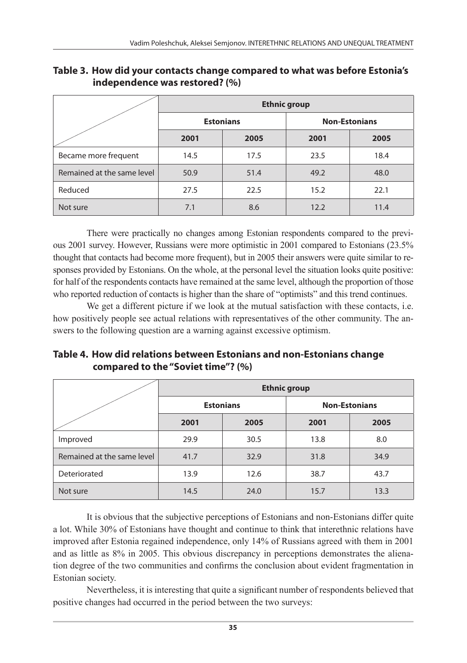|                            | <b>Ethnic group</b> |                  |      |                      |  |  |  |  |
|----------------------------|---------------------|------------------|------|----------------------|--|--|--|--|
|                            |                     | <b>Estonians</b> |      | <b>Non-Estonians</b> |  |  |  |  |
|                            | 2001                | 2005             | 2001 | 2005                 |  |  |  |  |
| Became more frequent       | 14.5                | 17.5             | 23.5 | 18.4                 |  |  |  |  |
| Remained at the same level | 50.9                | 51.4             | 49.2 | 48.0                 |  |  |  |  |
| Reduced                    | 27.5                | 22.5             | 15.2 | 22.1                 |  |  |  |  |
| Not sure                   | 7.1                 | 8.6              | 12.2 | 11.4                 |  |  |  |  |

**Table 3. How did your contacts change compared to what was before Estonia's independence was restored? (%)**

There were practically no changes among Estonian respondents compared to the previous 2001 survey. However, Russians were more optimistic in 2001 compared to Estonians (23.5% thought that contacts had become more frequent), but in 2005 their answers were quite similar to responses provided by Estonians. On the whole, at the personal level the situation looks quite positive: for half of the respondents contacts have remained at the same level, although the proportion of those who reported reduction of contacts is higher than the share of "optimists" and this trend continues.

We get a different picture if we look at the mutual satisfaction with these contacts, i.e. how positively people see actual relations with representatives of the other community. The answers to the following question are a warning against excessive optimism.

**Table 4. How did relations between Estonians and non-Estonians change compared to the "Soviet time"? (%)**

|                            | <b>Ethnic group</b> |                  |      |                      |  |  |  |  |
|----------------------------|---------------------|------------------|------|----------------------|--|--|--|--|
|                            |                     | <b>Estonians</b> |      | <b>Non-Estonians</b> |  |  |  |  |
|                            | 2001                | 2005             | 2001 | 2005                 |  |  |  |  |
| Improved                   | 29.9                | 30.5             | 13.8 | 8.0                  |  |  |  |  |
| Remained at the same level | 41.7                | 32.9             | 31.8 | 34.9                 |  |  |  |  |
| Deteriorated               | 13.9                | 12.6             | 38.7 | 43.7                 |  |  |  |  |
| Not sure                   | 14.5                | 24.0             | 15.7 | 13.3                 |  |  |  |  |

It is obvious that the subjective perceptions of Estonians and non-Estonians differ quite a lot. While 30% of Estonians have thought and continue to think that interethnic relations have improved after Estonia regained independence, only 14% of Russians agreed with them in 2001 and as little as 8% in 2005. This obvious discrepancy in perceptions demonstrates the alienation degree of the two communities and confirms the conclusion about evident fragmentation in Estonian society.

Nevertheless, it is interesting that quite a significant number of respondents believed that positive changes had occurred in the period between the two surveys: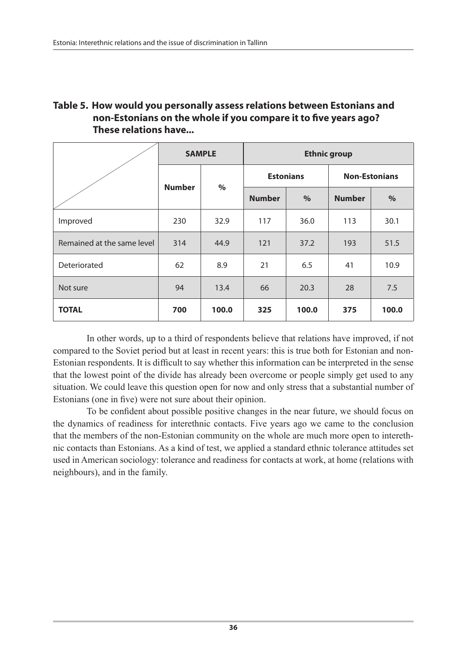### **Table 5. How would you personally assess relations between Estonians and non-Estonians on the whole if you compare it to five years ago? These relations have...**

|                            |               | <b>SAMPLE</b> | <b>Ethnic group</b> |       |                      |       |  |
|----------------------------|---------------|---------------|---------------------|-------|----------------------|-------|--|
|                            | <b>Number</b> |               | <b>Estonians</b>    |       | <b>Non-Estonians</b> |       |  |
|                            |               | $\%$          | <b>Number</b>       | $\%$  | <b>Number</b>        | $\%$  |  |
| Improved                   | 230           | 32.9          | 117                 | 36.0  | 113                  | 30.1  |  |
| Remained at the same level | 314           | 44.9          | 121                 | 37.2  | 193                  | 51.5  |  |
| Deteriorated               | 62            | 8.9           | 21                  | 6.5   | 41                   | 10.9  |  |
| Not sure                   | 94            | 13.4          | 66                  | 20.3  | 28                   | 7.5   |  |
| <b>TOTAL</b>               | 700           | 100.0         | 325                 | 100.0 | 375                  | 100.0 |  |

In other words, up to a third of respondents believe that relations have improved, if not compared to the Soviet period but at least in recent years: this is true both for Estonian and non-Estonian respondents. It is difficult to say whether this information can be interpreted in the sense that the lowest point of the divide has already been overcome or people simply get used to any situation. We could leave this question open for now and only stress that a substantial number of Estonians (one in five) were not sure about their opinion.

To be confident about possible positive changes in the near future, we should focus on the dynamics of readiness for interethnic contacts. Five years ago we came to the conclusion that the members of the non-Estonian community on the whole are much more open to interethnic contacts than Estonians. As a kind of test, we applied a standard ethnic tolerance attitudes set used in American sociology: tolerance and readiness for contacts at work, at home (relations with neighbours), and in the family.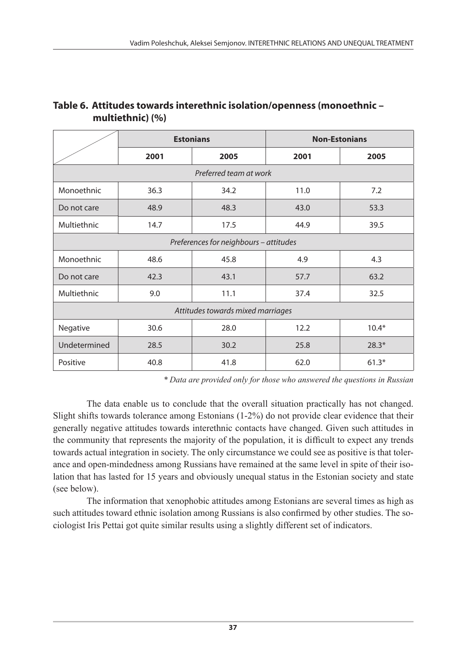|              |      | <b>Estonians</b>                       |      | <b>Non-Estonians</b> |
|--------------|------|----------------------------------------|------|----------------------|
|              | 2001 | 2005                                   | 2001 | 2005                 |
|              |      | Preferred team at work                 |      |                      |
| Monoethnic   | 36.3 | 34.2                                   | 11.0 | 7.2                  |
| Do not care  | 48.9 | 48.3                                   | 43.0 | 53.3                 |
| Multiethnic  | 14.7 | 17.5                                   | 44.9 | 39.5                 |
|              |      | Preferences for neighbours - attitudes |      |                      |
| Monoethnic   | 48.6 | 45.8                                   | 4.9  | 4.3                  |
| Do not care  | 42.3 | 43.1                                   | 57.7 | 63.2                 |
| Multiethnic  | 9.0  | 11.1                                   | 37.4 | 32.5                 |
|              |      | Attitudes towards mixed marriages      |      |                      |
| Negative     | 30.6 | 28.0                                   | 12.2 | $10.4*$              |
| Undetermined | 28.5 | 30.2                                   | 25.8 | $28.3*$              |
| Positive     | 40.8 | 41.8                                   | 62.0 | $61.3*$              |

### **Table 6. Attitudes towards interethnic isolation/openness (monoethnic – multiethnic) (%)**

*\* Data are provided only for those who answered the questions in Russian* 

The data enable us to conclude that the overall situation practically has not changed. Slight shifts towards tolerance among Estonians (1-2%) do not provide clear evidence that their generally negative attitudes towards interethnic contacts have changed. Given such attitudes in the community that represents the majority of the population, it is difficult to expect any trends towards actual integration in society. The only circumstance we could see as positive is that tolerance and open-mindedness among Russians have remained at the same level in spite of their isolation that has lasted for 15 years and obviously unequal status in the Estonian society and state (see below).

The information that xenophobic attitudes among Estonians are several times as high as such attitudes toward ethnic isolation among Russians is also confirmed by other studies. The sociologist Iris Pettai got quite similar results using a slightly different set of indicators.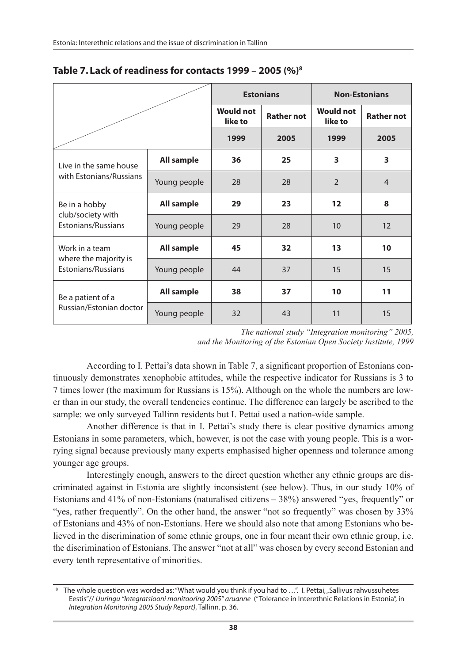|                                             |              |                             | <b>Estonians</b>  | <b>Non-Estonians</b>        |                   |  |
|---------------------------------------------|--------------|-----------------------------|-------------------|-----------------------------|-------------------|--|
|                                             |              | <b>Would not</b><br>like to | <b>Rather not</b> | <b>Would not</b><br>like to | <b>Rather not</b> |  |
|                                             |              | 1999                        | 2005              | 1999                        | 2005              |  |
| Live in the same house                      | All sample   | 36                          | 25                | 3                           | 3                 |  |
| with Estonians/Russians                     | Young people | 28                          | 28                | $\overline{2}$              | $\overline{4}$    |  |
| Be in a hobby                               | All sample   | 29                          | 23                | 12                          | 8                 |  |
| club/society with<br>Estonians/Russians     | Young people | 29                          | 28                | 10                          | 12                |  |
| Work in a team                              | All sample   | 45                          | 32                | 13                          | 10 <sup>1</sup>   |  |
| where the majority is<br>Estonians/Russians | Young people | 44                          | 37                | 15                          | 15                |  |
| Be a patient of a                           | All sample   | 38                          | 37                | 10                          | 11                |  |
| Russian/Estonian doctor                     | Young people | 32                          | 43                | 11                          | 15                |  |

### **Table 7. Lack of readiness for contacts 1999 – 2005 (%)8**

*The national study "Integration monitoring" 2005, and the Monitoring of the Estonian Open Society Institute, 1999*

According to I. Pettai's data shown in Table 7, a significant proportion of Estonians continuously demonstrates xenophobic attitudes, while the respective indicator for Russians is 3 to 7 times lower (the maximum for Russians is 15%). Although on the whole the numbers are lower than in our study, the overall tendencies continue. The difference can largely be ascribed to the sample: we only surveyed Tallinn residents but I. Pettai used a nation-wide sample.

Another difference is that in I. Pettai's study there is clear positive dynamics among Estonians in some parameters, which, however, is not the case with young people. This is a worrying signal because previously many experts emphasised higher openness and tolerance among younger age groups.

Interestingly enough, answers to the direct question whether any ethnic groups are discriminated against in Estonia are slightly inconsistent (see below). Thus, in our study 10% of Estonians and 41% of non-Estonians (naturalised citizens – 38%) answered "yes, frequently" or "yes, rather frequently". On the other hand, the answer "not so frequently" was chosen by 33% of Estonians and 43% of non-Estonians. Here we should also note that among Estonians who believed in the discrimination of some ethnic groups, one in four meant their own ethnic group, i.e. the discrimination of Estonians. The answer "not at all" was chosen by every second Estonian and every tenth representative of minorities.

<sup>&</sup>lt;sup>8</sup> The whole question was worded as: "What would you think if you had to ...". I. Pettai, "Sallivus rahvussuhetes Eestis"// *Uuringu "Integratsiooni monitooring 2005" aruanne* ("Tolerance in Interethnic Relations in Estonia", in *Integration Monitoring 2005 Study Report)*, Tallinn. p. 36.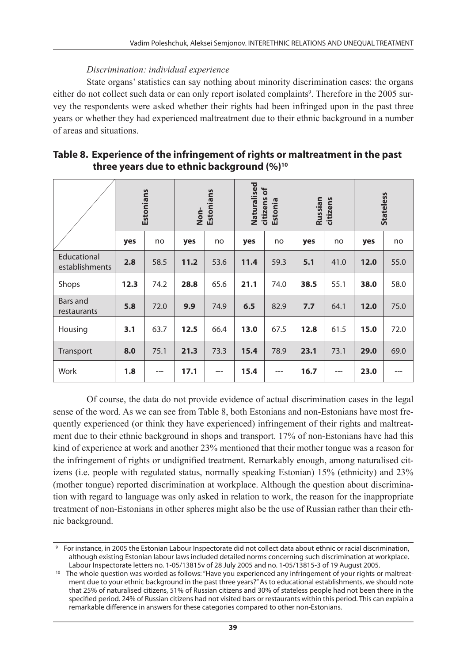### *Discrimination: individual experience*

State organs' statistics can say nothing about minority discrimination cases: the organs either do not collect such data or can only report isolated complaints<sup>9</sup>. Therefore in the 2005 survey the respondents were asked whether their rights had been infringed upon in the past three years or whether they had experienced maltreatment due to their ethnic background in a number of areas and situations.

|                               |      | Estonians | Non- | Estonians | Naturalised | citizens of<br>Estonia | Russian | citizens |      | <b>Stateless</b> |
|-------------------------------|------|-----------|------|-----------|-------------|------------------------|---------|----------|------|------------------|
|                               | yes  | no        | yes  | no        | yes         | no                     | yes     | no       | yes  | no               |
| Educational<br>establishments | 2.8  | 58.5      | 11.2 | 53.6      | 11.4        | 59.3                   | 5.1     | 41.0     | 12.0 | 55.0             |
| Shops                         | 12.3 | 74.2      | 28.8 | 65.6      | 21.1        | 74.0                   | 38.5    | 55.1     | 38.0 | 58.0             |
| Bars and<br>restaurants       | 5.8  | 72.0      | 9.9  | 74.9      | 6.5         | 82.9                   | 7.7     | 64.1     | 12.0 | 75.0             |
| Housing                       | 3.1  | 63.7      | 12.5 | 66.4      | 13.0        | 67.5                   | 12.8    | 61.5     | 15.0 | 72.0             |
| Transport                     | 8.0  | 75.1      | 21.3 | 73.3      | 15.4        | 78.9                   | 23.1    | 73.1     | 29.0 | 69.0             |
| Work                          | 1.8  | $---$     | 17.1 | $---$     | 15.4        | ---                    | 16.7    | $---$    | 23.0 |                  |

| Table 8. Experience of the infringement of rights or maltreatment in the past |
|-------------------------------------------------------------------------------|
| three years due to ethnic background (%) <sup>10</sup>                        |

Of course, the data do not provide evidence of actual discrimination cases in the legal sense of the word. As we can see from Table 8, both Estonians and non-Estonians have most frequently experienced (or think they have experienced) infringement of their rights and maltreatment due to their ethnic background in shops and transport. 17% of non-Estonians have had this kind of experience at work and another 23% mentioned that their mother tongue was a reason for the infringement of rights or undignified treatment. Remarkably enough, among naturalised citizens (i.e. people with regulated status, normally speaking Estonian) 15% (ethnicity) and 23% (mother tongue) reported discrimination at workplace. Although the question about discrimination with regard to language was only asked in relation to work, the reason for the inappropriate treatment of non-Estonians in other spheres might also be the use of Russian rather than their ethnic background.

<sup>9</sup> For instance, in 2005 the Estonian Labour Inspectorate did not collect data about ethnic or racial discrimination, although existing Estonian labour laws included detailed norms concerning such discrimination at workplace.<br>Labour Inspectorate letters no. 1-05/13815v of 28 July 2005 and no. 1-05/13815-3 of 19 August 2005.

<sup>&</sup>lt;sup>10</sup> The whole question was worded as follows: "Have you experienced any infringement of your rights or maltreatment due to your ethnic background in the past three years?" As to educational establishments, we should note that 25% of naturalised citizens, 51% of Russian citizens and 30% of stateless people had not been there in the specified period. 24% of Russian citizens had not visited bars or restaurants within this period. This can explain a remarkable difference in answers for these categories compared to other non-Estonians.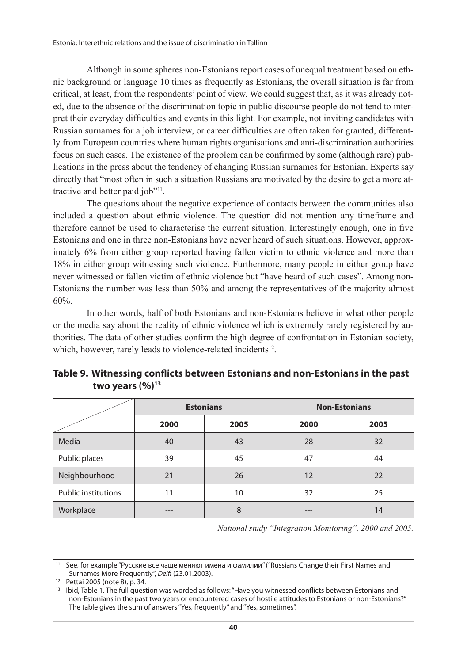Although in some spheres non-Estonians report cases of unequal treatment based on ethnic background or language 10 times as frequently as Estonians, the overall situation is far from critical, at least, from the respondents' point of view. We could suggest that, as it was already noted, due to the absence of the discrimination topic in public discourse people do not tend to interpret their everyday difficulties and events in this light. For example, not inviting candidates with Russian surnames for a job interview, or career difficulties are often taken for granted, differently from European countries where human rights organisations and anti-discrimination authorities focus on such cases. The existence of the problem can be confirmed by some (although rare) publications in the press about the tendency of changing Russian surnames for Estonian. Experts say directly that "most often in such a situation Russians are motivated by the desire to get a more attractive and better paid job"<sup>11</sup>.

The questions about the negative experience of contacts between the communities also included a question about ethnic violence. The question did not mention any timeframe and therefore cannot be used to characterise the current situation. Interestingly enough, one in five Estonians and one in three non-Estonians have never heard of such situations. However, approximately 6% from either group reported having fallen victim to ethnic violence and more than 18% in either group witnessing such violence. Furthermore, many people in either group have never witnessed or fallen victim of ethnic violence but "have heard of such cases". Among non-Estonians the number was less than 50% and among the representatives of the majority almost 60%.

In other words, half of both Estonians and non-Estonians believe in what other people or the media say about the reality of ethnic violence which is extremely rarely registered by authorities. The data of other studies confirm the high degree of confrontation in Estonian society, which, however, rarely leads to violence-related incidents<sup>12</sup>.

|                            |      | <b>Estonians</b> | <b>Non-Estonians</b> |      |  |
|----------------------------|------|------------------|----------------------|------|--|
|                            | 2000 | 2005             |                      | 2005 |  |
| Media                      | 40   | 43               | 28                   | 32   |  |
| Public places              | 39   | 45               | 47                   | 44   |  |
| Neighbourhood              | 21   | 26               | 12                   | 22   |  |
| <b>Public institutions</b> | 11   | 10               | 32                   | 25   |  |
| Workplace                  | ---  | 8                |                      | 14   |  |

| Table 9. Witnessing conflicts between Estonians and non-Estonians in the past |
|-------------------------------------------------------------------------------|
| two years $(\%)^{13}$                                                         |

*National study "Integration Monitoring", 2000 and 2005.*

11 See, for example "Русские все чаще меняют имена и фамилии" ("Russians Change their First Names and Surnames More Frequently", *Delfi* (23.01.2003).

<sup>13</sup> Ibid. Table 1. The full question was worded as follows: "Have you witnessed conflicts between Estonians and non-Estonians in the past two years or encountered cases of hostile attitudes to Estonians or non-Estonians?" The table gives the sum of answers "Yes, frequently" and "Yes, sometimes".

<sup>12</sup> Pettai 2005 (note 8), p. 34.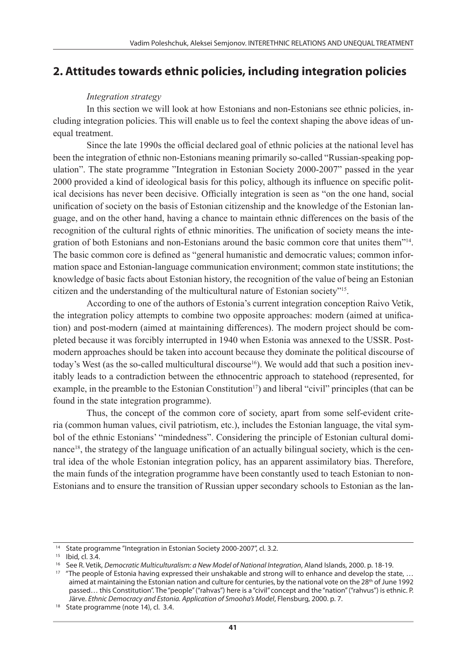## **2. Attitudes towards ethnic policies, including integration policies**

#### *Integration strategy*

In this section we will look at how Estonians and non-Estonians see ethnic policies, including integration policies. This will enable us to feel the context shaping the above ideas of unequal treatment.

Since the late 1990s the official declared goal of ethnic policies at the national level has been the integration of ethnic non-Estonians meaning primarily so-called "Russian-speaking population". The state programme "Integration in Estonian Society 2000-2007" passed in the year 2000 provided a kind of ideological basis for this policy, although its influence on specific political decisions has never been decisive. Officially integration is seen as "on the one hand, social unification of society on the basis of Estonian citizenship and the knowledge of the Estonian language, and on the other hand, having a chance to maintain ethnic differences on the basis of the recognition of the cultural rights of ethnic minorities. The unification of society means the integration of both Estonians and non-Estonians around the basic common core that unites them"14. The basic common core is defined as "general humanistic and democratic values; common information space and Estonian-language communication environment; common state institutions; the knowledge of basic facts about Estonian history, the recognition of the value of being an Estonian citizen and the understanding of the multicultural nature of Estonian society"15.

According to one of the authors of Estonia's current integration conception Raivo Vetik, the integration policy attempts to combine two opposite approaches: modern (aimed at unification) and post-modern (aimed at maintaining differences). The modern project should be completed because it was forcibly interrupted in 1940 when Estonia was annexed to the USSR. Postmodern approaches should be taken into account because they dominate the political discourse of today's West (as the so-called multicultural discourse<sup>16</sup>). We would add that such a position inevitably leads to a contradiction between the ethnocentric approach to statehood (represented, for example, in the preamble to the Estonian Constitution<sup>17</sup>) and liberal "civil" principles (that can be found in the state integration programme).

Thus, the concept of the common core of society, apart from some self-evident criteria (common human values, civil patriotism, etc.), includes the Estonian language, the vital symbol of the ethnic Estonians' "mindedness". Considering the principle of Estonian cultural dominance<sup>18</sup>, the strategy of the language unification of an actually bilingual society, which is the central idea of the whole Estonian integration policy, has an apparent assimilatory bias. Therefore, the main funds of the integration programme have been constantly used to teach Estonian to non-Estonians and to ensure the transition of Russian upper secondary schools to Estonian as the lan-

<sup>&</sup>lt;sup>14</sup> State programme "Integration in Estonian Society 2000-2007", cl. 3.2.

<sup>15</sup> Ibid, cl. 3.4.

<sup>&</sup>lt;sup>16</sup> See R. Vetik, *Democratic Multiculturalism: a New Model of National Integration*, Aland Islands, 2000. p. 18-19.

<sup>&</sup>lt;sup>17</sup> "The people of Estonia having expressed their unshakable and strong will to enhance and develop the state, ... aimed at maintaining the Estonian nation and culture for centuries, by the national vote on the  $28<sup>th</sup>$  of June 1992 passed… this Constitution". The "people" ("rahvas") here is a "civil" concept and the "nation" ("rahvus") is ethnic. P. Järve. *Ethnic Democracy and Estonia. Application of Smooha's Model*, Flensburg, 2000. p. 7. 18 State programme (note 14), cl. 3.4.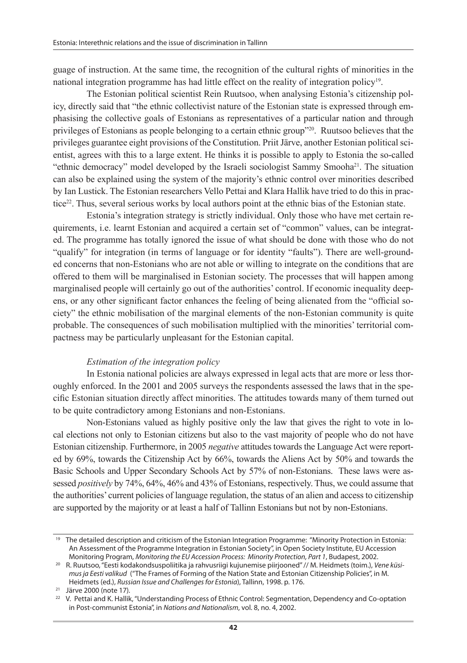guage of instruction. At the same time, the recognition of the cultural rights of minorities in the national integration programme has had little effect on the reality of integration policy19.

The Estonian political scientist Rein Ruutsoo, when analysing Estonia's citizenship policy, directly said that "the ethnic collectivist nature of the Estonian state is expressed through emphasising the collective goals of Estonians as representatives of a particular nation and through privileges of Estonians as people belonging to a certain ethnic group"20. Ruutsoo believes that the privileges guarantee eight provisions of the Constitution. Priit Järve, another Estonian political scientist, agrees with this to a large extent. He thinks it is possible to apply to Estonia the so-called "ethnic democracy" model developed by the Israeli sociologist Sammy Smooha<sup>21</sup>. The situation can also be explained using the system of the majority's ethnic control over minorities described by Ian Lustick. The Estonian researchers Vello Pettai and Klara Hallik have tried to do this in practice22. Thus, several serious works by local authors point at the ethnic bias of the Estonian state.

Estonia's integration strategy is strictly individual. Only those who have met certain requirements, i.e. learnt Estonian and acquired a certain set of "common" values, can be integrated. The programme has totally ignored the issue of what should be done with those who do not "qualify" for integration (in terms of language or for identity "faults"). There are well-grounded concerns that non-Estonians who are not able or willing to integrate on the conditions that are offered to them will be marginalised in Estonian society. The processes that will happen among marginalised people will certainly go out of the authorities' control. If economic inequality deepens, or any other significant factor enhances the feeling of being alienated from the "official society" the ethnic mobilisation of the marginal elements of the non-Estonian community is quite probable. The consequences of such mobilisation multiplied with the minorities' territorial compactness may be particularly unpleasant for the Estonian capital.

#### *Estimation of the integration policy*

In Estonia national policies are always expressed in legal acts that are more or less thoroughly enforced. In the 2001 and 2005 surveys the respondents assessed the laws that in the specific Estonian situation directly affect minorities. The attitudes towards many of them turned out to be quite contradictory among Estonians and non-Estonians.

Non-Estonians valued as highly positive only the law that gives the right to vote in local elections not only to Estonian citizens but also to the vast majority of people who do not have Estonian citizenship. Furthermore, in 2005 *negative* attitudes towards the Language Act were reported by 69%, towards the Citizenship Act by 66%, towards the Aliens Act by 50% and towards the Basic Schools and Upper Secondary Schools Act by 57% of non-Estonians. These laws were assessed *positively* by 74%, 64%, 46% and 43% of Estonians, respectively. Thus, we could assume that the authorities' current policies of language regulation, the status of an alien and access to citizenship are supported by the majority or at least a half of Tallinn Estonians but not by non-Estonians.

<sup>19</sup> The detailed description and criticism of the Estonian Integration Programme: "Minority Protection in Estonia: An Assessment of the Programme Integration in Estonian Society", in Open Society Institute, EU Accession Monitoring Program, *Monitoring the EU Accession Process: Minority Protection, Part 1*, Budapest, 2002.

<sup>20</sup> R. Ruutsoo, "Eesti kodakondsuspoliitika ja rahvusriigi kujunemise piirjooned" // M. Heidmets (toim.), *Vene küsimus ja Eesti valikud* ("The Frames of Forming of the Nation State and Estonian Citizenship Policies", in M. Heidmets (ed.), *Russian Issue and Challenges for Estonia*), Tallinn, 1998. p. 176.

<sup>21</sup> Järve 2000 (note 17)*.*

<sup>&</sup>lt;sup>22</sup> V. Pettai and K. Hallik, "Understanding Process of Ethnic Control: Segmentation, Dependency and Co-optation in Post-communist Estonia", in *Nations and Nationalism*, vol. 8, no. 4, 2002.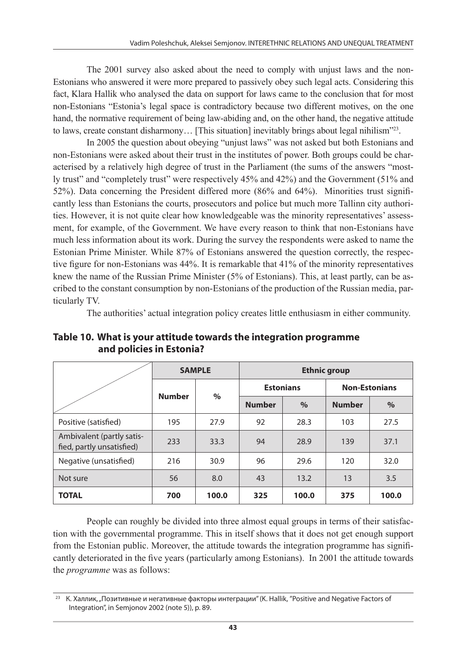The 2001 survey also asked about the need to comply with unjust laws and the non-Estonians who answered it were more prepared to passively obey such legal acts. Considering this fact, Klara Hallik who analysed the data on support for laws came to the conclusion that for most non-Estonians "Estonia's legal space is contradictory because two different motives, on the one hand, the normative requirement of being law-abiding and, on the other hand, the negative attitude to laws, create constant disharmony... [This situation] inevitably brings about legal nihilism"<sup>23</sup>.

In 2005 the question about obeying "unjust laws" was not asked but both Estonians and non-Estonians were asked about their trust in the institutes of power. Both groups could be characterised by a relatively high degree of trust in the Parliament (the sums of the answers "mostly trust" and "completely trust" were respectively 45% and 42%) and the Government (51% and 52%). Data concerning the President differed more (86% and 64%). Minorities trust significantly less than Estonians the courts, prosecutors and police but much more Tallinn city authorities. However, it is not quite clear how knowledgeable was the minority representatives' assessment, for example, of the Government. We have every reason to think that non-Estonians have much less information about its work. During the survey the respondents were asked to name the Estonian Prime Minister. While 87% of Estonians answered the question correctly, the respective figure for non-Estonians was 44%. It is remarkable that 41% of the minority representatives knew the name of the Russian Prime Minister (5% of Estonians). This, at least partly, can be ascribed to the constant consumption by non-Estonians of the production of the Russian media, particularly TV.

The authorities' actual integration policy creates little enthusiasm in either community.

|                                                        |               | <b>SAMPLE</b> | <b>Ethnic group</b> |                  |                      |       |
|--------------------------------------------------------|---------------|---------------|---------------------|------------------|----------------------|-------|
|                                                        | <b>Number</b> |               |                     | <b>Estonians</b> | <b>Non-Estonians</b> |       |
|                                                        |               | $\%$          | <b>Number</b>       | $\%$             | <b>Number</b>        | $\%$  |
| Positive (satisfied)                                   | 195           | 27.9          | 92                  | 28.3             | 103                  | 27.5  |
| Ambivalent (partly satis-<br>fied, partly unsatisfied) | 233           | 33.3          | 94                  | 28.9             | 139                  | 37.1  |
| Negative (unsatisfied)                                 | 216           | 30.9          | 96                  | 29.6             | 120                  | 32.0  |
| Not sure                                               | 56            | 8.0           | 43                  | 13.2             | 13                   | 3.5   |
| <b>TOTAL</b>                                           | 700           | 100.0         | 325                 | 100.0            | 375                  | 100.0 |

**Table 10. What is your attitude towards the integration programme and policies in Estonia?**

People can roughly be divided into three almost equal groups in terms of their satisfaction with the governmental programme. This in itself shows that it does not get enough support from the Estonian public. Moreover, the attitude towards the integration programme has significantly deteriorated in the five years (particularly among Estonians). In 2001 the attitude towards the *programme* was as follows:

<sup>&</sup>lt;sup>23</sup> К. Халлик, "Позитивные и негативные факторы интеграции" (K. Hallik, "Positive and Negative Factors of Integration", in Semjonov 2002 (note 5)), p. 89.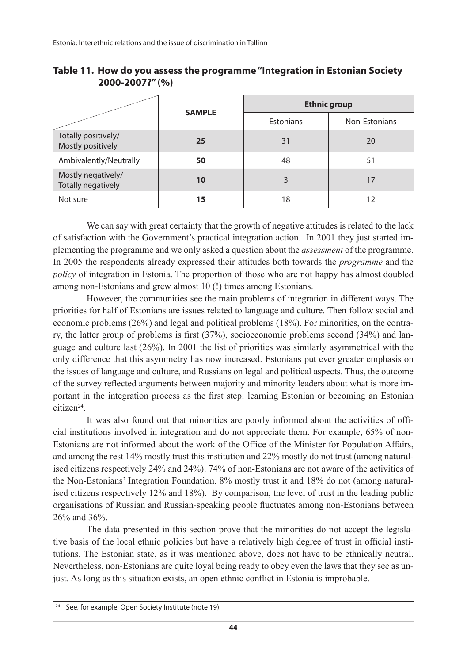|                                          | <b>SAMPLE</b> | <b>Ethnic group</b> |               |  |  |
|------------------------------------------|---------------|---------------------|---------------|--|--|
|                                          |               | <b>Estonians</b>    | Non-Estonians |  |  |
| Totally positively/<br>Mostly positively | 25            | 31                  | 20            |  |  |
| Ambivalently/Neutrally                   | 50            | 48                  | 51            |  |  |
| Mostly negatively/<br>Totally negatively | 10            | 3                   | 17            |  |  |
| Not sure                                 | 15            | 18                  | 12            |  |  |

**Table 11. How do you assess the programme "Integration in Estonian Society 2000-2007?" (%)**

We can say with great certainty that the growth of negative attitudes is related to the lack of satisfaction with the Government's practical integration action. In 2001 they just started implementing the programme and we only asked a question about the *assessment* of the programme. In 2005 the respondents already expressed their attitudes both towards the *programme* and the *policy* of integration in Estonia. The proportion of those who are not happy has almost doubled among non-Estonians and grew almost 10 (!) times among Estonians.

However, the communities see the main problems of integration in different ways. The priorities for half of Estonians are issues related to language and culture. Then follow social and economic problems (26%) and legal and political problems (18%). For minorities, on the contrary, the latter group of problems is first (37%), socioeconomic problems second (34%) and language and culture last (26%). In 2001 the list of priorities was similarly asymmetrical with the only difference that this asymmetry has now increased. Estonians put ever greater emphasis on the issues of language and culture, and Russians on legal and political aspects. Thus, the outcome of the survey reflected arguments between majority and minority leaders about what is more important in the integration process as the first step: learning Estonian or becoming an Estonian citizen<sup>24</sup>

It was also found out that minorities are poorly informed about the activities of official institutions involved in integration and do not appreciate them. For example, 65% of non-Estonians are not informed about the work of the Office of the Minister for Population Affairs, and among the rest 14% mostly trust this institution and 22% mostly do not trust (among naturalised citizens respectively 24% and 24%). 74% of non-Estonians are not aware of the activities of the Non-Estonians' Integration Foundation. 8% mostly trust it and 18% do not (among naturalised citizens respectively 12% and 18%). By comparison, the level of trust in the leading public organisations of Russian and Russian-speaking people fluctuates among non-Estonians between 26% and 36%.

The data presented in this section prove that the minorities do not accept the legislative basis of the local ethnic policies but have a relatively high degree of trust in official institutions. The Estonian state, as it was mentioned above, does not have to be ethnically neutral. Nevertheless, non-Estonians are quite loyal being ready to obey even the laws that they see as unjust. As long as this situation exists, an open ethnic conflict in Estonia is improbable.

<sup>&</sup>lt;sup>24</sup> See, for example, Open Society Institute (note 19).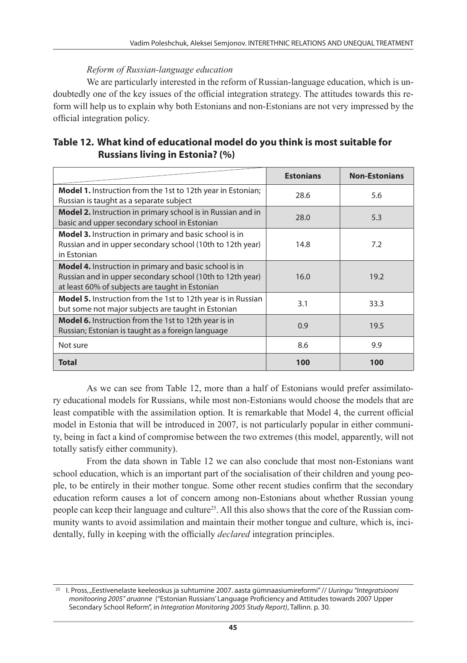### *Reform of Russian-language education*

We are particularly interested in the reform of Russian-language education, which is undoubtedly one of the key issues of the official integration strategy. The attitudes towards this reform will help us to explain why both Estonians and non-Estonians are not very impressed by the official integration policy.

| Table 12. What kind of educational model do you think is most suitable for |
|----------------------------------------------------------------------------|
| <b>Russians living in Estonia? (%)</b>                                     |

|                                                                                                                                                                               | <b>Estonians</b> | <b>Non-Estonians</b> |
|-------------------------------------------------------------------------------------------------------------------------------------------------------------------------------|------------------|----------------------|
| <b>Model 1.</b> Instruction from the 1st to 12th year in Estonian;<br>Russian is taught as a separate subject                                                                 | 28.6             | 5.6                  |
| Model 2. Instruction in primary school is in Russian and in<br>basic and upper secondary school in Estonian                                                                   | 28.0             | 5.3                  |
| <b>Model 3.</b> Instruction in primary and basic school is in<br>Russian and in upper secondary school (10th to 12th year)<br>in Estonian                                     | 14.8             | 7.2                  |
| <b>Model 4.</b> Instruction in primary and basic school is in<br>Russian and in upper secondary school (10th to 12th year)<br>at least 60% of subjects are taught in Estonian | 16.0             | 19.2                 |
| <b>Model 5.</b> Instruction from the 1st to 12th year is in Russian<br>but some not major subjects are taught in Estonian                                                     | 3.1              | 33.3                 |
| <b>Model 6.</b> Instruction from the 1st to 12th year is in<br>Russian; Estonian is taught as a foreign language                                                              | 0.9              | 19.5                 |
| Not sure                                                                                                                                                                      | 8.6              | 9.9                  |
| <b>Total</b>                                                                                                                                                                  | 100              | 100                  |

As we can see from Table 12, more than a half of Estonians would prefer assimilatory educational models for Russians, while most non-Estonians would choose the models that are least compatible with the assimilation option. It is remarkable that Model 4, the current official model in Estonia that will be introduced in 2007, is not particularly popular in either community, being in fact a kind of compromise between the two extremes (this model, apparently, will not totally satisfy either community).

From the data shown in Table 12 we can also conclude that most non-Estonians want school education, which is an important part of the socialisation of their children and young people, to be entirely in their mother tongue. Some other recent studies confirm that the secondary education reform causes a lot of concern among non-Estonians about whether Russian young people can keep their language and culture25. All this also shows that the core of the Russian community wants to avoid assimilation and maintain their mother tongue and culture, which is, incidentally, fully in keeping with the officially *declared* integration principles.

<sup>25</sup> I. Pross, "Eestivenelaste keeleoskus ja suhtumine 2007. aasta gümnaasiumireformi" // *Uuringu "Integratsiooni monitooring 2005" aruanne* ("Estonian Russians' Language Proficiency and Attitudes towards 2007 Upper Secondary School Reform", in *Integration Monitoring 2005 Study Report)*, Tallinn. p. 30.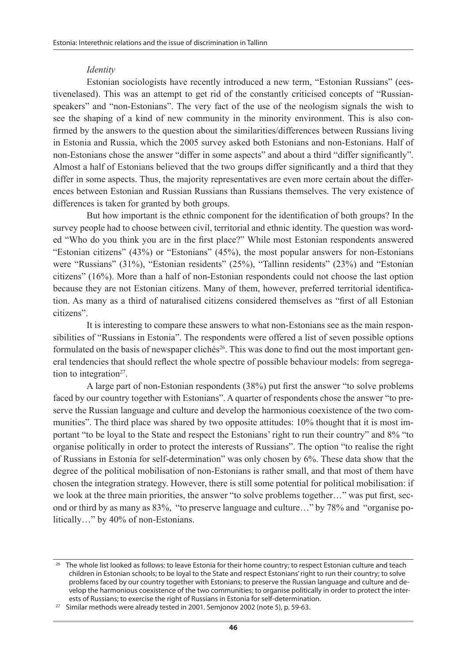#### *Identity*

Estonian sociologists have recently introduced a new term, "Estonian Russians" (eestivenelased). This was an attempt to get rid of the constantly criticised concepts of "Russianspeakers" and "non-Estonians". The very fact of the use of the neologism signals the wish to see the shaping of a kind of new community in the minority environment. This is also confirmed by the answers to the question about the similarities/differences between Russians living in Estonia and Russia, which the 2005 survey asked both Estonians and non-Estonians. Half of non-Estonians chose the answer "differ in some aspects" and about a third "differ significantly". Almost a half of Estonians believed that the two groups differ significantly and a third that they differ in some aspects. Thus, the majority representatives are even more certain about the differences between Estonian and Russian Russians than Russians themselves. The very existence of differences is taken for granted by both groups.

But how important is the ethnic component for the identification of both groups? In the survey people had to choose between civil, territorial and ethnic identity. The question was worded "Who do you think you are in the first place?" While most Estonian respondents answered "Estonian citizens" (43%) or "Estonians" (45%), the most popular answers for non-Estonians were "Russians" (31%), "Estonian residents" (25%), "Tallinn residents" (23%) and "Estonian citizens" (16%). More than a half of non-Estonian respondents could not choose the last option because they are not Estonian citizens. Many of them, however, preferred territorial identification. As many as a third of naturalised citizens considered themselves as "first of all Estonian citizens".

It is interesting to compare these answers to what non-Estonians see as the main responsibilities of "Russians in Estonia". The respondents were offered a list of seven possible options formulated on the basis of newspaper clichés<sup>26</sup>. This was done to find out the most important general tendencies that should reflect the whole spectre of possible behaviour models: from segregation to integration<sup>27</sup>.

A large part of non-Estonian respondents (38%) put first the answer "to solve problems faced by our country together with Estonians". A quarter of respondents chose the answer "to preserve the Russian language and culture and develop the harmonious coexistence of the two communities". The third place was shared by two opposite attitudes: 10% thought that it is most important "to be loyal to the State and respect the Estonians' right to run their country" and 8% "to organise politically in order to protect the interests of Russians". The option "to realise the right of Russians in Estonia for self-determination" was only chosen by 6%. These data show that the degree of the political mobilisation of non-Estonians is rather small, and that most of them have chosen the integration strategy. However, there is still some potential for political mobilisation: if we look at the three main priorities, the answer "to solve problems together…" was put first, second or third by as many as 83%, "to preserve language and culture…" by 78% and "organise politically…" by 40% of non-Estonians.

The whole list looked as follows: to leave Estonia for their home country; to respect Estonian culture and teach children in Estonian schools; to be loyal to the State and respect Estonians' right to run their country; to solve problems faced by our country together with Estonians; to preserve the Russian language and culture and develop the harmonious coexistence of the two communities; to organise politically in order to protect the inter-<br>ests of Russians; to exercise the right of Russians in Estonia for self-determination.

<sup>&</sup>lt;sup>27</sup> Similar methods were already tested in 2001. Semjonov 2002 (note 5), p. 59-63.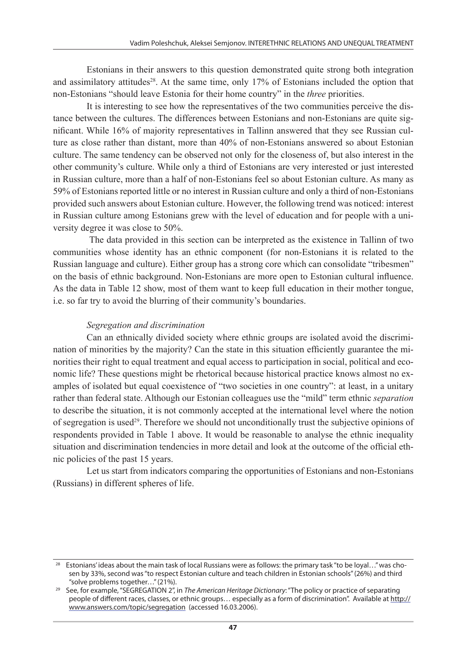Estonians in their answers to this question demonstrated quite strong both integration and assimilatory attitudes<sup>28</sup>. At the same time, only  $17\%$  of Estonians included the option that non-Estonians "should leave Estonia for their home country" in the *three* priorities.

It is interesting to see how the representatives of the two communities perceive the distance between the cultures. The differences between Estonians and non-Estonians are quite significant. While 16% of majority representatives in Tallinn answered that they see Russian culture as close rather than distant, more than 40% of non-Estonians answered so about Estonian culture. The same tendency can be observed not only for the closeness of, but also interest in the other community's culture. While only a third of Estonians are very interested or just interested in Russian culture, more than a half of non-Estonians feel so about Estonian culture. As many as 59% of Estonians reported little or no interest in Russian culture and only a third of non-Estonians provided such answers about Estonian culture. However, the following trend was noticed: interest in Russian culture among Estonians grew with the level of education and for people with a university degree it was close to 50%.

 The data provided in this section can be interpreted as the existence in Tallinn of two communities whose identity has an ethnic component (for non-Estonians it is related to the Russian language and culture). Either group has a strong core which can consolidate "tribesmen" on the basis of ethnic background. Non-Estonians are more open to Estonian cultural influence. As the data in Table 12 show, most of them want to keep full education in their mother tongue, i.e. so far try to avoid the blurring of their community's boundaries.

#### *Segregation and discrimination*

Can an ethnically divided society where ethnic groups are isolated avoid the discrimination of minorities by the majority? Can the state in this situation efficiently guarantee the minorities their right to equal treatment and equal access to participation in social, political and economic life? These questions might be rhetorical because historical practice knows almost no examples of isolated but equal coexistence of "two societies in one country": at least, in a unitary rather than federal state. Although our Estonian colleagues use the "mild" term ethnic *separation*  to describe the situation, it is not commonly accepted at the international level where the notion of segregation is used<sup>29</sup>. Therefore we should not unconditionally trust the subjective opinions of respondents provided in Table 1 above. It would be reasonable to analyse the ethnic inequality situation and discrimination tendencies in more detail and look at the outcome of the official ethnic policies of the past 15 years.

Let us start from indicators comparing the opportunities of Estonians and non-Estonians (Russians) in different spheres of life.

<sup>&</sup>lt;sup>28</sup> Estonians' ideas about the main task of local Russians were as follows: the primary task "to be loyal..." was chosen by 33%, second was "to respect Estonian culture and teach children in Estonian schools" (26%) and third "solve problems together..." (21%).

<sup>&</sup>lt;sup>29</sup> See, for example, "SEGREGATION 2", in *The American Heritage Dictionary*: "The policy or practice of separating people of different races, classes, or ethnic groups… especially as a form of discrimination". Available at http:// www.answers.com/topic/segregation (accessed 16.03.2006).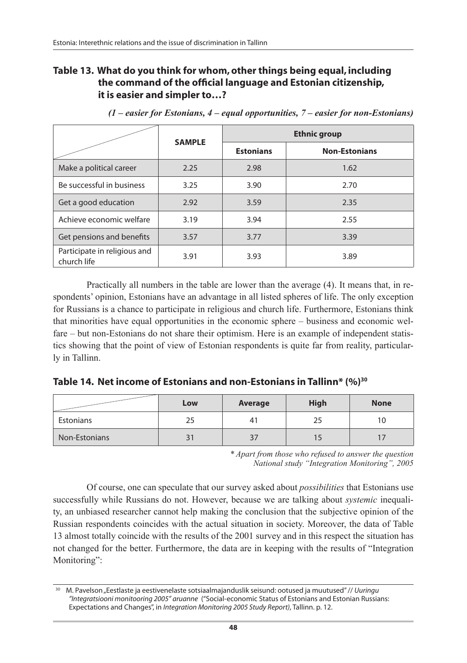### **Table 13. What do you think for whom, other things being equal, including the command of the official language and Estonian citizenship, it is easier and simpler to…?**

|                                             | <b>SAMPLE</b> | <b>Ethnic group</b> |                      |  |  |
|---------------------------------------------|---------------|---------------------|----------------------|--|--|
|                                             |               | <b>Estonians</b>    | <b>Non-Estonians</b> |  |  |
| Make a political career                     | 2.25          | 2.98                | 1.62                 |  |  |
| Be successful in business                   | 3.25          | 3.90                | 2.70                 |  |  |
| Get a good education                        | 2.92          | 3.59                | 2.35                 |  |  |
| Achieve economic welfare                    | 3.19          | 3.94                | 2.55                 |  |  |
| Get pensions and benefits                   | 3.57          | 3.77                | 3.39                 |  |  |
| Participate in religious and<br>church life | 3.91          | 3.93                | 3.89                 |  |  |

*(1 – easier for Estonians, 4 – equal opportunities, 7 – easier for non-Estonians)*

Practically all numbers in the table are lower than the average (4). It means that, in respondents' opinion, Estonians have an advantage in all listed spheres of life. The only exception for Russians is a chance to participate in religious and church life. Furthermore, Estonians think that minorities have equal opportunities in the economic sphere – business and economic welfare – but non-Estonians do not share their optimism. Here is an example of independent statistics showing that the point of view of Estonian respondents is quite far from reality, particularly in Tallinn.

|  |  |  | Table 14. Net income of Estonians and non-Estonians in Tallinn* (%) <sup>30</sup> |  |  |
|--|--|--|-----------------------------------------------------------------------------------|--|--|
|--|--|--|-----------------------------------------------------------------------------------|--|--|

|               | Low | Average | <b>High</b> | <b>None</b> |
|---------------|-----|---------|-------------|-------------|
| Estonians     | 25  | 4.      |             | 1 C         |
| Non-Estonians | 31  |         |             |             |

*\* Apart from those who refused to answer the question National study "Integration Monitoring", 2005* 

Of course, one can speculate that our survey asked about *possibilities* that Estonians use successfully while Russians do not. However, because we are talking about *systemic* inequality, an unbiased researcher cannot help making the conclusion that the subjective opinion of the Russian respondents coincides with the actual situation in society. Moreover, the data of Table 13 almost totally coincide with the results of the 2001 survey and in this respect the situation has not changed for the better. Furthermore, the data are in keeping with the results of "Integration Monitoring":

<sup>30</sup> M. Pavelson "Eestlaste ja eestivenelaste sotsiaalmajanduslik seisund: ootused ja muutused" // *Uuringu "Integratsiooni monitooring 2005" aruanne* ("Social-economic Status of Estonians and Estonian Russians: Expectations and Changes", in *Integration Monitoring 2005 Study Report)*, Tallinn. p. 12.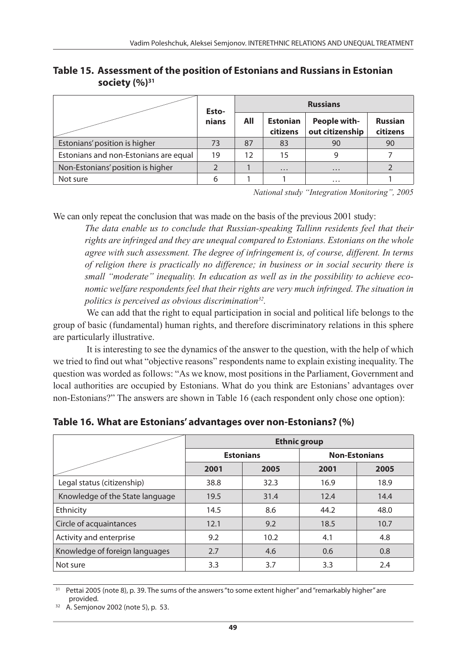|                                       | Esto- | <b>Russians</b> |                             |                                 |                            |
|---------------------------------------|-------|-----------------|-----------------------------|---------------------------------|----------------------------|
|                                       | nians | All             | <b>Estonian</b><br>citizens | People with-<br>out citizenship | <b>Russian</b><br>citizens |
| Estonians' position is higher         | 73    | 87              | 83                          | 90                              | 90                         |
| Estonians and non-Estonians are equal | 19    | 12              | 15                          | 9                               |                            |
| Non-Estonians' position is higher     |       |                 | $\cdots$                    | $\cdots$                        |                            |
| Not sure                              |       |                 |                             | $\cdots$                        |                            |

**Table 15. Assessment of the position of Estonians and Russians in Estonian**  society (%)<sup>31</sup>

*National study "Integration Monitoring", 2005*

We can only repeat the conclusion that was made on the basis of the previous 2001 study:

*The data enable us to conclude that Russian-speaking Tallinn residents feel that their rights are infringed and they are unequal compared to Estonians. Estonians on the whole agree with such assessment. The degree of infringement is, of course, different. In terms of religion there is practically no difference; in business or in social security there is small "moderate" inequality. In education as well as in the possibility to achieve economic welfare respondents feel that their rights are very much infringed. The situation in politics is perceived as obvious discrimination32.* 

We can add that the right to equal participation in social and political life belongs to the group of basic (fundamental) human rights, and therefore discriminatory relations in this sphere are particularly illustrative.

It is interesting to see the dynamics of the answer to the question, with the help of which we tried to find out what "objective reasons" respondents name to explain existing inequality. The question was worded as follows: "As we know, most positions in the Parliament, Government and local authorities are occupied by Estonians. What do you think are Estonians' advantages over non-Estonians?" The answers are shown in Table 16 (each respondent only chose one option):

|                                 | <b>Ethnic group</b> |                  |                      |      |  |  |
|---------------------------------|---------------------|------------------|----------------------|------|--|--|
|                                 |                     | <b>Estonians</b> | <b>Non-Estonians</b> |      |  |  |
|                                 | 2001                | 2005             | 2001                 | 2005 |  |  |
| Legal status (citizenship)      | 38.8                | 32.3             | 16.9                 | 18.9 |  |  |
| Knowledge of the State language | 19.5                | 31.4             | 12.4                 | 14.4 |  |  |
| Ethnicity                       | 14.5                | 8.6              | 44.2                 | 48.0 |  |  |
| Circle of acquaintances         | 12.1                | 9.2              | 18.5                 | 10.7 |  |  |
| Activity and enterprise         | 9.2                 | 10.2             | 4.1                  | 4.8  |  |  |
| Knowledge of foreign languages  | 2.7                 | 4.6              | 0.6                  | 0.8  |  |  |
| Not sure                        | 3.3                 | 3.7              | 3.3                  | 2.4  |  |  |

**Table 16. What are Estonians' advantages over non-Estonians? (%)**

<sup>31</sup> Pettai 2005 (note 8), p. 39. The sums of the answers "to some extent higher" and "remarkably higher" are provided.

<sup>32</sup> A. Semjonov 2002 (note 5), p. 53.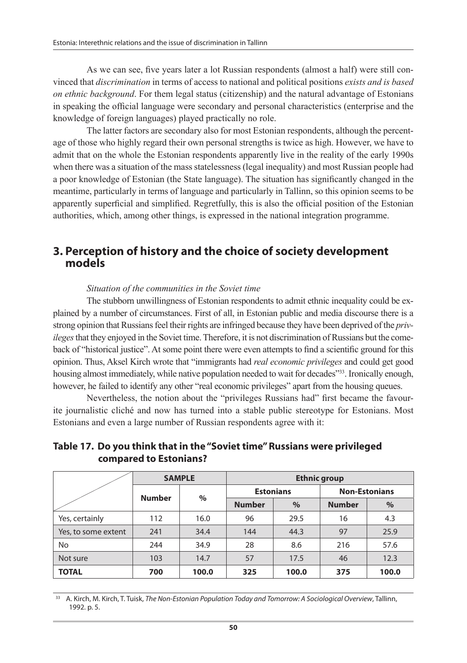As we can see, five years later a lot Russian respondents (almost a half) were still convinced that *discrimination* in terms of access to national and political positions *exists and is based on ethnic background*. For them legal status (citizenship) and the natural advantage of Estonians in speaking the official language were secondary and personal characteristics (enterprise and the knowledge of foreign languages) played practically no role.

The latter factors are secondary also for most Estonian respondents, although the percentage of those who highly regard their own personal strengths is twice as high. However, we have to admit that on the whole the Estonian respondents apparently live in the reality of the early 1990s when there was a situation of the mass statelessness (legal inequality) and most Russian people had a poor knowledge of Estonian (the State language). The situation has significantly changed in the meantime, particularly in terms of language and particularly in Tallinn, so this opinion seems to be apparently superficial and simplified. Regretfully, this is also the official position of the Estonian authorities, which, among other things, is expressed in the national integration programme.

### **3. Perception of history and the choice of society development models**

#### *Situation of the communities in the Soviet time*

The stubborn unwillingness of Estonian respondents to admit ethnic inequality could be explained by a number of circumstances. First of all, in Estonian public and media discourse there is a strong opinion that Russians feel their rights are infringed because they have been deprived of the *privileges* that they enjoyed in the Soviet time. Therefore, it is not discrimination of Russians but the comeback of "historical justice". At some point there were even attempts to find a scientific ground for this opinion. Thus, Aksel Kirch wrote that "immigrants had *real economic privileges* and could get good housing almost immediately, while native population needed to wait for decades"<sup>333</sup>. Ironically enough, however, he failed to identify any other "real economic privileges" apart from the housing queues.

Nevertheless, the notion about the "privileges Russians had" first became the favourite journalistic cliché and now has turned into a stable public stereotype for Estonians. Most Estonians and even a large number of Russian respondents agree with it:

| Table 17. Do you think that in the "Soviet time" Russians were privileged |
|---------------------------------------------------------------------------|
| compared to Estonians?                                                    |

|                     | <b>SAMPLE</b> |       | <b>Ethnic group</b> |       |                      |       |
|---------------------|---------------|-------|---------------------|-------|----------------------|-------|
|                     | <b>Number</b> | $\%$  | <b>Estonians</b>    |       | <b>Non-Estonians</b> |       |
|                     |               |       | <b>Number</b>       | $\%$  | <b>Number</b>        | %     |
| Yes, certainly      | 112           | 16.0  | 96                  | 29.5  | 16                   | 4.3   |
| Yes, to some extent | 241           | 34.4  | 144                 | 44.3  | 97                   | 25.9  |
| No                  | 244           | 34.9  | 28                  | 8.6   | 216                  | 57.6  |
| Not sure            | 103           | 14.7  | 57                  | 17.5  | 46                   | 12.3  |
| <b>TOTAL</b>        | 700           | 100.0 | 325                 | 100.0 | 375                  | 100.0 |

33 A. Kirch, M. Kirch, T. Tuisk, *The Non-Estonian Population Today and Tomorrow: A Sociological Overview*, Tallinn, 1992. p. 5.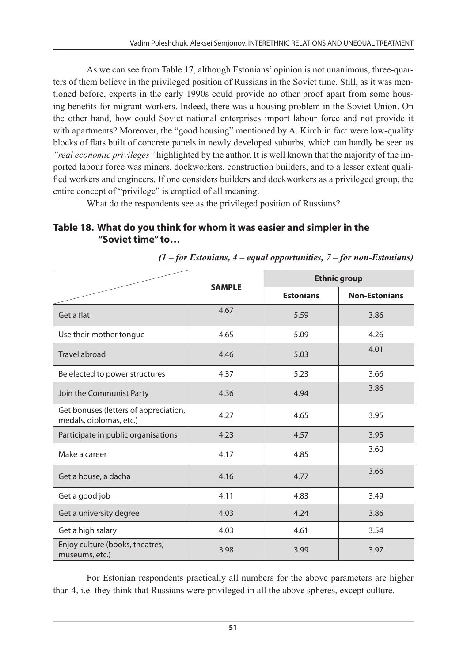As we can see from Table 17, although Estonians' opinion is not unanimous, three-quarters of them believe in the privileged position of Russians in the Soviet time. Still, as it was mentioned before, experts in the early 1990s could provide no other proof apart from some housing benefits for migrant workers. Indeed, there was a housing problem in the Soviet Union. On the other hand, how could Soviet national enterprises import labour force and not provide it with apartments? Moreover, the "good housing" mentioned by A. Kirch in fact were low-quality blocks of flats built of concrete panels in newly developed suburbs, which can hardly be seen as *"real economic privileges"* highlighted by the author. It is well known that the majority of the imported labour force was miners, dockworkers, construction builders, and to a lesser extent qualified workers and engineers. If one considers builders and dockworkers as a privileged group, the entire concept of "privilege" is emptied of all meaning.

What do the respondents see as the privileged position of Russians?

### **Table 18. What do you think for whom it was easier and simpler in the "Soviet time" to…**

|                                                                  |               | <b>Ethnic group</b> |                      |  |  |
|------------------------------------------------------------------|---------------|---------------------|----------------------|--|--|
|                                                                  | <b>SAMPLE</b> | <b>Estonians</b>    | <b>Non-Estonians</b> |  |  |
| Get a flat                                                       | 4.67          | 5.59                | 3.86                 |  |  |
| Use their mother tongue                                          | 4.65          | 5.09                | 4.26                 |  |  |
| Travel abroad                                                    | 4.46          | 5.03                | 4.01                 |  |  |
| Be elected to power structures                                   | 4.37          | 5.23                | 3.66                 |  |  |
| Join the Communist Party                                         | 4.36          | 4.94                | 3.86                 |  |  |
| Get bonuses (letters of appreciation,<br>medals, diplomas, etc.) | 4.27          | 4.65                | 3.95                 |  |  |
| Participate in public organisations                              | 4.23          | 4.57                | 3.95                 |  |  |
| Make a career                                                    | 4.17          | 4.85                | 3.60                 |  |  |
| Get a house, a dacha                                             | 4.16          | 4.77                | 3.66                 |  |  |
| Get a good job                                                   | 4.11          | 4.83                | 3.49                 |  |  |
| Get a university degree                                          | 4.03          | 4.24                | 3.86                 |  |  |
| Get a high salary                                                | 4.03          | 4.61                | 3.54                 |  |  |
| Enjoy culture (books, theatres,<br>museums, etc.)                | 3.98          | 3.99                | 3.97                 |  |  |

|  | $(1$ – for Estonians, 4 – equal opportunities, 7 – for non-Estonians) |
|--|-----------------------------------------------------------------------|
|  |                                                                       |

For Estonian respondents practically all numbers for the above parameters are higher than 4, i.e. they think that Russians were privileged in all the above spheres, except culture.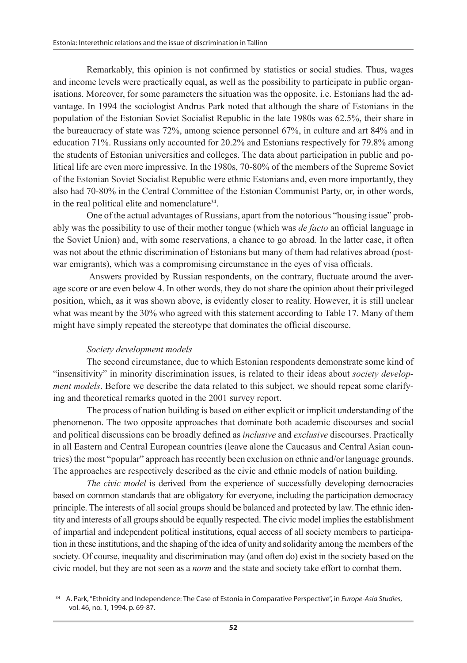Remarkably, this opinion is not confirmed by statistics or social studies. Thus, wages and income levels were practically equal, as well as the possibility to participate in public organisations. Moreover, for some parameters the situation was the opposite, i.e. Estonians had the advantage. In 1994 the sociologist Andrus Park noted that although the share of Estonians in the population of the Estonian Soviet Socialist Republic in the late 1980s was 62.5%, their share in the bureaucracy of state was 72%, among science personnel 67%, in culture and art 84% and in education 71%. Russians only accounted for 20.2% and Estonians respectively for 79.8% among the students of Estonian universities and colleges. The data about participation in public and political life are even more impressive. In the 1980s, 70-80% of the members of the Supreme Soviet of the Estonian Soviet Socialist Republic were ethnic Estonians and, even more importantly, they also had 70-80% in the Central Committee of the Estonian Communist Party, or, in other words, in the real political elite and nomenclature<sup>34</sup>.

One of the actual advantages of Russians, apart from the notorious "housing issue" probably was the possibility to use of their mother tongue (which was *de facto* an official language in the Soviet Union) and, with some reservations, a chance to go abroad. In the latter case, it often was not about the ethnic discrimination of Estonians but many of them had relatives abroad (postwar emigrants), which was a compromising circumstance in the eyes of visa officials.

 Answers provided by Russian respondents, on the contrary, fluctuate around the average score or are even below 4. In other words, they do not share the opinion about their privileged position, which, as it was shown above, is evidently closer to reality. However, it is still unclear what was meant by the 30% who agreed with this statement according to Table 17. Many of them might have simply repeated the stereotype that dominates the official discourse.

### *Society development models*

The second circumstance, due to which Estonian respondents demonstrate some kind of "insensitivity" in minority discrimination issues, is related to their ideas about *society development models*. Before we describe the data related to this subject, we should repeat some clarifying and theoretical remarks quoted in the 2001 survey report.

The process of nation building is based on either explicit or implicit understanding of the phenomenon. The two opposite approaches that dominate both academic discourses and social and political discussions can be broadly defined as *inclusive* and *exclusive* discourses. Practically in all Eastern and Central European countries (leave alone the Caucasus and Central Asian countries) the most "popular" approach has recently been exclusion on ethnic and/or language grounds. The approaches are respectively described as the civic and ethnic models of nation building.

*The civic model* is derived from the experience of successfully developing democracies based on common standards that are obligatory for everyone, including the participation democracy principle. The interests of all social groups should be balanced and protected by law. The ethnic identity and interests of all groups should be equally respected. The civic model implies the establishment of impartial and independent political institutions, equal access of all society members to participation in these institutions, and the shaping of the idea of unity and solidarity among the members of the society. Of course, inequality and discrimination may (and often do) exist in the society based on the civic model, but they are not seen as a *norm* and the state and society take effort to combat them.

<sup>34</sup> A. Park, "Ethnicity and Independence: The Case of Estonia in Comparative Perspective", in *Europe-Asia Studies*, vol. 46, no. 1, 1994. p. 69-87.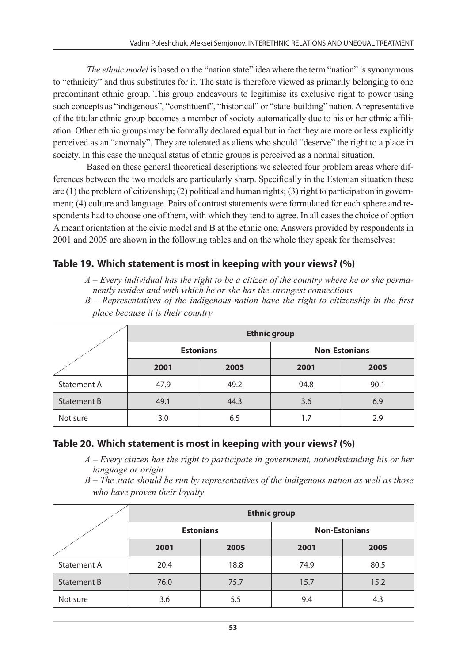*The ethnic model* is based on the "nation state" idea where the term "nation" is synonymous to "ethnicity" and thus substitutes for it. The state is therefore viewed as primarily belonging to one predominant ethnic group. This group endeavours to legitimise its exclusive right to power using such concepts as "indigenous", "constituent", "historical" or "state-building" nation. A representative of the titular ethnic group becomes a member of society automatically due to his or her ethnic affiliation. Other ethnic groups may be formally declared equal but in fact they are more or less explicitly perceived as an "anomaly". They are tolerated as aliens who should "deserve" the right to a place in society. In this case the unequal status of ethnic groups is perceived as a normal situation.

Based on these general theoretical descriptions we selected four problem areas where differences between the two models are particularly sharp. Specifically in the Estonian situation these are (1) the problem of citizenship; (2) political and human rights; (3) right to participation in government; (4) culture and language. Pairs of contrast statements were formulated for each sphere and respondents had to choose one of them, with which they tend to agree. In all cases the choice of option A meant orientation at the civic model and B at the ethnic one. Answers provided by respondents in 2001 and 2005 are shown in the following tables and on the whole they speak for themselves:

### **Table 19. Which statement is most in keeping with your views? (%)**

*A – Every individual has the right to be a citizen of the country where he or she permanently resides and with which he or she has the strongest connections* 

*B – Representatives of the indigenous nation have the right to citizenship in the first place because it is their country* 

|                    | <b>Ethnic group</b> |                  |                      |      |  |
|--------------------|---------------------|------------------|----------------------|------|--|
|                    |                     | <b>Estonians</b> | <b>Non-Estonians</b> |      |  |
|                    | 2001                | 2005             | 2001                 | 2005 |  |
| <b>Statement A</b> | 47.9                | 49.2             | 94.8                 | 90.1 |  |
| Statement B        | 49.1                | 44.3             | 3.6                  | 6.9  |  |
| Not sure           | 3.0                 | 6.5              | 1.7                  | 2.9  |  |

### **Table 20. Which statement is most in keeping with your views? (%)**

- *A Every citizen has the right to participate in government, notwithstanding his or her language or origin*
- *B The state should be run by representatives of the indigenous nation as well as those who have proven their loyalty*

|                    | <b>Ethnic group</b> |                  |      |                      |  |  |
|--------------------|---------------------|------------------|------|----------------------|--|--|
|                    |                     | <b>Estonians</b> |      | <b>Non-Estonians</b> |  |  |
|                    | 2001<br>2005        |                  | 2001 | 2005                 |  |  |
| <b>Statement A</b> | 20.4                | 18.8             | 74.9 | 80.5                 |  |  |
| Statement B        | 76.0                | 75.7             | 15.7 | 15.2                 |  |  |
| Not sure           | 3.6                 | 5.5              | 9.4  | 4.3                  |  |  |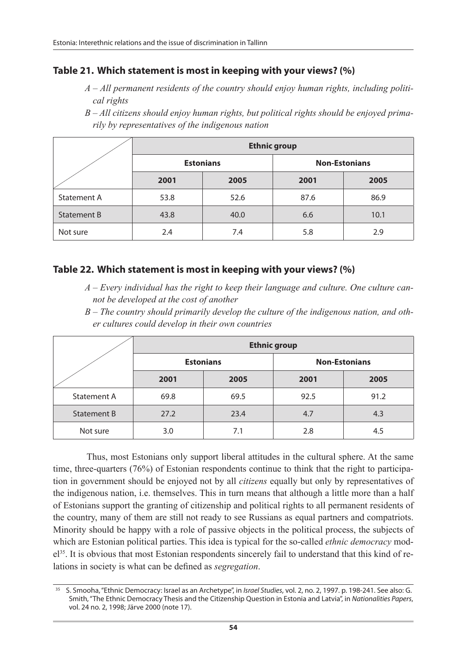### **Table 21. Which statement is most in keeping with your views? (%)**

- *A All permanent residents of the country should enjoy human rights, including political rights*
- *B All citizens should enjoy human rights, but political rights should be enjoyed primarily by representatives of the indigenous nation*

|             | <b>Ethnic group</b> |                  |                      |      |  |  |
|-------------|---------------------|------------------|----------------------|------|--|--|
|             |                     | <b>Estonians</b> | <b>Non-Estonians</b> |      |  |  |
|             | 2001                | 2005             | 2001                 | 2005 |  |  |
| Statement A | 53.8                | 52.6             | 87.6                 | 86.9 |  |  |
| Statement B | 43.8                | 40.0             | 6.6                  | 10.1 |  |  |
| Not sure    | 2.4                 | 7.4              | 5.8                  | 2.9  |  |  |

### **Table 22. Which statement is most in keeping with your views? (%)**

- *A Every individual has the right to keep their language and culture. One culture cannot be developed at the cost of another*
- *B The country should primarily develop the culture of the indigenous nation, and other cultures could develop in their own countries*

|             | <b>Ethnic group</b> |                  |                      |      |  |
|-------------|---------------------|------------------|----------------------|------|--|
|             |                     | <b>Estonians</b> | <b>Non-Estonians</b> |      |  |
|             | 2001                | 2005             | 2001                 | 2005 |  |
| Statement A | 69.8                | 69.5             | 92.5                 | 91.2 |  |
| Statement B | 27.2                | 23.4             | 4.7                  | 4.3  |  |
| Not sure    | 3.0                 | 7.1              | 2.8                  | 4.5  |  |

Thus, most Estonians only support liberal attitudes in the cultural sphere. At the same time, three-quarters (76%) of Estonian respondents continue to think that the right to participation in government should be enjoyed not by all *citizens* equally but only by representatives of the indigenous nation, i.e. themselves. This in turn means that although a little more than a half of Estonians support the granting of citizenship and political rights to all permanent residents of the country, many of them are still not ready to see Russians as equal partners and compatriots. Minority should be happy with a role of passive objects in the political process, the subjects of which are Estonian political parties. This idea is typical for the so-called *ethnic democracy* model<sup>35</sup>. It is obvious that most Estonian respondents sincerely fail to understand that this kind of relations in society is what can be defined as *segregation*.

<sup>35</sup> S. Smooha, "Ethnic Democracy: Israel as an Archetype", in *Israel Studies*, vol. 2, no. 2, 1997. p. 198-241. See also: G. Smith, "The Ethnic Democracy Thesis and the Citizenship Question in Estonia and Latvia", in *Nationalities Papers*, vol. 24 no. 2, 1998; Järve 2000 (note 17).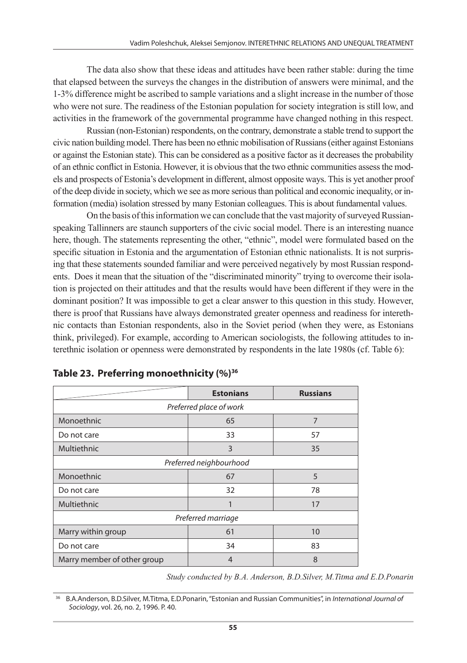The data also show that these ideas and attitudes have been rather stable: during the time that elapsed between the surveys the changes in the distribution of answers were minimal, and the 1-3% difference might be ascribed to sample variations and a slight increase in the number of those who were not sure. The readiness of the Estonian population for society integration is still low, and activities in the framework of the governmental programme have changed nothing in this respect.

Russian (non-Estonian) respondents, on the contrary, demonstrate a stable trend to support the civic nation building model. There has been no ethnic mobilisation of Russians (either against Estonians or against the Estonian state). This can be considered as a positive factor as it decreases the probability of an ethnic conflict in Estonia. However, it is obvious that the two ethnic communities assess the models and prospects of Estonia's development in different, almost opposite ways. This is yet another proof of the deep divide in society, which we see as more serious than political and economic inequality, or information (media) isolation stressed by many Estonian colleagues. This is about fundamental values.

On the basis of this information we can conclude that the vast majority of surveyed Russianspeaking Tallinners are staunch supporters of the civic social model. There is an interesting nuance here, though. The statements representing the other, "ethnic", model were formulated based on the specific situation in Estonia and the argumentation of Estonian ethnic nationalists. It is not surprising that these statements sounded familiar and were perceived negatively by most Russian respondents. Does it mean that the situation of the "discriminated minority" trying to overcome their isolation is projected on their attitudes and that the results would have been different if they were in the dominant position? It was impossible to get a clear answer to this question in this study. However, there is proof that Russians have always demonstrated greater openness and readiness for interethnic contacts than Estonian respondents, also in the Soviet period (when they were, as Estonians think, privileged). For example, according to American sociologists, the following attitudes to interethnic isolation or openness were demonstrated by respondents in the late 1980s (cf. Table 6):

|                             | <b>Estonians</b>   | <b>Russians</b> |  |  |  |  |
|-----------------------------|--------------------|-----------------|--|--|--|--|
| Preferred place of work     |                    |                 |  |  |  |  |
| Monoethnic                  | 65                 | 7               |  |  |  |  |
| Do not care                 | 33                 | 57              |  |  |  |  |
| Multiethnic                 | 3                  | 35              |  |  |  |  |
| Preferred neighbourhood     |                    |                 |  |  |  |  |
| Monoethnic                  | 67                 | 5               |  |  |  |  |
| Do not care                 | 32                 | 78              |  |  |  |  |
| Multiethnic                 |                    | 17              |  |  |  |  |
|                             | Preferred marriage |                 |  |  |  |  |
| Marry within group          | 61                 | 10              |  |  |  |  |
| Do not care                 | 34                 | 83              |  |  |  |  |
| Marry member of other group | 4                  | 8               |  |  |  |  |

*Study conducted by B.A. Anderson, B.D.Silver, M.Titma and E.D.Ponarin* 

36 B.A.Anderson, B.D.Silver, M.Titma, E.D.Ponarin, "Estonian and Russian Communities", in *International Journal of Sociology*, vol. 26, no. 2, 1996. P. 40.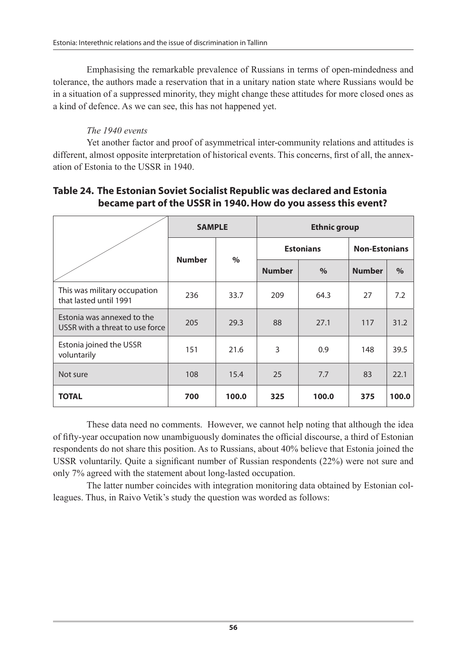Emphasising the remarkable prevalence of Russians in terms of open-mindedness and tolerance, the authors made a reservation that in a unitary nation state where Russians would be in a situation of a suppressed minority, they might change these attitudes for more closed ones as a kind of defence. As we can see, this has not happened yet.

### *The 1940 events*

Yet another factor and proof of asymmetrical inter-community relations and attitudes is different, almost opposite interpretation of historical events. This concerns, first of all, the annexation of Estonia to the USSR in 1940.

### **Table 24. The Estonian Soviet Socialist Republic was declared and Estonia became part of the USSR in 1940. How do you assess this event?**

|                                                               | <b>SAMPLE</b> |       | <b>Ethnic group</b> |       |                      |       |
|---------------------------------------------------------------|---------------|-------|---------------------|-------|----------------------|-------|
|                                                               | <b>Number</b> | $\%$  | <b>Estonians</b>    |       | <b>Non-Estonians</b> |       |
|                                                               |               |       | <b>Number</b>       | $\%$  | <b>Number</b>        | $\%$  |
| This was military occupation<br>that lasted until 1991        | 236           | 33.7  | 209                 | 64.3  | 27                   | 7.2   |
| Estonia was annexed to the<br>USSR with a threat to use force | 205           | 29.3  | 88                  | 27.1  | 117                  | 31.2  |
| Estonia joined the USSR<br>voluntarily                        | 151           | 21.6  | 3                   | 0.9   | 148                  | 39.5  |
| Not sure                                                      | 108           | 15.4  | 25                  | 7.7   | 83                   | 22.1  |
| <b>TOTAL</b>                                                  | 700           | 100.0 | 325                 | 100.0 | 375                  | 100.0 |

These data need no comments. However, we cannot help noting that although the idea of fifty-year occupation now unambiguously dominates the official discourse, a third of Estonian respondents do not share this position. As to Russians, about 40% believe that Estonia joined the USSR voluntarily. Quite a significant number of Russian respondents (22%) were not sure and only 7% agreed with the statement about long-lasted occupation.

The latter number coincides with integration monitoring data obtained by Estonian colleagues. Thus, in Raivo Vetik's study the question was worded as follows: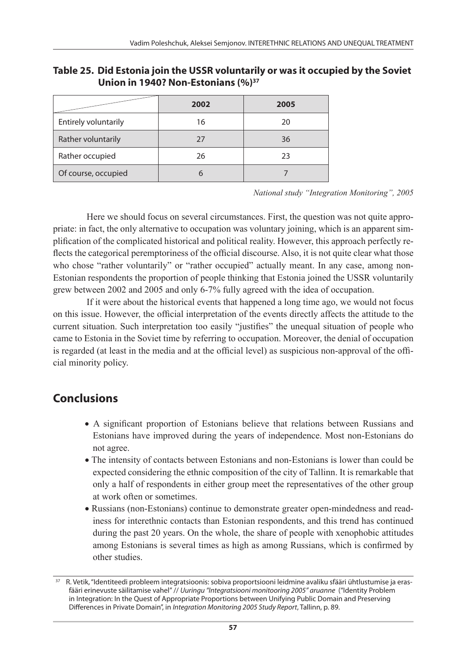**Table 25. Did Estonia join the USSR voluntarily or was it occupied by the Soviet Union in 1940? Non-Estonians (%)37**

|                      | 2002 | 2005 |
|----------------------|------|------|
| Entirely voluntarily | 16   | 20   |
| Rather voluntarily   | 27   | 36   |
| Rather occupied      | 26   | 23   |
| Of course, occupied  |      |      |

*National study "Integration Monitoring", 2005*

Here we should focus on several circumstances. First, the question was not quite appropriate: in fact, the only alternative to occupation was voluntary joining, which is an apparent simplification of the complicated historical and political reality. However, this approach perfectly reflects the categorical peremptoriness of the official discourse. Also, it is not quite clear what those who chose "rather voluntarily" or "rather occupied" actually meant. In any case, among non-Estonian respondents the proportion of people thinking that Estonia joined the USSR voluntarily grew between 2002 and 2005 and only 6-7% fully agreed with the idea of occupation.

If it were about the historical events that happened a long time ago, we would not focus on this issue. However, the official interpretation of the events directly affects the attitude to the current situation. Such interpretation too easily "justifies" the unequal situation of people who came to Estonia in the Soviet time by referring to occupation. Moreover, the denial of occupation is regarded (at least in the media and at the official level) as suspicious non-approval of the official minority policy.

# **Conclusions**

- A significant proportion of Estonians believe that relations between Russians and Estonians have improved during the years of independence. Most non-Estonians do not agree.
- The intensity of contacts between Estonians and non-Estonians is lower than could be expected considering the ethnic composition of the city of Tallinn. It is remarkable that only a half of respondents in either group meet the representatives of the other group at work often or sometimes.
- Russians (non-Estonians) continue to demonstrate greater open-mindedness and readiness for interethnic contacts than Estonian respondents, and this trend has continued during the past 20 years. On the whole, the share of people with xenophobic attitudes among Estonians is several times as high as among Russians, which is confirmed by other studies.

<sup>37</sup> R. Vetik, "Identiteedi probleem integratsioonis: sobiva proportsiooni leidmine avaliku sfääri ühtlustumise ja erasfääri erinevuste säilitamise vahel" // *Uuringu "Integratsiooni monitooring 2005" aruanne* ("Identity Problem in Integration: In the Quest of Appropriate Proportions between Unifying Public Domain and Preserving Differences in Private Domain", in *Integration Monitoring 2005 Study Report*, Tallinn, p. 89.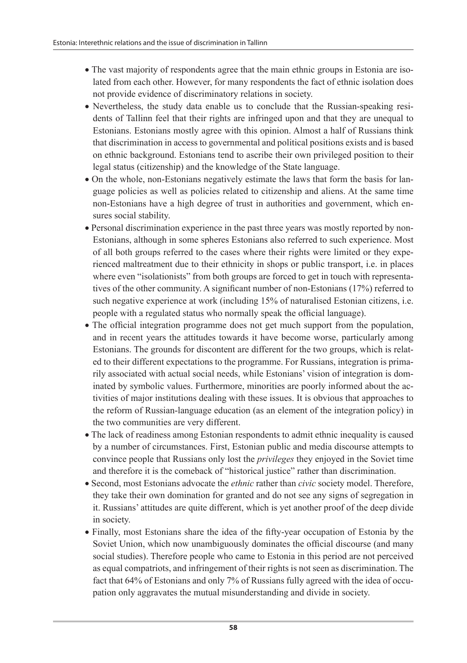- The vast majority of respondents agree that the main ethnic groups in Estonia are isolated from each other. However, for many respondents the fact of ethnic isolation does not provide evidence of discriminatory relations in society.
- Nevertheless, the study data enable us to conclude that the Russian-speaking residents of Tallinn feel that their rights are infringed upon and that they are unequal to Estonians. Estonians mostly agree with this opinion. Almost a half of Russians think that discrimination in access to governmental and political positions exists and is based on ethnic background. Estonians tend to ascribe their own privileged position to their legal status (citizenship) and the knowledge of the State language.
- On the whole, non-Estonians negatively estimate the laws that form the basis for language policies as well as policies related to citizenship and aliens. At the same time non-Estonians have a high degree of trust in authorities and government, which ensures social stability.
- Personal discrimination experience in the past three years was mostly reported by non-Estonians, although in some spheres Estonians also referred to such experience. Most of all both groups referred to the cases where their rights were limited or they experienced maltreatment due to their ethnicity in shops or public transport, i.e. in places where even "isolationists" from both groups are forced to get in touch with representatives of the other community. A significant number of non-Estonians (17%) referred to such negative experience at work (including 15% of naturalised Estonian citizens, i.e. people with a regulated status who normally speak the official language).
- The official integration programme does not get much support from the population, and in recent years the attitudes towards it have become worse, particularly among Estonians. The grounds for discontent are different for the two groups, which is related to their different expectations to the programme. For Russians, integration is primarily associated with actual social needs, while Estonians' vision of integration is dominated by symbolic values. Furthermore, minorities are poorly informed about the activities of major institutions dealing with these issues. It is obvious that approaches to the reform of Russian-language education (as an element of the integration policy) in the two communities are very different.
- The lack of readiness among Estonian respondents to admit ethnic inequality is caused by a number of circumstances. First, Estonian public and media discourse attempts to convince people that Russians only lost the *privileges* they enjoyed in the Soviet time and therefore it is the comeback of "historical justice" rather than discrimination.
- Second, most Estonians advocate the *ethnic* rather than *civic* society model. Therefore, they take their own domination for granted and do not see any signs of segregation in it. Russians' attitudes are quite different, which is yet another proof of the deep divide in society.
- Finally, most Estonians share the idea of the fifty-year occupation of Estonia by the Soviet Union, which now unambiguously dominates the official discourse (and many social studies). Therefore people who came to Estonia in this period are not perceived as equal compatriots, and infringement of their rights is not seen as discrimination. The fact that 64% of Estonians and only 7% of Russians fully agreed with the idea of occupation only aggravates the mutual misunderstanding and divide in society.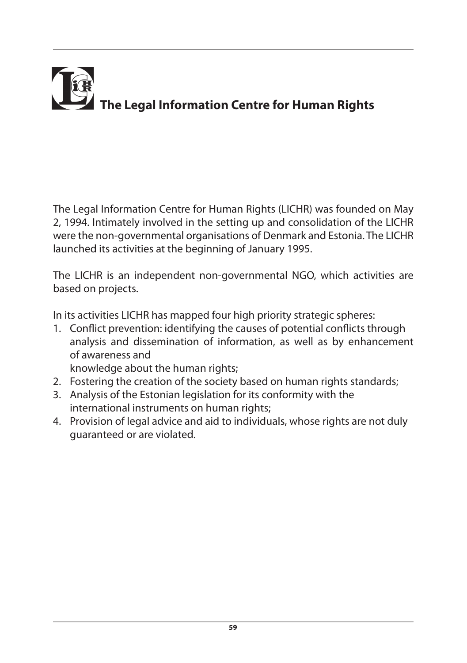

The Legal Information Centre for Human Rights (LICHR) was founded on May 2, 1994. Intimately involved in the setting up and consolidation of the LICHR were the non-governmental organisations of Denmark and Estonia. The LICHR launched its activities at the beginning of January 1995.

The LICHR is an independent non-governmental NGO, which activities are based on projects.

In its activities LICHR has mapped four high priority strategic spheres:

1. Conflict prevention: identifying the causes of potential conflicts through analysis and dissemination of information, as well as by enhancement of awareness and

knowledge about the human rights;

- 2. Fostering the creation of the society based on human rights standards;
- 3. Analysis of the Estonian legislation for its conformity with the international instruments on human rights;
- 4. Provision of legal advice and aid to individuals, whose rights are not duly guaranteed or are violated.